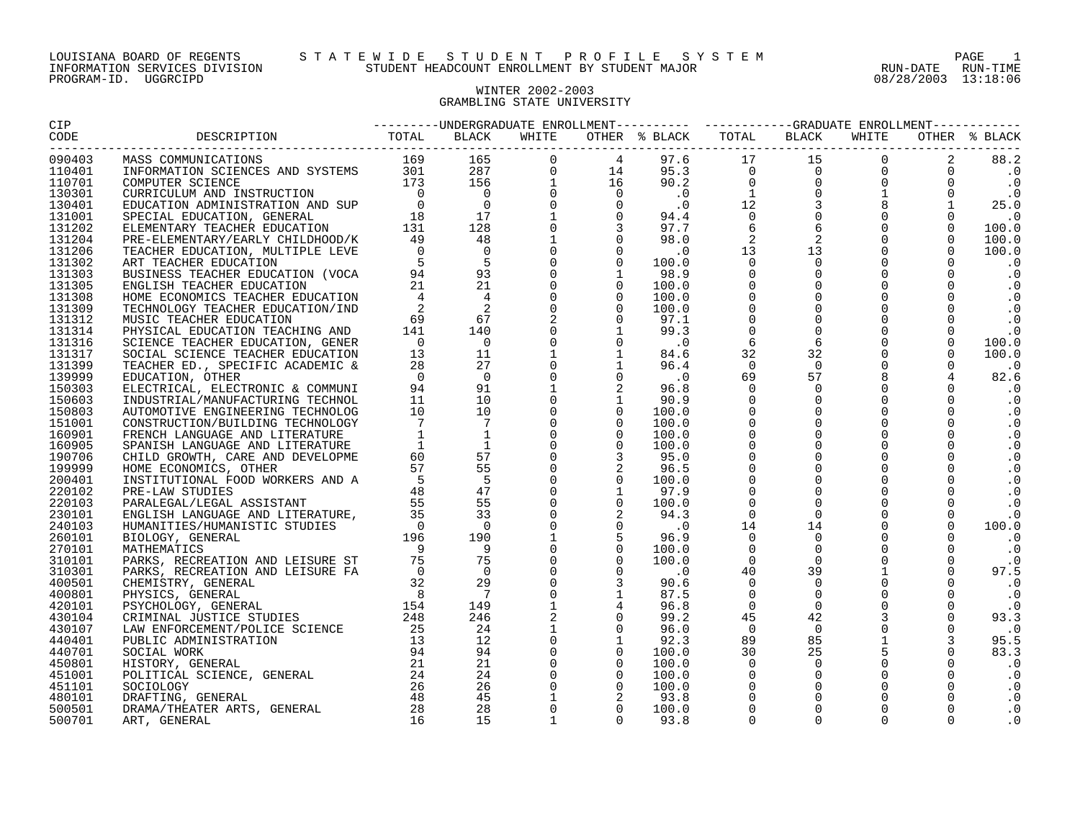#### WINTER 2002-2003 GRAMBLING STATE UNIVERSITY

| <b>CIP</b> | ---------UNDERGRADUATE ENROLLMENT----------    ----------GRADUATE ENROLLMENT-----------                                                                                                                                                                                                                                                                                                       |  |  |  |  |                      |
|------------|-----------------------------------------------------------------------------------------------------------------------------------------------------------------------------------------------------------------------------------------------------------------------------------------------------------------------------------------------------------------------------------------------|--|--|--|--|----------------------|
| CODE       | ---------------------------<br>$\begin{small} \textbf{1.13} \textbf{1.14} \textbf{1.15} \textbf{1.15} \textbf{1.15} \textbf{1.15} \textbf{1.15} \textbf{1.15} \textbf{1.15} \textbf{1.15} \textbf{1.15} \textbf{1.15} \textbf{1.15} \textbf{1.15} \textbf{1.15} \textbf{1.15} \textbf{1.15} \textbf{1.15} \textbf{1.15} \textbf{1.15} \textbf{1.15} \textbf{1.15} \textbf{1.15} \textbf{1.15$ |  |  |  |  | OTHER % BLACK        |
| 090403     |                                                                                                                                                                                                                                                                                                                                                                                               |  |  |  |  |                      |
| 110401     |                                                                                                                                                                                                                                                                                                                                                                                               |  |  |  |  | $0 \qquad \qquad .0$ |
| 110701     |                                                                                                                                                                                                                                                                                                                                                                                               |  |  |  |  |                      |
| 130301     |                                                                                                                                                                                                                                                                                                                                                                                               |  |  |  |  |                      |
| 130401     |                                                                                                                                                                                                                                                                                                                                                                                               |  |  |  |  |                      |
| 131001     |                                                                                                                                                                                                                                                                                                                                                                                               |  |  |  |  |                      |
| 131202     |                                                                                                                                                                                                                                                                                                                                                                                               |  |  |  |  |                      |
| 131204     |                                                                                                                                                                                                                                                                                                                                                                                               |  |  |  |  |                      |
| 131206     |                                                                                                                                                                                                                                                                                                                                                                                               |  |  |  |  |                      |
| 131302     |                                                                                                                                                                                                                                                                                                                                                                                               |  |  |  |  |                      |
| 131303     |                                                                                                                                                                                                                                                                                                                                                                                               |  |  |  |  |                      |
| 131305     |                                                                                                                                                                                                                                                                                                                                                                                               |  |  |  |  |                      |
| 131308     |                                                                                                                                                                                                                                                                                                                                                                                               |  |  |  |  |                      |
| 131309     |                                                                                                                                                                                                                                                                                                                                                                                               |  |  |  |  |                      |
| 131312     |                                                                                                                                                                                                                                                                                                                                                                                               |  |  |  |  |                      |
| 131314     |                                                                                                                                                                                                                                                                                                                                                                                               |  |  |  |  |                      |
| 131316     |                                                                                                                                                                                                                                                                                                                                                                                               |  |  |  |  |                      |
| 131317     |                                                                                                                                                                                                                                                                                                                                                                                               |  |  |  |  |                      |
| 131399     |                                                                                                                                                                                                                                                                                                                                                                                               |  |  |  |  |                      |
| 139999     |                                                                                                                                                                                                                                                                                                                                                                                               |  |  |  |  |                      |
| 150303     |                                                                                                                                                                                                                                                                                                                                                                                               |  |  |  |  |                      |
| 150603     |                                                                                                                                                                                                                                                                                                                                                                                               |  |  |  |  |                      |
| 150803     |                                                                                                                                                                                                                                                                                                                                                                                               |  |  |  |  |                      |
| 151001     |                                                                                                                                                                                                                                                                                                                                                                                               |  |  |  |  |                      |
| 160901     |                                                                                                                                                                                                                                                                                                                                                                                               |  |  |  |  |                      |
| 160905     |                                                                                                                                                                                                                                                                                                                                                                                               |  |  |  |  |                      |
| 190706     |                                                                                                                                                                                                                                                                                                                                                                                               |  |  |  |  |                      |
| 199999     |                                                                                                                                                                                                                                                                                                                                                                                               |  |  |  |  |                      |
| 200401     |                                                                                                                                                                                                                                                                                                                                                                                               |  |  |  |  |                      |
| 220102     |                                                                                                                                                                                                                                                                                                                                                                                               |  |  |  |  |                      |
| 220103     |                                                                                                                                                                                                                                                                                                                                                                                               |  |  |  |  |                      |
| 230101     |                                                                                                                                                                                                                                                                                                                                                                                               |  |  |  |  |                      |
| 240103     |                                                                                                                                                                                                                                                                                                                                                                                               |  |  |  |  |                      |
| 260101     |                                                                                                                                                                                                                                                                                                                                                                                               |  |  |  |  |                      |
| 270101     |                                                                                                                                                                                                                                                                                                                                                                                               |  |  |  |  |                      |
| 310101     |                                                                                                                                                                                                                                                                                                                                                                                               |  |  |  |  |                      |
| 310301     |                                                                                                                                                                                                                                                                                                                                                                                               |  |  |  |  |                      |
| 400501     |                                                                                                                                                                                                                                                                                                                                                                                               |  |  |  |  |                      |
| 400801     |                                                                                                                                                                                                                                                                                                                                                                                               |  |  |  |  |                      |
| 420101     |                                                                                                                                                                                                                                                                                                                                                                                               |  |  |  |  |                      |
| 430104     |                                                                                                                                                                                                                                                                                                                                                                                               |  |  |  |  |                      |
| 430107     |                                                                                                                                                                                                                                                                                                                                                                                               |  |  |  |  |                      |
| 440401     |                                                                                                                                                                                                                                                                                                                                                                                               |  |  |  |  |                      |
| 440701     |                                                                                                                                                                                                                                                                                                                                                                                               |  |  |  |  |                      |
| 450801     |                                                                                                                                                                                                                                                                                                                                                                                               |  |  |  |  |                      |
| 451001     |                                                                                                                                                                                                                                                                                                                                                                                               |  |  |  |  |                      |
| 451101     |                                                                                                                                                                                                                                                                                                                                                                                               |  |  |  |  |                      |
| 480101     |                                                                                                                                                                                                                                                                                                                                                                                               |  |  |  |  |                      |
| 500501     |                                                                                                                                                                                                                                                                                                                                                                                               |  |  |  |  |                      |
| 500701     |                                                                                                                                                                                                                                                                                                                                                                                               |  |  |  |  |                      |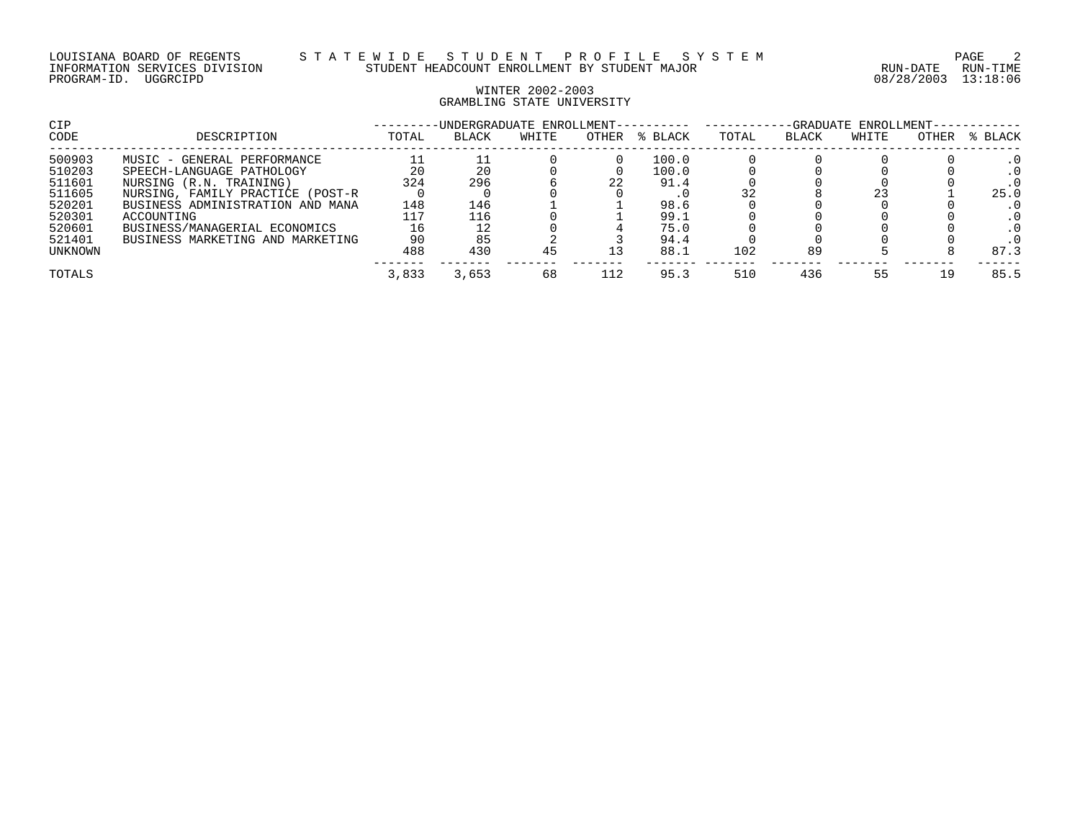## WINTER 2002-2003 GRAMBLING STATE UNIVERSITY

| <b>CIP</b> |                                  |       | -UNDERGRADUATE ENROLLMENT- |       |       | -GRADUATE ENROLLMENT- |       |       |       |       |         |
|------------|----------------------------------|-------|----------------------------|-------|-------|-----------------------|-------|-------|-------|-------|---------|
| CODE       | DESCRIPTION                      | TOTAL | <b>BLACK</b>               | WHITE | OTHER | % BLACK               | TOTAL | BLACK | WHITE | OTHER | % BLACK |
| 500903     | MUSIC - GENERAL PERFORMANCE      |       |                            |       |       | 100.0                 |       |       |       |       |         |
| 510203     | SPEECH-LANGUAGE PATHOLOGY        | 20    | 20                         |       |       | 100.0                 |       |       |       |       |         |
| 511601     | NURSING (R.N. TRAINING)          | 324   | 296                        |       | 22    | 91.4                  |       |       |       |       |         |
| 511605     | NURSING, FAMILY PRACTICE (POST-R |       |                            |       |       |                       |       |       |       |       | 25.0    |
| 520201     | BUSINESS ADMINISTRATION AND MANA | 148   | 146                        |       |       | 98.6                  |       |       |       |       |         |
| 520301     | ACCOUNTING                       | 117   | 116                        |       |       | 99.1                  |       |       |       |       |         |
| 520601     | BUSINESS/MANAGERIAL ECONOMICS    | 16    |                            |       |       | 75.0                  |       |       |       |       |         |
| 521401     | BUSINESS MARKETING AND MARKETING | 90    | 85                         |       |       | 94.4                  |       |       |       |       |         |
| UNKNOWN    |                                  | 488   | 430                        | 45    |       | 88.1                  | 102   | 89    |       |       | 87.3    |
| TOTALS     |                                  | 3,833 | 3,653                      | 68    | 112   | 95.3                  | 510   | 436   | 55    | 19    | 85.5    |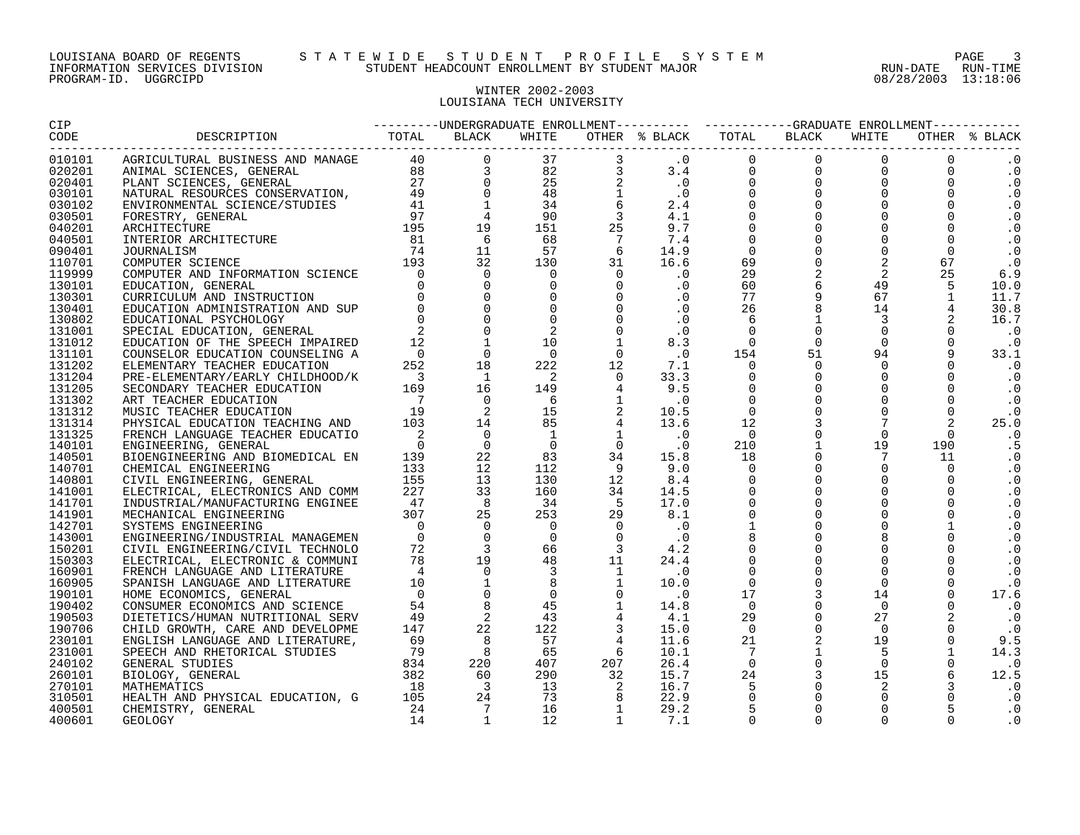# WINTER 2002-2003 LOUISIANA TECH UNIVERSITY

| 010101 |  |  |  |  |  | $\cdot$ 0   |
|--------|--|--|--|--|--|-------------|
| 020201 |  |  |  |  |  | $\cdot$ 0   |
| 020401 |  |  |  |  |  | $\cdot$ 0   |
| 030101 |  |  |  |  |  | $\cdot$ 0   |
| 030102 |  |  |  |  |  | $\cdot$ 0   |
| 030501 |  |  |  |  |  | $\cdot$ 0   |
| 040201 |  |  |  |  |  | $\cdot$ 0   |
| 040501 |  |  |  |  |  | $\cdot$ 0   |
| 090401 |  |  |  |  |  | $\cdot$ 0   |
| 110701 |  |  |  |  |  | $\cdot$ 0   |
| 119999 |  |  |  |  |  | 6.9         |
| 130101 |  |  |  |  |  | 10.0        |
| 130301 |  |  |  |  |  | 11.7        |
| 130401 |  |  |  |  |  | 30.8        |
| 130802 |  |  |  |  |  | 16.7        |
| 131001 |  |  |  |  |  | $\cdot$ 0   |
| 131012 |  |  |  |  |  | $\cdot$ 0   |
| 131101 |  |  |  |  |  | 33.1        |
| 131202 |  |  |  |  |  | $\cdot$ .0  |
| 131204 |  |  |  |  |  | $\cdot$ 0   |
| 131205 |  |  |  |  |  | $\cdot$ 0   |
| 131302 |  |  |  |  |  | $\cdot$ 0   |
| 131312 |  |  |  |  |  | $\cdot$ 0   |
| 131314 |  |  |  |  |  | 25.0        |
| 131325 |  |  |  |  |  | $\cdot$ 0   |
| 140101 |  |  |  |  |  | .5          |
| 140501 |  |  |  |  |  | $\cdot$ . 0 |
| 140701 |  |  |  |  |  | $\cdot$ 0   |
| 140801 |  |  |  |  |  | $\cdot$ 0   |
| 141001 |  |  |  |  |  | $\cdot$ 0   |
| 141701 |  |  |  |  |  | $\cdot$ 0   |
| 141901 |  |  |  |  |  | $\cdot$ 0   |
| 142701 |  |  |  |  |  | $\cdot$ 0   |
| 143001 |  |  |  |  |  | $\cdot$ 0   |
| 150201 |  |  |  |  |  | $\cdot$ 0   |
| 150303 |  |  |  |  |  | $\cdot$ 0   |
| 160901 |  |  |  |  |  | $\cdot$ 0   |
| 160905 |  |  |  |  |  | $\cdot$ 0   |
| 190101 |  |  |  |  |  | 17.6        |
| 190402 |  |  |  |  |  | $\cdot$ 0   |
| 190503 |  |  |  |  |  | $\cdot$ 0   |
| 190706 |  |  |  |  |  | $\cdot$ 0   |
| 230101 |  |  |  |  |  | 9.5         |
| 231001 |  |  |  |  |  | 14.3        |
| 240102 |  |  |  |  |  | $\cdot$ 0   |
| 260101 |  |  |  |  |  | 12.5        |
| 270101 |  |  |  |  |  | $\ddotsc 0$ |
| 310501 |  |  |  |  |  | $\cdot$ 0   |
| 400501 |  |  |  |  |  | $\cdot$ 0   |
| 400601 |  |  |  |  |  | $\cdot$ 0   |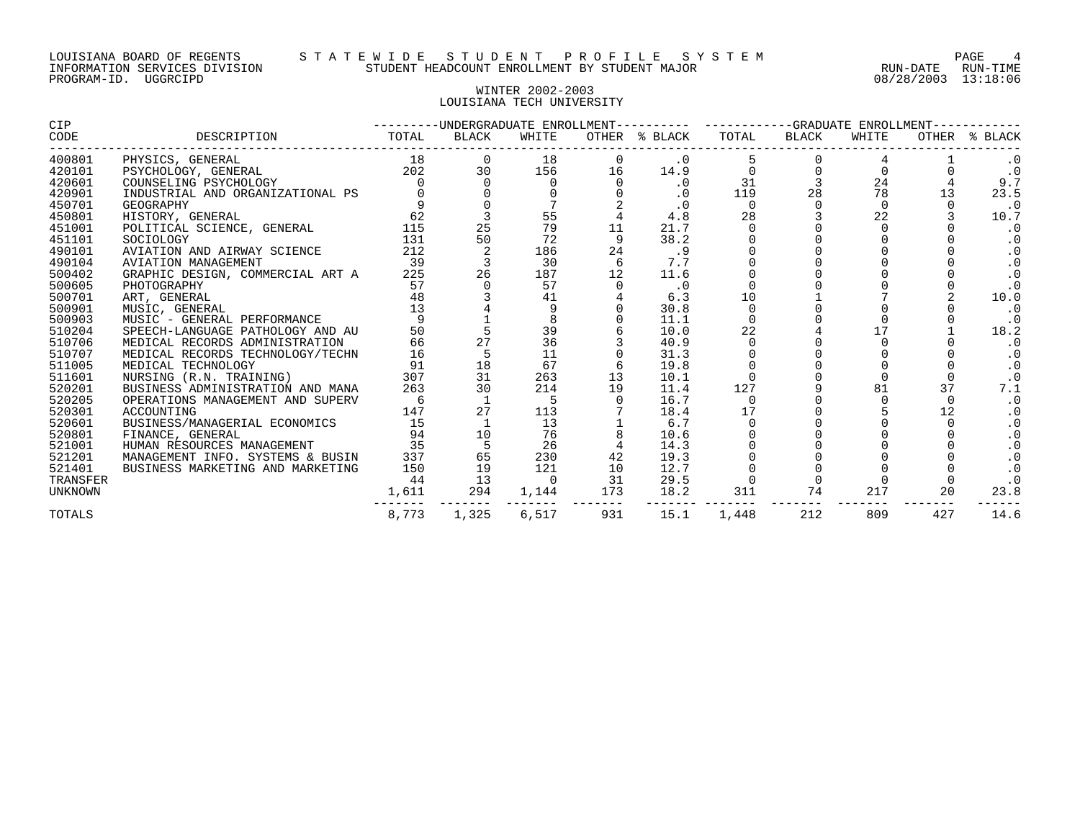## WINTER 2002-2003 LOUISIANA TECH UNIVERSITY

| CODE<br>TOTAL<br>OTHER % BLACK<br>TOTAL<br>DESCRIPTION<br>BLACK<br>WHITE<br>BLACK<br>WHITE<br>18<br>400801<br>PHYSICS, GENERAL<br>18<br>$\cdot$ 0<br>202<br>30<br>420101<br>156<br>16<br>14.9<br>PSYCHOLOGY, GENERAL<br>24<br>31<br>420601<br>COUNSELING PSYCHOLOGY<br>$\cdot$ 0<br>28<br>78<br>420901<br>13<br>INDUSTRIAL AND ORGANIZATIONAL PS<br>$\cdot$ 0<br>119<br>450701<br>$\cdot$ 0<br>$\mathbf 0$<br>$\Omega$<br>GEOGRAPHY<br>$\Omega$<br>62<br>55<br>28<br>22<br>4.8<br>450801<br>HISTORY, GENERAL<br>25<br>115<br>79<br>11<br>451001<br>21.7<br>POLITICAL SCIENCE, GENERAL<br>50<br>38.2<br>451101<br>131<br>72<br>SOCIOLOGY<br>212<br>24<br>490101<br>AVIATION AND AIRWAY SCIENCE<br>186<br>.9<br>490104<br>39<br>-6<br>7.7<br>AVIATION MANAGEMENT<br>30<br>26<br>500402<br>GRAPHIC DESIGN, COMMERCIAL ART A<br>225<br>187<br>12<br>11.6<br>500605<br>57<br>57<br>PHOTOGRAPHY<br>$\cdot$ 0<br>10<br>48<br>500701<br>41<br>6.3<br>ART, GENERAL<br>13<br>$\mathbf 0$<br>500901<br>30.8<br>MUSIC, GENERAL<br>500903<br>11.1<br>MUSIC - GENERAL PERFORMANCE<br>$\frac{1}{27}$<br>39<br>22<br>510204<br>50<br>10.0<br>SPEECH-LANGUAGE PATHOLOGY AND AU<br>36<br>510706<br>66<br>40.9<br>MEDICAL RECORDS ADMINISTRATION<br>510707<br>16<br>11<br>MEDICAL RECORDS TECHNOLOGY/TECHN<br>31.3<br>18<br>511005<br>91<br>67<br>19.8<br>MEDICAL TECHNOLOGY<br>511601<br>31<br>307<br>263<br>13<br>NURSING (R.N. TRAINING)<br>10.1<br>81<br>37<br>30<br>520201<br>263<br>214<br>19<br>127<br>11.4<br>BUSINESS ADMINISTRATION AND MANA<br>520205<br>16.7<br>5<br>OPERATIONS MANAGEMENT AND SUPERV<br>- 6<br>$\Omega$<br>$\Omega$<br>27<br>17<br>12<br>520301<br>147<br>113<br>18.4<br>ACCOUNTING<br>15<br>520601<br>BUSINESS/MANAGERIAL ECONOMICS<br>13<br>6.7<br>94<br>10<br>76<br>520801<br>10.6<br>FINANCE, GENERAL<br>5<br>35<br>521001<br>HUMAN RESOURCES MANAGEMENT<br>26<br>14.3<br>65<br>337<br>42<br>521201<br>MANAGEMENT INFO. SYSTEMS & BUSIN<br>230<br>19.3<br>521401<br>150<br>19<br>121<br>10<br>12.7<br>BUSINESS MARKETING AND MARKETING<br>13<br>31<br>44<br>29.5<br>TRANSFER<br>$\Omega$<br>74<br>294<br>173<br>18.2<br>311<br>217<br>20<br>1,144<br><b>UNKNOWN</b><br>1,611 | <b>CIP</b> |       |       |       |     | ---------UNDERGRADUATE ENROLLMENT---------- ----------GRADUATE ENROLLMENT---- |       |     |     |     |               |
|--------------------------------------------------------------------------------------------------------------------------------------------------------------------------------------------------------------------------------------------------------------------------------------------------------------------------------------------------------------------------------------------------------------------------------------------------------------------------------------------------------------------------------------------------------------------------------------------------------------------------------------------------------------------------------------------------------------------------------------------------------------------------------------------------------------------------------------------------------------------------------------------------------------------------------------------------------------------------------------------------------------------------------------------------------------------------------------------------------------------------------------------------------------------------------------------------------------------------------------------------------------------------------------------------------------------------------------------------------------------------------------------------------------------------------------------------------------------------------------------------------------------------------------------------------------------------------------------------------------------------------------------------------------------------------------------------------------------------------------------------------------------------------------------------------------------------------------------------------------------------------------------------------------------------------------------------------------------------------------------------------------------------------------------------------------------------------------------------------------------------------------------------------------------------------------------|------------|-------|-------|-------|-----|-------------------------------------------------------------------------------|-------|-----|-----|-----|---------------|
|                                                                                                                                                                                                                                                                                                                                                                                                                                                                                                                                                                                                                                                                                                                                                                                                                                                                                                                                                                                                                                                                                                                                                                                                                                                                                                                                                                                                                                                                                                                                                                                                                                                                                                                                                                                                                                                                                                                                                                                                                                                                                                                                                                                            |            |       |       |       |     |                                                                               |       |     |     |     | OTHER % BLACK |
|                                                                                                                                                                                                                                                                                                                                                                                                                                                                                                                                                                                                                                                                                                                                                                                                                                                                                                                                                                                                                                                                                                                                                                                                                                                                                                                                                                                                                                                                                                                                                                                                                                                                                                                                                                                                                                                                                                                                                                                                                                                                                                                                                                                            |            |       |       |       |     |                                                                               |       |     |     |     |               |
|                                                                                                                                                                                                                                                                                                                                                                                                                                                                                                                                                                                                                                                                                                                                                                                                                                                                                                                                                                                                                                                                                                                                                                                                                                                                                                                                                                                                                                                                                                                                                                                                                                                                                                                                                                                                                                                                                                                                                                                                                                                                                                                                                                                            |            |       |       |       |     |                                                                               |       |     |     |     | $\cdot$ 0     |
|                                                                                                                                                                                                                                                                                                                                                                                                                                                                                                                                                                                                                                                                                                                                                                                                                                                                                                                                                                                                                                                                                                                                                                                                                                                                                                                                                                                                                                                                                                                                                                                                                                                                                                                                                                                                                                                                                                                                                                                                                                                                                                                                                                                            |            |       |       |       |     |                                                                               |       |     |     |     | 9.7           |
|                                                                                                                                                                                                                                                                                                                                                                                                                                                                                                                                                                                                                                                                                                                                                                                                                                                                                                                                                                                                                                                                                                                                                                                                                                                                                                                                                                                                                                                                                                                                                                                                                                                                                                                                                                                                                                                                                                                                                                                                                                                                                                                                                                                            |            |       |       |       |     |                                                                               |       |     |     |     | 23.5          |
|                                                                                                                                                                                                                                                                                                                                                                                                                                                                                                                                                                                                                                                                                                                                                                                                                                                                                                                                                                                                                                                                                                                                                                                                                                                                                                                                                                                                                                                                                                                                                                                                                                                                                                                                                                                                                                                                                                                                                                                                                                                                                                                                                                                            |            |       |       |       |     |                                                                               |       |     |     |     | $\cdot$ 0     |
|                                                                                                                                                                                                                                                                                                                                                                                                                                                                                                                                                                                                                                                                                                                                                                                                                                                                                                                                                                                                                                                                                                                                                                                                                                                                                                                                                                                                                                                                                                                                                                                                                                                                                                                                                                                                                                                                                                                                                                                                                                                                                                                                                                                            |            |       |       |       |     |                                                                               |       |     |     |     | 10.7          |
|                                                                                                                                                                                                                                                                                                                                                                                                                                                                                                                                                                                                                                                                                                                                                                                                                                                                                                                                                                                                                                                                                                                                                                                                                                                                                                                                                                                                                                                                                                                                                                                                                                                                                                                                                                                                                                                                                                                                                                                                                                                                                                                                                                                            |            |       |       |       |     |                                                                               |       |     |     |     | $\cdot$ 0     |
|                                                                                                                                                                                                                                                                                                                                                                                                                                                                                                                                                                                                                                                                                                                                                                                                                                                                                                                                                                                                                                                                                                                                                                                                                                                                                                                                                                                                                                                                                                                                                                                                                                                                                                                                                                                                                                                                                                                                                                                                                                                                                                                                                                                            |            |       |       |       |     |                                                                               |       |     |     |     |               |
|                                                                                                                                                                                                                                                                                                                                                                                                                                                                                                                                                                                                                                                                                                                                                                                                                                                                                                                                                                                                                                                                                                                                                                                                                                                                                                                                                                                                                                                                                                                                                                                                                                                                                                                                                                                                                                                                                                                                                                                                                                                                                                                                                                                            |            |       |       |       |     |                                                                               |       |     |     |     |               |
|                                                                                                                                                                                                                                                                                                                                                                                                                                                                                                                                                                                                                                                                                                                                                                                                                                                                                                                                                                                                                                                                                                                                                                                                                                                                                                                                                                                                                                                                                                                                                                                                                                                                                                                                                                                                                                                                                                                                                                                                                                                                                                                                                                                            |            |       |       |       |     |                                                                               |       |     |     |     | . 0           |
|                                                                                                                                                                                                                                                                                                                                                                                                                                                                                                                                                                                                                                                                                                                                                                                                                                                                                                                                                                                                                                                                                                                                                                                                                                                                                                                                                                                                                                                                                                                                                                                                                                                                                                                                                                                                                                                                                                                                                                                                                                                                                                                                                                                            |            |       |       |       |     |                                                                               |       |     |     |     | $\cdot$ 0     |
|                                                                                                                                                                                                                                                                                                                                                                                                                                                                                                                                                                                                                                                                                                                                                                                                                                                                                                                                                                                                                                                                                                                                                                                                                                                                                                                                                                                                                                                                                                                                                                                                                                                                                                                                                                                                                                                                                                                                                                                                                                                                                                                                                                                            |            |       |       |       |     |                                                                               |       |     |     |     | $\cdot$ 0     |
|                                                                                                                                                                                                                                                                                                                                                                                                                                                                                                                                                                                                                                                                                                                                                                                                                                                                                                                                                                                                                                                                                                                                                                                                                                                                                                                                                                                                                                                                                                                                                                                                                                                                                                                                                                                                                                                                                                                                                                                                                                                                                                                                                                                            |            |       |       |       |     |                                                                               |       |     |     |     | 10.0          |
|                                                                                                                                                                                                                                                                                                                                                                                                                                                                                                                                                                                                                                                                                                                                                                                                                                                                                                                                                                                                                                                                                                                                                                                                                                                                                                                                                                                                                                                                                                                                                                                                                                                                                                                                                                                                                                                                                                                                                                                                                                                                                                                                                                                            |            |       |       |       |     |                                                                               |       |     |     |     | $\cdot$ 0     |
|                                                                                                                                                                                                                                                                                                                                                                                                                                                                                                                                                                                                                                                                                                                                                                                                                                                                                                                                                                                                                                                                                                                                                                                                                                                                                                                                                                                                                                                                                                                                                                                                                                                                                                                                                                                                                                                                                                                                                                                                                                                                                                                                                                                            |            |       |       |       |     |                                                                               |       |     |     |     | $\cdot$ 0     |
|                                                                                                                                                                                                                                                                                                                                                                                                                                                                                                                                                                                                                                                                                                                                                                                                                                                                                                                                                                                                                                                                                                                                                                                                                                                                                                                                                                                                                                                                                                                                                                                                                                                                                                                                                                                                                                                                                                                                                                                                                                                                                                                                                                                            |            |       |       |       |     |                                                                               |       |     |     |     | 18.2          |
|                                                                                                                                                                                                                                                                                                                                                                                                                                                                                                                                                                                                                                                                                                                                                                                                                                                                                                                                                                                                                                                                                                                                                                                                                                                                                                                                                                                                                                                                                                                                                                                                                                                                                                                                                                                                                                                                                                                                                                                                                                                                                                                                                                                            |            |       |       |       |     |                                                                               |       |     |     |     | . 0           |
|                                                                                                                                                                                                                                                                                                                                                                                                                                                                                                                                                                                                                                                                                                                                                                                                                                                                                                                                                                                                                                                                                                                                                                                                                                                                                                                                                                                                                                                                                                                                                                                                                                                                                                                                                                                                                                                                                                                                                                                                                                                                                                                                                                                            |            |       |       |       |     |                                                                               |       |     |     |     | $\cdot$ 0     |
|                                                                                                                                                                                                                                                                                                                                                                                                                                                                                                                                                                                                                                                                                                                                                                                                                                                                                                                                                                                                                                                                                                                                                                                                                                                                                                                                                                                                                                                                                                                                                                                                                                                                                                                                                                                                                                                                                                                                                                                                                                                                                                                                                                                            |            |       |       |       |     |                                                                               |       |     |     |     | $\cdot$ 0     |
|                                                                                                                                                                                                                                                                                                                                                                                                                                                                                                                                                                                                                                                                                                                                                                                                                                                                                                                                                                                                                                                                                                                                                                                                                                                                                                                                                                                                                                                                                                                                                                                                                                                                                                                                                                                                                                                                                                                                                                                                                                                                                                                                                                                            |            |       |       |       |     |                                                                               |       |     |     |     |               |
|                                                                                                                                                                                                                                                                                                                                                                                                                                                                                                                                                                                                                                                                                                                                                                                                                                                                                                                                                                                                                                                                                                                                                                                                                                                                                                                                                                                                                                                                                                                                                                                                                                                                                                                                                                                                                                                                                                                                                                                                                                                                                                                                                                                            |            |       |       |       |     |                                                                               |       |     |     |     | 7.1           |
|                                                                                                                                                                                                                                                                                                                                                                                                                                                                                                                                                                                                                                                                                                                                                                                                                                                                                                                                                                                                                                                                                                                                                                                                                                                                                                                                                                                                                                                                                                                                                                                                                                                                                                                                                                                                                                                                                                                                                                                                                                                                                                                                                                                            |            |       |       |       |     |                                                                               |       |     |     |     | $\cdot$ 0     |
|                                                                                                                                                                                                                                                                                                                                                                                                                                                                                                                                                                                                                                                                                                                                                                                                                                                                                                                                                                                                                                                                                                                                                                                                                                                                                                                                                                                                                                                                                                                                                                                                                                                                                                                                                                                                                                                                                                                                                                                                                                                                                                                                                                                            |            |       |       |       |     |                                                                               |       |     |     |     |               |
|                                                                                                                                                                                                                                                                                                                                                                                                                                                                                                                                                                                                                                                                                                                                                                                                                                                                                                                                                                                                                                                                                                                                                                                                                                                                                                                                                                                                                                                                                                                                                                                                                                                                                                                                                                                                                                                                                                                                                                                                                                                                                                                                                                                            |            |       |       |       |     |                                                                               |       |     |     |     |               |
|                                                                                                                                                                                                                                                                                                                                                                                                                                                                                                                                                                                                                                                                                                                                                                                                                                                                                                                                                                                                                                                                                                                                                                                                                                                                                                                                                                                                                                                                                                                                                                                                                                                                                                                                                                                                                                                                                                                                                                                                                                                                                                                                                                                            |            |       |       |       |     |                                                                               |       |     |     |     |               |
|                                                                                                                                                                                                                                                                                                                                                                                                                                                                                                                                                                                                                                                                                                                                                                                                                                                                                                                                                                                                                                                                                                                                                                                                                                                                                                                                                                                                                                                                                                                                                                                                                                                                                                                                                                                                                                                                                                                                                                                                                                                                                                                                                                                            |            |       |       |       |     |                                                                               |       |     |     |     | $\cdot$ 0     |
|                                                                                                                                                                                                                                                                                                                                                                                                                                                                                                                                                                                                                                                                                                                                                                                                                                                                                                                                                                                                                                                                                                                                                                                                                                                                                                                                                                                                                                                                                                                                                                                                                                                                                                                                                                                                                                                                                                                                                                                                                                                                                                                                                                                            |            |       |       |       |     |                                                                               |       |     |     |     | $\cdot$ 0     |
|                                                                                                                                                                                                                                                                                                                                                                                                                                                                                                                                                                                                                                                                                                                                                                                                                                                                                                                                                                                                                                                                                                                                                                                                                                                                                                                                                                                                                                                                                                                                                                                                                                                                                                                                                                                                                                                                                                                                                                                                                                                                                                                                                                                            |            |       |       |       |     |                                                                               |       |     |     |     | $\cdot$ 0     |
|                                                                                                                                                                                                                                                                                                                                                                                                                                                                                                                                                                                                                                                                                                                                                                                                                                                                                                                                                                                                                                                                                                                                                                                                                                                                                                                                                                                                                                                                                                                                                                                                                                                                                                                                                                                                                                                                                                                                                                                                                                                                                                                                                                                            |            |       |       |       |     |                                                                               |       |     |     |     | $\cdot$ 0     |
|                                                                                                                                                                                                                                                                                                                                                                                                                                                                                                                                                                                                                                                                                                                                                                                                                                                                                                                                                                                                                                                                                                                                                                                                                                                                                                                                                                                                                                                                                                                                                                                                                                                                                                                                                                                                                                                                                                                                                                                                                                                                                                                                                                                            |            |       |       |       |     |                                                                               |       |     |     |     | 23.8          |
|                                                                                                                                                                                                                                                                                                                                                                                                                                                                                                                                                                                                                                                                                                                                                                                                                                                                                                                                                                                                                                                                                                                                                                                                                                                                                                                                                                                                                                                                                                                                                                                                                                                                                                                                                                                                                                                                                                                                                                                                                                                                                                                                                                                            | TOTALS     | 8,773 | 1,325 | 6,517 | 931 | 15.1                                                                          | 1,448 | 212 | 809 | 427 | 14.6          |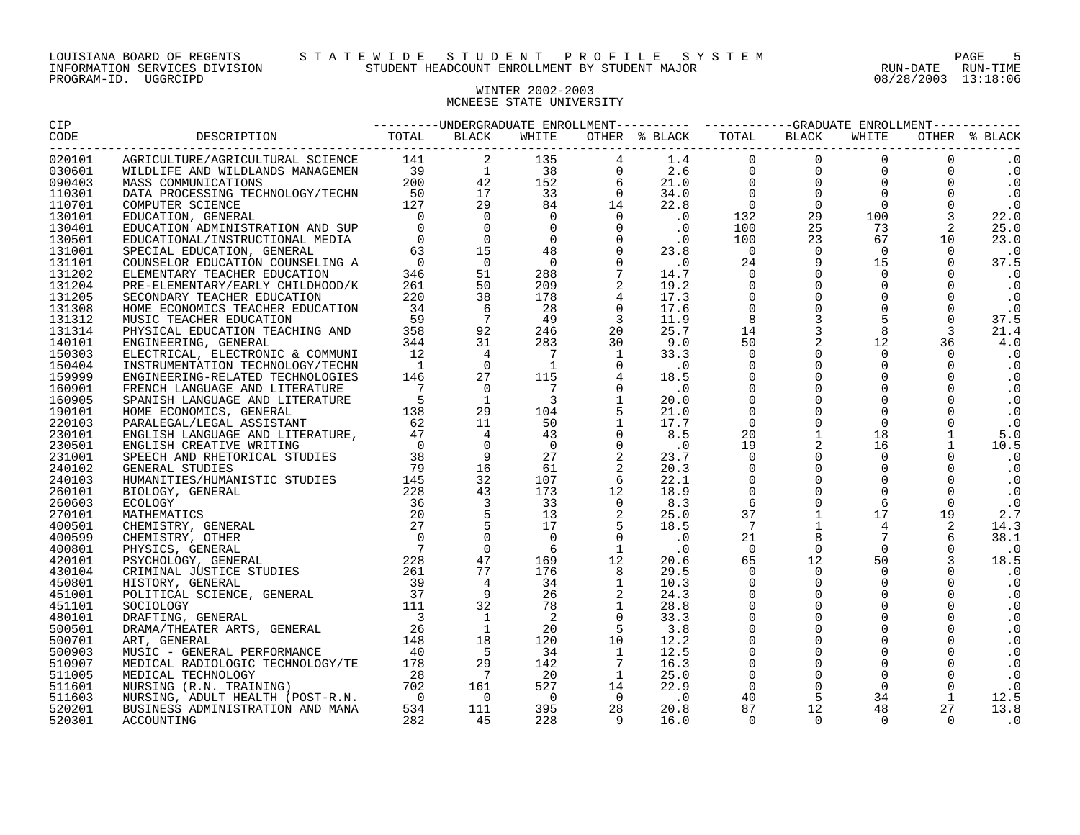#### LOUISIANA BOARD OF REGENTS S T A T E W I D E S T U D E N T P R O F I L E S Y S T E M PAGE 5 INFORMATION SERVICES DIVISION STUDENT HEADCOUNT ENROLLMENT BY STUDENT MAJOR RUN-DATE RUN-TIME

# WINTER 2002-2003 MCNEESE STATE UNIVERSITY

| CIP    |  |  |  |  |  |           |
|--------|--|--|--|--|--|-----------|
| CODE   |  |  |  |  |  |           |
| 020101 |  |  |  |  |  | $\cdot$ 0 |
| 030601 |  |  |  |  |  | $\cdot$ 0 |
| 090403 |  |  |  |  |  | $\cdot$ 0 |
| 110301 |  |  |  |  |  | $\cdot$ 0 |
| 110701 |  |  |  |  |  | $\cdot$ 0 |
| 130101 |  |  |  |  |  | 22.0      |
| 130401 |  |  |  |  |  | 25.0      |
| 130501 |  |  |  |  |  | 23.0      |
| 131001 |  |  |  |  |  | $\cdot$ 0 |
| 131101 |  |  |  |  |  | 37.5      |
| 131202 |  |  |  |  |  | $\cdot$ 0 |
| 131204 |  |  |  |  |  | $\cdot$ 0 |
| 131205 |  |  |  |  |  | $\cdot$ 0 |
| 131308 |  |  |  |  |  | $\cdot$ 0 |
| 131312 |  |  |  |  |  | 37.5      |
| 131314 |  |  |  |  |  | 21.4      |
| 140101 |  |  |  |  |  | 4.0       |
| 150303 |  |  |  |  |  | $\cdot$ 0 |
| 150404 |  |  |  |  |  | $\cdot$ 0 |
| 159999 |  |  |  |  |  | $\cdot$ 0 |
| 160901 |  |  |  |  |  | $\cdot$ 0 |
| 160905 |  |  |  |  |  | $\cdot$ 0 |
| 190101 |  |  |  |  |  | $\cdot$ 0 |
| 220103 |  |  |  |  |  | $\cdot$ 0 |
| 230101 |  |  |  |  |  | 5.0       |
| 230501 |  |  |  |  |  | 10.5      |
| 231001 |  |  |  |  |  | $\cdot$ 0 |
| 240102 |  |  |  |  |  | $\cdot$ 0 |
| 240103 |  |  |  |  |  | $\cdot$ 0 |
| 260101 |  |  |  |  |  | $\cdot$ 0 |
| 260603 |  |  |  |  |  | $\cdot$ 0 |
| 270101 |  |  |  |  |  | 2.7       |
| 400501 |  |  |  |  |  | 14.3      |
| 400599 |  |  |  |  |  | 38.1      |
| 400801 |  |  |  |  |  | $\cdot$ 0 |
| 420101 |  |  |  |  |  | 18.5      |
| 430104 |  |  |  |  |  | $\cdot$ 0 |
| 450801 |  |  |  |  |  | $\cdot$ 0 |
| 451001 |  |  |  |  |  | $\cdot$ 0 |
| 451101 |  |  |  |  |  | $\cdot$ 0 |
| 480101 |  |  |  |  |  | $\cdot$ 0 |
| 500501 |  |  |  |  |  | $\cdot$ 0 |
| 500701 |  |  |  |  |  | $\cdot$ 0 |
| 500903 |  |  |  |  |  | $\cdot$ 0 |
| 510907 |  |  |  |  |  | $\cdot$ 0 |
| 511005 |  |  |  |  |  | $\cdot$ 0 |
| 511601 |  |  |  |  |  | $\cdot$ 0 |
| 511603 |  |  |  |  |  | 12.5      |
| 520201 |  |  |  |  |  | 13.8      |
| 520301 |  |  |  |  |  | $\cdot$ 0 |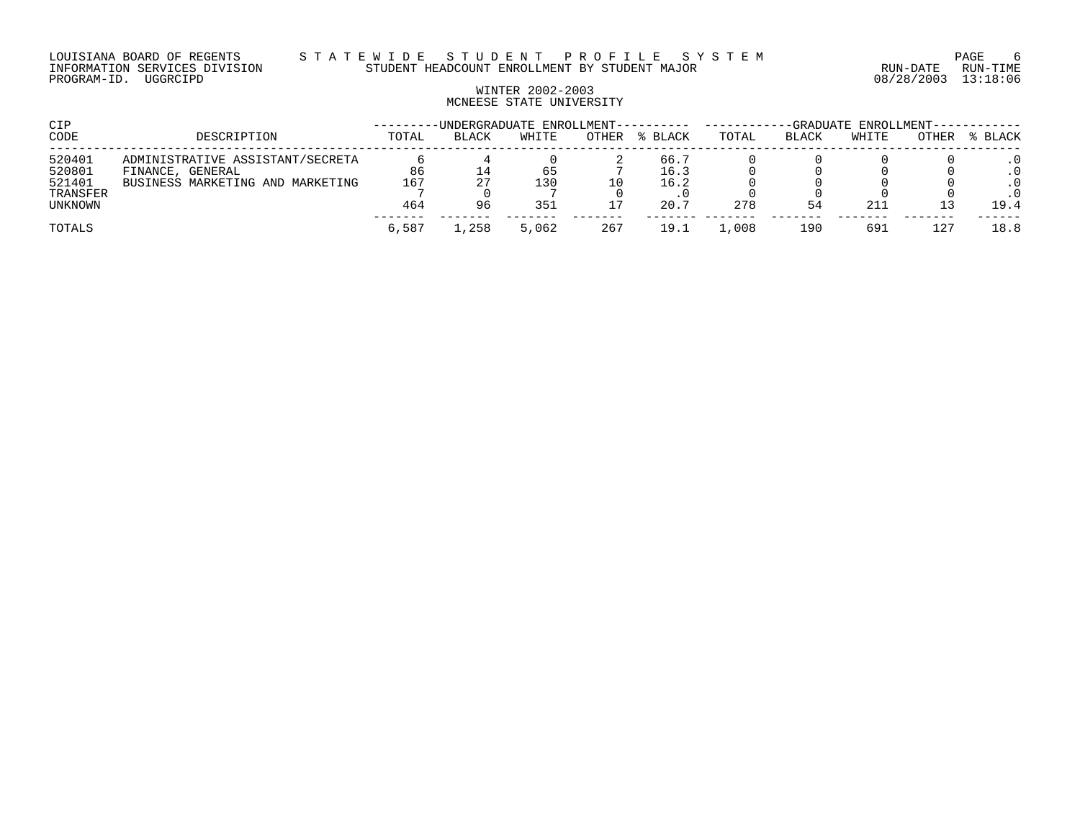LOUISIANA BOARD OF REGENTS S T A T E W I D E S T U D E N T P R O F I L E S Y S T E M PAGE 6 INFORMATION SERVICES DIVISION STUDENT HEADCOUNT ENROLLMENT BY STUDENT MAJOR RUN-DATE RUN-TIME

# WINTER 2002-2003 MCNEESE STATE UNIVERSITY

| CIP                |                                                      |       | -UNDERGRADUATE ENROLLMENT---------- |       |       |              | -GRADUATE ENROLLMENT------ |       |       |       |                        |
|--------------------|------------------------------------------------------|-------|-------------------------------------|-------|-------|--------------|----------------------------|-------|-------|-------|------------------------|
| CODE               | DESCRIPTION                                          | TOTAL | <b>BLACK</b>                        | WHITE | OTHER | % BLACK      | TOTAL                      | BLACK | WHITE | OTHER | % BLACK                |
| 520401<br>520801   | ADMINISTRATIVE ASSISTANT/SECRETA<br>FINANCE, GENERAL | 86    | ⊥4                                  | 65    |       | 66.7<br>16.3 |                            |       |       |       | $\cdot$ 0              |
| 521401<br>TRANSFER | BUSINESS MARKETING AND MARKETING                     | 167   | 27                                  | 130   | 10    | 16.2         |                            |       |       |       | $\cdot$ 0<br>$\cdot$ 0 |
| UNKNOWN            |                                                      | 464   | 96                                  | 351   |       | 20.7         | 278                        | 54    | 211   |       | 19.4                   |
| TOTALS             |                                                      | 6,587 | .258                                | 5,062 | 267   | 19.1         | ,008                       | 190   | 691   | 127   | 18.8                   |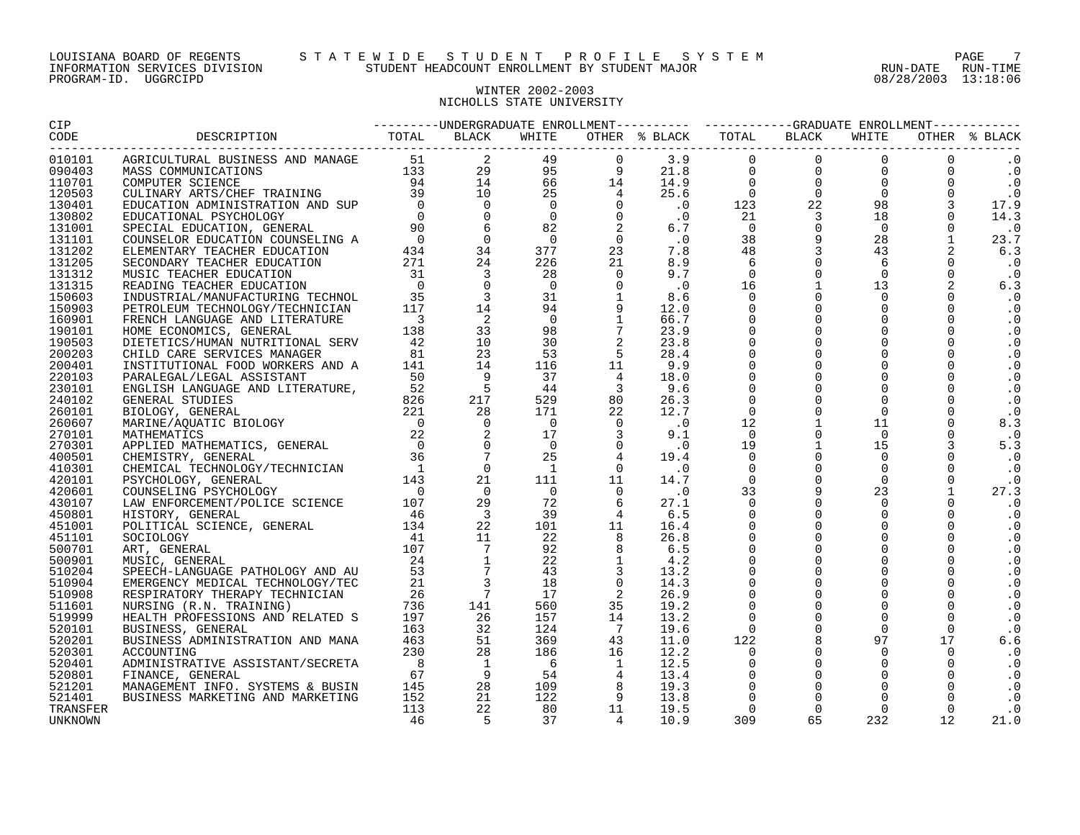## WINTER 2002-2003 NICHOLLS STATE UNIVERSITY

| $\begin{smallmatrix} &\text{RMS} & \text{RMS} & \text{RMS} & \text{RMS} & \text{RMS} & \text{RMS} & \text{RMS} & \text{RMS} & \text{RMS} & \text{RMS} & \text{RMS} & \text{RMS} & \text{RMS} & \text{RMS} & \text{RMS} & \text{RMS} & \text{RMS} & \text{RMS} & \text{RMS} & \text{RMS} & \text{RMS} & \text{RMS} & \text{RMS} & \text{RMS} & \text{RMS} & \text{RMS} & \text{RMS} & \text{RMS} & \text{RMS} & \text{RMS} & \text{$<br>010101<br>090403<br>131101<br>131202<br>131205<br>131312<br>131315<br>150603<br>150903<br>160901<br>190101<br>190503<br>200203<br>200401<br>220103<br>230101<br>240102<br>260101<br>260607<br>270101<br>270301<br>400501<br>410301<br>420101<br>420601<br>430107<br>450801<br>451001<br>451101<br>500701<br>500901<br>510204<br>510904<br>510908<br>511601<br>519999<br>520101<br>520201<br>520301<br>520401<br>520801<br>521401 |          |  |  |  |  |  |  |
|-------------------------------------------------------------------------------------------------------------------------------------------------------------------------------------------------------------------------------------------------------------------------------------------------------------------------------------------------------------------------------------------------------------------------------------------------------------------------------------------------------------------------------------------------------------------------------------------------------------------------------------------------------------------------------------------------------------------------------------------------------------------------------------------------------------------------------------------------------------------------|----------|--|--|--|--|--|--|
|                                                                                                                                                                                                                                                                                                                                                                                                                                                                                                                                                                                                                                                                                                                                                                                                                                                                         |          |  |  |  |  |  |  |
|                                                                                                                                                                                                                                                                                                                                                                                                                                                                                                                                                                                                                                                                                                                                                                                                                                                                         |          |  |  |  |  |  |  |
| $\cdot$ 0                                                                                                                                                                                                                                                                                                                                                                                                                                                                                                                                                                                                                                                                                                                                                                                                                                                               |          |  |  |  |  |  |  |
|                                                                                                                                                                                                                                                                                                                                                                                                                                                                                                                                                                                                                                                                                                                                                                                                                                                                         | 110701   |  |  |  |  |  |  |
|                                                                                                                                                                                                                                                                                                                                                                                                                                                                                                                                                                                                                                                                                                                                                                                                                                                                         | 120503   |  |  |  |  |  |  |
|                                                                                                                                                                                                                                                                                                                                                                                                                                                                                                                                                                                                                                                                                                                                                                                                                                                                         | 130401   |  |  |  |  |  |  |
|                                                                                                                                                                                                                                                                                                                                                                                                                                                                                                                                                                                                                                                                                                                                                                                                                                                                         | 130802   |  |  |  |  |  |  |
|                                                                                                                                                                                                                                                                                                                                                                                                                                                                                                                                                                                                                                                                                                                                                                                                                                                                         | 131001   |  |  |  |  |  |  |
|                                                                                                                                                                                                                                                                                                                                                                                                                                                                                                                                                                                                                                                                                                                                                                                                                                                                         |          |  |  |  |  |  |  |
|                                                                                                                                                                                                                                                                                                                                                                                                                                                                                                                                                                                                                                                                                                                                                                                                                                                                         |          |  |  |  |  |  |  |
|                                                                                                                                                                                                                                                                                                                                                                                                                                                                                                                                                                                                                                                                                                                                                                                                                                                                         |          |  |  |  |  |  |  |
|                                                                                                                                                                                                                                                                                                                                                                                                                                                                                                                                                                                                                                                                                                                                                                                                                                                                         |          |  |  |  |  |  |  |
|                                                                                                                                                                                                                                                                                                                                                                                                                                                                                                                                                                                                                                                                                                                                                                                                                                                                         |          |  |  |  |  |  |  |
|                                                                                                                                                                                                                                                                                                                                                                                                                                                                                                                                                                                                                                                                                                                                                                                                                                                                         |          |  |  |  |  |  |  |
|                                                                                                                                                                                                                                                                                                                                                                                                                                                                                                                                                                                                                                                                                                                                                                                                                                                                         |          |  |  |  |  |  |  |
|                                                                                                                                                                                                                                                                                                                                                                                                                                                                                                                                                                                                                                                                                                                                                                                                                                                                         |          |  |  |  |  |  |  |
|                                                                                                                                                                                                                                                                                                                                                                                                                                                                                                                                                                                                                                                                                                                                                                                                                                                                         |          |  |  |  |  |  |  |
|                                                                                                                                                                                                                                                                                                                                                                                                                                                                                                                                                                                                                                                                                                                                                                                                                                                                         |          |  |  |  |  |  |  |
|                                                                                                                                                                                                                                                                                                                                                                                                                                                                                                                                                                                                                                                                                                                                                                                                                                                                         |          |  |  |  |  |  |  |
|                                                                                                                                                                                                                                                                                                                                                                                                                                                                                                                                                                                                                                                                                                                                                                                                                                                                         |          |  |  |  |  |  |  |
|                                                                                                                                                                                                                                                                                                                                                                                                                                                                                                                                                                                                                                                                                                                                                                                                                                                                         |          |  |  |  |  |  |  |
|                                                                                                                                                                                                                                                                                                                                                                                                                                                                                                                                                                                                                                                                                                                                                                                                                                                                         |          |  |  |  |  |  |  |
|                                                                                                                                                                                                                                                                                                                                                                                                                                                                                                                                                                                                                                                                                                                                                                                                                                                                         |          |  |  |  |  |  |  |
|                                                                                                                                                                                                                                                                                                                                                                                                                                                                                                                                                                                                                                                                                                                                                                                                                                                                         |          |  |  |  |  |  |  |
|                                                                                                                                                                                                                                                                                                                                                                                                                                                                                                                                                                                                                                                                                                                                                                                                                                                                         |          |  |  |  |  |  |  |
|                                                                                                                                                                                                                                                                                                                                                                                                                                                                                                                                                                                                                                                                                                                                                                                                                                                                         |          |  |  |  |  |  |  |
|                                                                                                                                                                                                                                                                                                                                                                                                                                                                                                                                                                                                                                                                                                                                                                                                                                                                         |          |  |  |  |  |  |  |
|                                                                                                                                                                                                                                                                                                                                                                                                                                                                                                                                                                                                                                                                                                                                                                                                                                                                         |          |  |  |  |  |  |  |
|                                                                                                                                                                                                                                                                                                                                                                                                                                                                                                                                                                                                                                                                                                                                                                                                                                                                         |          |  |  |  |  |  |  |
|                                                                                                                                                                                                                                                                                                                                                                                                                                                                                                                                                                                                                                                                                                                                                                                                                                                                         |          |  |  |  |  |  |  |
|                                                                                                                                                                                                                                                                                                                                                                                                                                                                                                                                                                                                                                                                                                                                                                                                                                                                         |          |  |  |  |  |  |  |
|                                                                                                                                                                                                                                                                                                                                                                                                                                                                                                                                                                                                                                                                                                                                                                                                                                                                         |          |  |  |  |  |  |  |
|                                                                                                                                                                                                                                                                                                                                                                                                                                                                                                                                                                                                                                                                                                                                                                                                                                                                         |          |  |  |  |  |  |  |
|                                                                                                                                                                                                                                                                                                                                                                                                                                                                                                                                                                                                                                                                                                                                                                                                                                                                         |          |  |  |  |  |  |  |
|                                                                                                                                                                                                                                                                                                                                                                                                                                                                                                                                                                                                                                                                                                                                                                                                                                                                         |          |  |  |  |  |  |  |
|                                                                                                                                                                                                                                                                                                                                                                                                                                                                                                                                                                                                                                                                                                                                                                                                                                                                         |          |  |  |  |  |  |  |
|                                                                                                                                                                                                                                                                                                                                                                                                                                                                                                                                                                                                                                                                                                                                                                                                                                                                         |          |  |  |  |  |  |  |
|                                                                                                                                                                                                                                                                                                                                                                                                                                                                                                                                                                                                                                                                                                                                                                                                                                                                         |          |  |  |  |  |  |  |
|                                                                                                                                                                                                                                                                                                                                                                                                                                                                                                                                                                                                                                                                                                                                                                                                                                                                         |          |  |  |  |  |  |  |
|                                                                                                                                                                                                                                                                                                                                                                                                                                                                                                                                                                                                                                                                                                                                                                                                                                                                         |          |  |  |  |  |  |  |
|                                                                                                                                                                                                                                                                                                                                                                                                                                                                                                                                                                                                                                                                                                                                                                                                                                                                         |          |  |  |  |  |  |  |
|                                                                                                                                                                                                                                                                                                                                                                                                                                                                                                                                                                                                                                                                                                                                                                                                                                                                         |          |  |  |  |  |  |  |
|                                                                                                                                                                                                                                                                                                                                                                                                                                                                                                                                                                                                                                                                                                                                                                                                                                                                         |          |  |  |  |  |  |  |
|                                                                                                                                                                                                                                                                                                                                                                                                                                                                                                                                                                                                                                                                                                                                                                                                                                                                         |          |  |  |  |  |  |  |
|                                                                                                                                                                                                                                                                                                                                                                                                                                                                                                                                                                                                                                                                                                                                                                                                                                                                         |          |  |  |  |  |  |  |
|                                                                                                                                                                                                                                                                                                                                                                                                                                                                                                                                                                                                                                                                                                                                                                                                                                                                         |          |  |  |  |  |  |  |
|                                                                                                                                                                                                                                                                                                                                                                                                                                                                                                                                                                                                                                                                                                                                                                                                                                                                         |          |  |  |  |  |  |  |
|                                                                                                                                                                                                                                                                                                                                                                                                                                                                                                                                                                                                                                                                                                                                                                                                                                                                         |          |  |  |  |  |  |  |
|                                                                                                                                                                                                                                                                                                                                                                                                                                                                                                                                                                                                                                                                                                                                                                                                                                                                         | 521201   |  |  |  |  |  |  |
|                                                                                                                                                                                                                                                                                                                                                                                                                                                                                                                                                                                                                                                                                                                                                                                                                                                                         |          |  |  |  |  |  |  |
|                                                                                                                                                                                                                                                                                                                                                                                                                                                                                                                                                                                                                                                                                                                                                                                                                                                                         | TRANSFER |  |  |  |  |  |  |
|                                                                                                                                                                                                                                                                                                                                                                                                                                                                                                                                                                                                                                                                                                                                                                                                                                                                         | UNKNOWN  |  |  |  |  |  |  |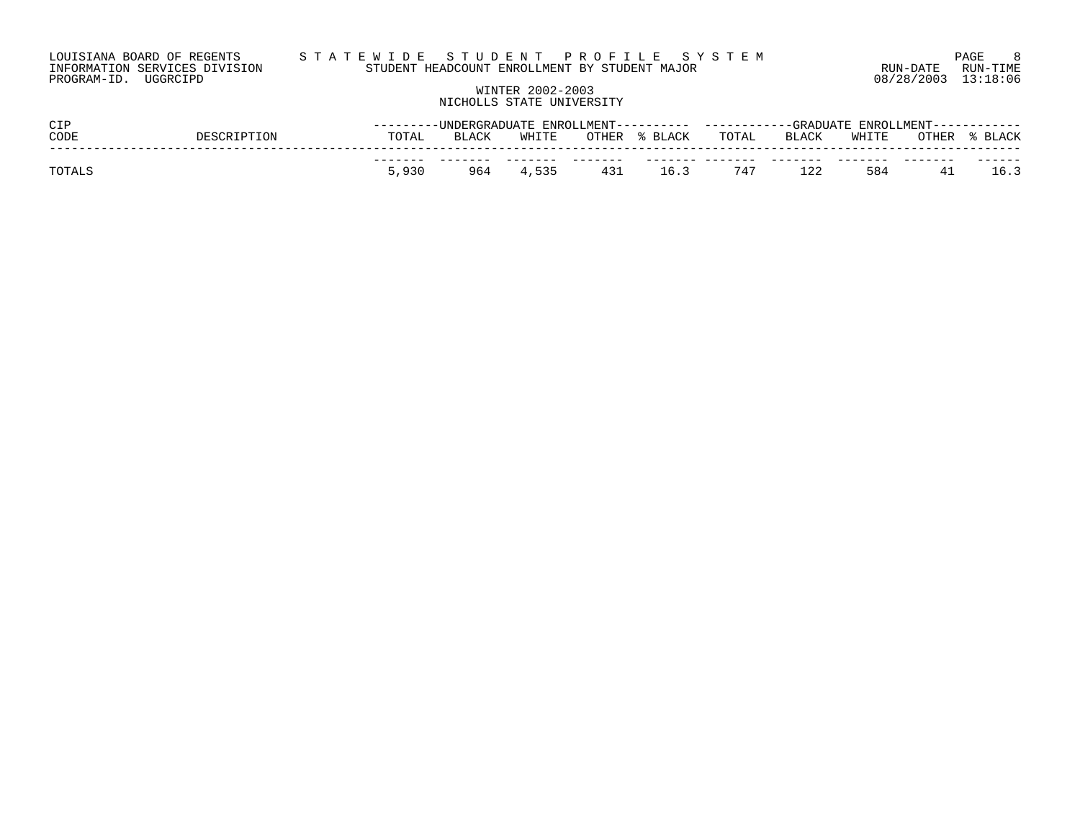| LOUISIANA BOARD OF REGENTS    | STATEWIDE STUDENT PROFILE SYSTEM              |                     | <b>PAGE</b> |
|-------------------------------|-----------------------------------------------|---------------------|-------------|
| INFORMATION SERVICES DIVISION | STUDENT HEADCOUNT ENROLLMENT BY STUDENT MAJOR | RUN-DATE            | RUN-TIME    |
| PROGRAM-ID. UGGRCIPD          |                                               | 08/28/2003 13:18:06 |             |

# WINTER 2002-2003 NICHOLLS STATE UNIVERSITY

| CIP    |  | -UNDERGRADUATE ENROLLMENT---------- |       |           | ENROLLMENT – – –<br>------------GRADIJATE |       |       |       |       |       |
|--------|--|-------------------------------------|-------|-----------|-------------------------------------------|-------|-------|-------|-------|-------|
| CODE   |  | TOTAL                               | BLACK | WHITE     | OTHER % BLACK                             | TOTAL | BLACK | WHITE | OTHER | BLACK |
|        |  |                                     |       |           |                                           |       |       |       |       |       |
| TOTALS |  | 5,930                               |       | 964 4,535 | 431 16.3 747                              |       | 122   | 584   | 41    | 16.3  |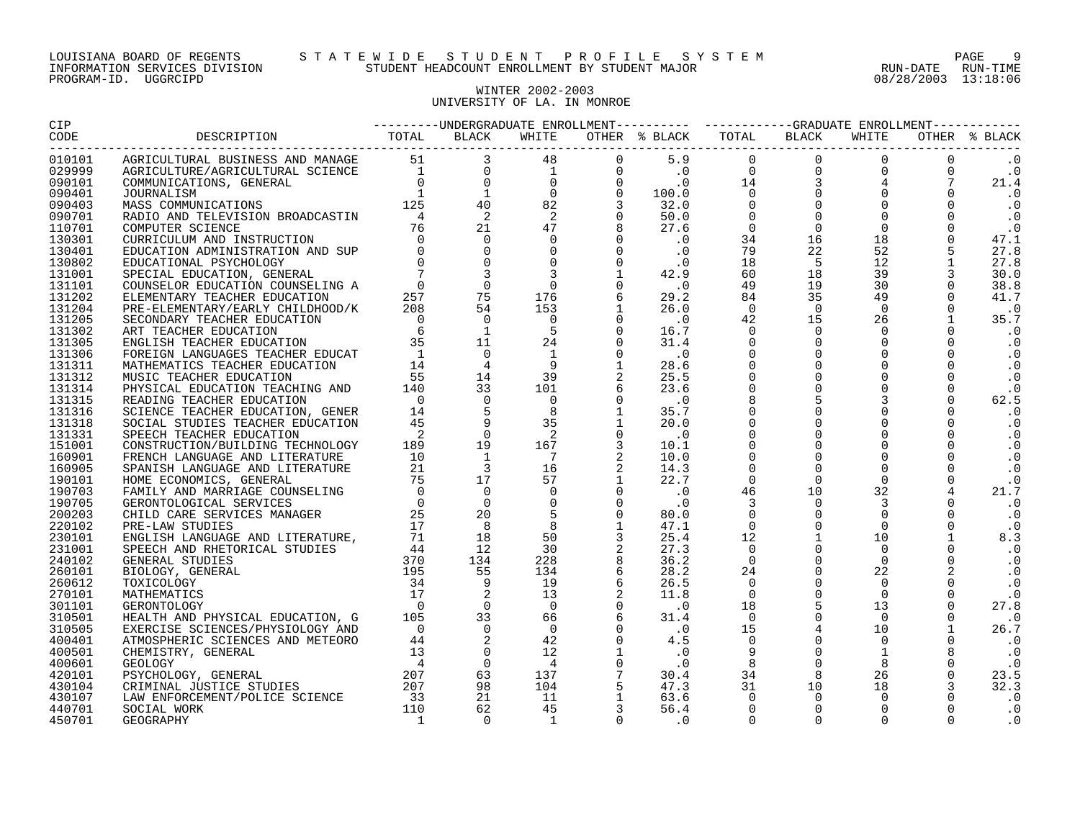# WINTER 2002-2003 UNIVERSITY OF LA. IN MONROE

|                  | $\begin{smallmatrix} \textbf{1}_{\text{G}}\textbf{1}_{\text{G}}\textbf{1}_{\text{G}}\textbf{1}_{\text{G}}\textbf{1}_{\text{G}}\textbf{1}_{\text{G}}\textbf{1}_{\text{G}}\textbf{1}_{\text{G}}\textbf{1}_{\text{G}}\textbf{1}_{\text{G}}\textbf{1}_{\text{G}}\textbf{1}_{\text{G}}\textbf{1}_{\text{G}}\textbf{1}_{\text{G}}\textbf{1}_{\text{G}}\textbf{1}_{\text{G}}\textbf{1}_{\text{G}}\textbf{1}_{\text{G}}\textbf{1}_{\text{G}}\textbf{1$ |  |  |  |  |           |
|------------------|------------------------------------------------------------------------------------------------------------------------------------------------------------------------------------------------------------------------------------------------------------------------------------------------------------------------------------------------------------------------------------------------------------------------------------------------|--|--|--|--|-----------|
| 010101           |                                                                                                                                                                                                                                                                                                                                                                                                                                                |  |  |  |  |           |
| 029999           |                                                                                                                                                                                                                                                                                                                                                                                                                                                |  |  |  |  |           |
| 090101           |                                                                                                                                                                                                                                                                                                                                                                                                                                                |  |  |  |  |           |
| 090401           |                                                                                                                                                                                                                                                                                                                                                                                                                                                |  |  |  |  | $\cdot$ 0 |
| 090403           |                                                                                                                                                                                                                                                                                                                                                                                                                                                |  |  |  |  |           |
| 090701           |                                                                                                                                                                                                                                                                                                                                                                                                                                                |  |  |  |  | $\cdot$ 0 |
| 110701           |                                                                                                                                                                                                                                                                                                                                                                                                                                                |  |  |  |  |           |
| 130301           |                                                                                                                                                                                                                                                                                                                                                                                                                                                |  |  |  |  |           |
| 130401           |                                                                                                                                                                                                                                                                                                                                                                                                                                                |  |  |  |  |           |
| 130802           |                                                                                                                                                                                                                                                                                                                                                                                                                                                |  |  |  |  |           |
| 131001           |                                                                                                                                                                                                                                                                                                                                                                                                                                                |  |  |  |  |           |
| 131101           |                                                                                                                                                                                                                                                                                                                                                                                                                                                |  |  |  |  |           |
| 131202           |                                                                                                                                                                                                                                                                                                                                                                                                                                                |  |  |  |  |           |
| 131204           |                                                                                                                                                                                                                                                                                                                                                                                                                                                |  |  |  |  |           |
| 131205           |                                                                                                                                                                                                                                                                                                                                                                                                                                                |  |  |  |  |           |
| 131302           |                                                                                                                                                                                                                                                                                                                                                                                                                                                |  |  |  |  |           |
| 131305           |                                                                                                                                                                                                                                                                                                                                                                                                                                                |  |  |  |  |           |
| 131306           |                                                                                                                                                                                                                                                                                                                                                                                                                                                |  |  |  |  |           |
| 131311           |                                                                                                                                                                                                                                                                                                                                                                                                                                                |  |  |  |  |           |
| 131312           |                                                                                                                                                                                                                                                                                                                                                                                                                                                |  |  |  |  |           |
| 131314           |                                                                                                                                                                                                                                                                                                                                                                                                                                                |  |  |  |  |           |
| 131315           |                                                                                                                                                                                                                                                                                                                                                                                                                                                |  |  |  |  |           |
| 131316           |                                                                                                                                                                                                                                                                                                                                                                                                                                                |  |  |  |  |           |
| 131318           |                                                                                                                                                                                                                                                                                                                                                                                                                                                |  |  |  |  |           |
| 131331           |                                                                                                                                                                                                                                                                                                                                                                                                                                                |  |  |  |  |           |
| 151001           |                                                                                                                                                                                                                                                                                                                                                                                                                                                |  |  |  |  |           |
| 160901           |                                                                                                                                                                                                                                                                                                                                                                                                                                                |  |  |  |  |           |
| 160905           |                                                                                                                                                                                                                                                                                                                                                                                                                                                |  |  |  |  |           |
| 190101           |                                                                                                                                                                                                                                                                                                                                                                                                                                                |  |  |  |  |           |
| 190703           |                                                                                                                                                                                                                                                                                                                                                                                                                                                |  |  |  |  | 21.7      |
| 190705           |                                                                                                                                                                                                                                                                                                                                                                                                                                                |  |  |  |  |           |
| 200203           |                                                                                                                                                                                                                                                                                                                                                                                                                                                |  |  |  |  |           |
| 220102<br>230101 |                                                                                                                                                                                                                                                                                                                                                                                                                                                |  |  |  |  | 8.3       |
| 231001           |                                                                                                                                                                                                                                                                                                                                                                                                                                                |  |  |  |  |           |
| 240102           |                                                                                                                                                                                                                                                                                                                                                                                                                                                |  |  |  |  |           |
| 260101           |                                                                                                                                                                                                                                                                                                                                                                                                                                                |  |  |  |  |           |
| 260612           |                                                                                                                                                                                                                                                                                                                                                                                                                                                |  |  |  |  |           |
| 270101           |                                                                                                                                                                                                                                                                                                                                                                                                                                                |  |  |  |  |           |
| 301101           |                                                                                                                                                                                                                                                                                                                                                                                                                                                |  |  |  |  | 27.8      |
| 310501           |                                                                                                                                                                                                                                                                                                                                                                                                                                                |  |  |  |  |           |
| 310505           |                                                                                                                                                                                                                                                                                                                                                                                                                                                |  |  |  |  | 26.7      |
| 400401           |                                                                                                                                                                                                                                                                                                                                                                                                                                                |  |  |  |  |           |
| 400501           |                                                                                                                                                                                                                                                                                                                                                                                                                                                |  |  |  |  |           |
| 400601           |                                                                                                                                                                                                                                                                                                                                                                                                                                                |  |  |  |  |           |
| 420101           |                                                                                                                                                                                                                                                                                                                                                                                                                                                |  |  |  |  |           |
| 430104           |                                                                                                                                                                                                                                                                                                                                                                                                                                                |  |  |  |  |           |
| 430107           |                                                                                                                                                                                                                                                                                                                                                                                                                                                |  |  |  |  |           |
| 440701           |                                                                                                                                                                                                                                                                                                                                                                                                                                                |  |  |  |  |           |
| 450701           |                                                                                                                                                                                                                                                                                                                                                                                                                                                |  |  |  |  |           |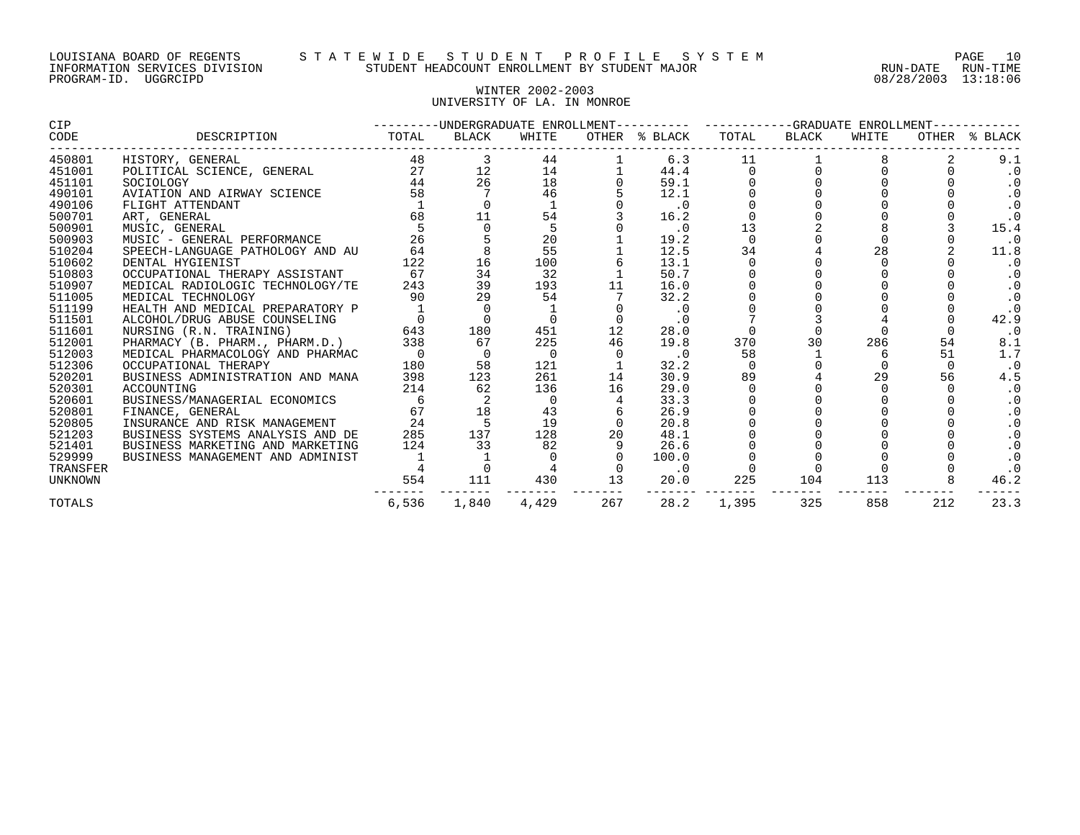# WINTER 2002-2003 UNIVERSITY OF LA. IN MONROE

| CIP      |                                  |       |       |          |     | ---------UNDERGRADUATE ENROLLMENT---------- ----------GRADUATE ENROLLMENT------- |          |       |       |     |               |
|----------|----------------------------------|-------|-------|----------|-----|----------------------------------------------------------------------------------|----------|-------|-------|-----|---------------|
| CODE     | DESCRIPTION                      | TOTAL | BLACK | WHITE    |     | OTHER % BLACK                                                                    | TOTAL    | BLACK | WHITE |     | OTHER % BLACK |
| 450801   | HISTORY, GENERAL                 | 48    |       | 44       |     | 6.3                                                                              | 11       |       |       |     | 9.1           |
| 451001   | POLITICAL SCIENCE, GENERAL       | 27    | 12    | 14       |     | 44.4                                                                             |          |       |       |     | $\cdot$ 0     |
| 451101   | SOCIOLOGY                        | 44    | 26    | 18       |     | 59.1                                                                             |          |       |       |     |               |
| 490101   | AVIATION AND AIRWAY SCIENCE      | 58    |       | 46       |     | 12.1                                                                             |          |       |       |     |               |
| 490106   | FLIGHT ATTENDANT                 |       |       |          |     | $\cdot$ 0                                                                        |          |       |       |     |               |
| 500701   | ART, GENERAL                     | 68    | 11    | 54       |     | 16.2                                                                             |          |       |       |     | $\cdot$ 0     |
| 500901   | MUSIC, GENERAL                   |       |       | 5        |     | $\cdot$ 0                                                                        | 13       |       |       |     | 15.4          |
| 500903   | MUSIC - GENERAL PERFORMANCE      | 26    |       | 20       |     | 19.2                                                                             | $\Omega$ |       |       |     | $\cdot$ 0     |
| 510204   | SPEECH-LANGUAGE PATHOLOGY AND AU | 64    |       | 55       |     | 12.5                                                                             | 34       |       | 28    |     | 11.8          |
| 510602   | DENTAL HYGIENIST                 | 122   | 16    | 100      |     | 13.1                                                                             |          |       |       |     | $\cdot$ 0     |
| 510803   | OCCUPATIONAL THERAPY ASSISTANT   | 67    | 34    | 32       |     | 50.7                                                                             |          |       |       |     |               |
| 510907   | MEDICAL RADIOLOGIC TECHNOLOGY/TE | 243   | 39    | 193      | 11  | 16.0                                                                             |          |       |       |     |               |
| 511005   | MEDICAL TECHNOLOGY               | 90    | 29    | 54       |     | 32.2                                                                             |          |       |       |     |               |
| 511199   | HEALTH AND MEDICAL PREPARATORY P |       |       |          |     | $\cdot$ 0                                                                        |          |       |       |     |               |
| 511501   | ALCOHOL/DRUG ABUSE COUNSELING    |       |       |          |     | $\cdot$ 0                                                                        |          |       |       |     | 42.9          |
| 511601   | NURSING (R.N. TRAINING)          | 643   | 180   | 451      | 12  | 28.0                                                                             |          |       |       |     | $\cdot$ 0     |
| 512001   | PHARMACY (B. PHARM., PHARM.D.)   | 338   | 67    | 225      | 46  | 19.8                                                                             | 370      | 30    | 286   | 54  | 8.1           |
| 512003   | MEDICAL PHARMACOLOGY AND PHARMAC |       |       | $\Omega$ |     | $\cdot$ 0                                                                        | 58       |       | 6     | 51  | 1.7           |
| 512306   | OCCUPATIONAL THERAPY             | 180   | 58    | 121      |     | 32.2                                                                             |          |       |       |     | $\cdot$ 0     |
| 520201   | BUSINESS ADMINISTRATION AND MANA | 398   | 123   | 261      | 14  | 30.9                                                                             | 89       |       | 29    | 56  | 4.5           |
| 520301   | ACCOUNTING                       | 214   | 62    | 136      | 16  | 29.0                                                                             |          |       |       |     | $\cdot$ 0     |
| 520601   | BUSINESS/MANAGERIAL ECONOMICS    |       |       | $\Omega$ |     | 33.3                                                                             |          |       |       |     |               |
| 520801   | FINANCE, GENERAL                 | 67    | 18    | 43       |     | 26.9                                                                             |          |       |       |     |               |
| 520805   | INSURANCE AND RISK MANAGEMENT    | 24    |       | 19       |     | 20.8                                                                             |          |       |       |     |               |
| 521203   | BUSINESS SYSTEMS ANALYSIS AND DE | 285   | 137   | 128      | 20  | 48.1                                                                             |          |       |       |     |               |
| 521401   | BUSINESS MARKETING AND MARKETING | 124   | 33    | 82       |     | 26.6                                                                             |          |       |       |     |               |
| 529999   | BUSINESS MANAGEMENT AND ADMINIST |       |       |          |     | 100.0                                                                            |          |       |       |     |               |
| TRANSFER |                                  |       |       |          |     | $\cdot$ 0                                                                        |          |       |       |     |               |
| UNKNOWN  |                                  | 554   | 111   | 430      | 13  | 20.0                                                                             | 225      | 104   | 113   |     | 46.2          |
| TOTALS   |                                  | 6,536 | 1,840 | 4,429    | 267 | 28.2                                                                             | 1,395    | 325   | 858   | 212 | 23.3          |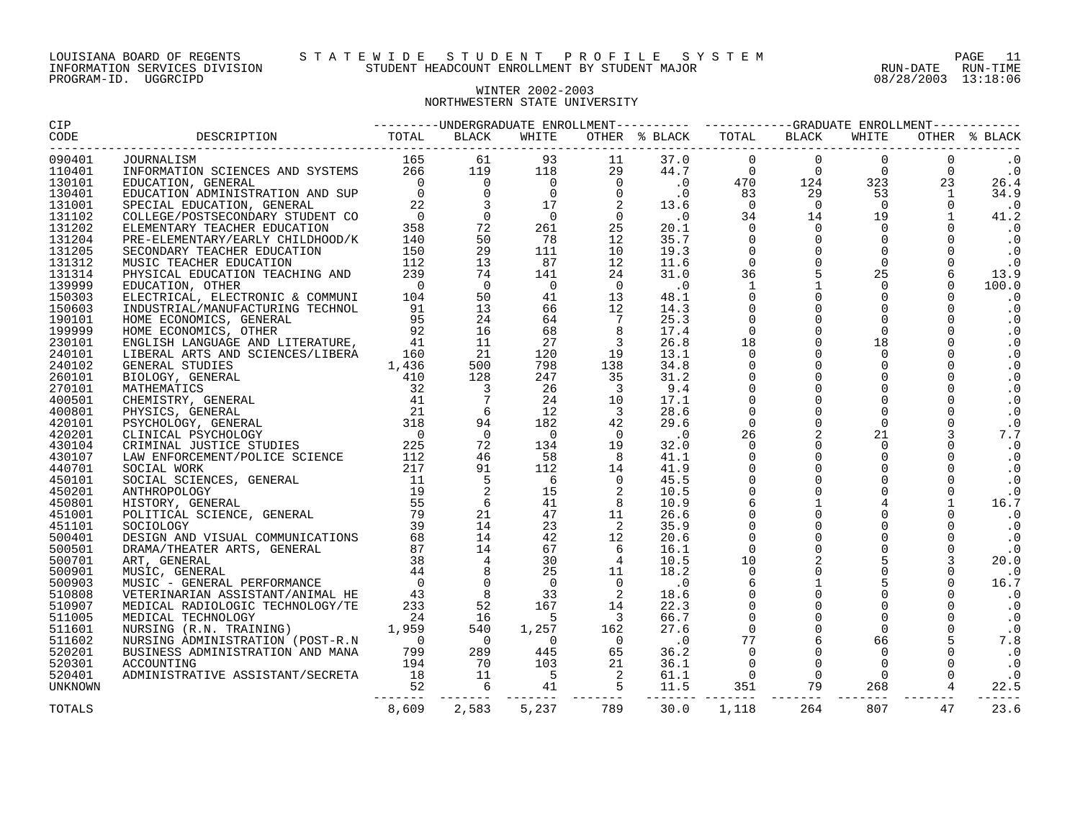# WINTER 2002-2003 NORTHWESTERN STATE UNIVERSITY

| 090401           |       |       |  |                      |     |  |             |
|------------------|-------|-------|--|----------------------|-----|--|-------------|
| 110401           |       |       |  |                      |     |  |             |
| 130101           |       |       |  |                      |     |  |             |
| 130401           |       |       |  |                      |     |  |             |
| 131001           |       |       |  |                      |     |  |             |
| 131102           |       |       |  |                      |     |  | 41.2        |
| 131202           |       |       |  |                      |     |  |             |
| 131204           |       |       |  |                      |     |  |             |
| 131205           |       |       |  |                      |     |  |             |
| 131312           |       |       |  |                      |     |  |             |
| 131314           |       |       |  |                      |     |  |             |
| 139999           |       |       |  |                      |     |  |             |
| 150303           |       |       |  |                      |     |  |             |
| 150603           |       |       |  |                      |     |  |             |
| 190101           |       |       |  |                      |     |  |             |
| 199999           |       |       |  |                      |     |  |             |
| 230101           |       |       |  |                      |     |  |             |
| 240101           |       |       |  |                      |     |  |             |
| 240102           |       |       |  |                      |     |  |             |
| 260101           |       |       |  |                      |     |  |             |
| 270101           |       |       |  |                      |     |  |             |
| 400501           |       |       |  |                      |     |  |             |
| 400801           |       |       |  |                      |     |  |             |
| 420101           |       |       |  |                      |     |  |             |
| 420201           |       |       |  |                      |     |  |             |
| 430104           |       |       |  |                      |     |  |             |
| 430107           |       |       |  |                      |     |  |             |
| 440701<br>450101 |       |       |  |                      |     |  |             |
|                  |       |       |  |                      |     |  |             |
| 450201<br>450801 |       |       |  |                      |     |  |             |
| 451001           |       |       |  |                      |     |  |             |
| 451101           |       |       |  |                      |     |  |             |
| 500401           |       |       |  |                      |     |  |             |
| 500501           |       |       |  |                      |     |  |             |
| 500701           |       |       |  |                      |     |  | 20.0        |
| 500901           |       |       |  |                      |     |  |             |
| 500903           |       |       |  |                      |     |  |             |
| 510808           |       |       |  |                      |     |  |             |
| 510907           |       |       |  |                      |     |  |             |
| 511005           |       |       |  |                      |     |  |             |
| 511601           |       |       |  |                      |     |  |             |
| 511602           |       |       |  |                      |     |  |             |
| 520201           |       |       |  |                      |     |  |             |
| 520301           |       |       |  |                      |     |  | $\cdot$ 0   |
| 520401           |       |       |  |                      |     |  |             |
| UNKNOWN          |       |       |  |                      |     |  |             |
| TOTALS           | 8,609 | 2,583 |  | 5,237 789 30.0 1,118 | 264 |  | 807 47 23.6 |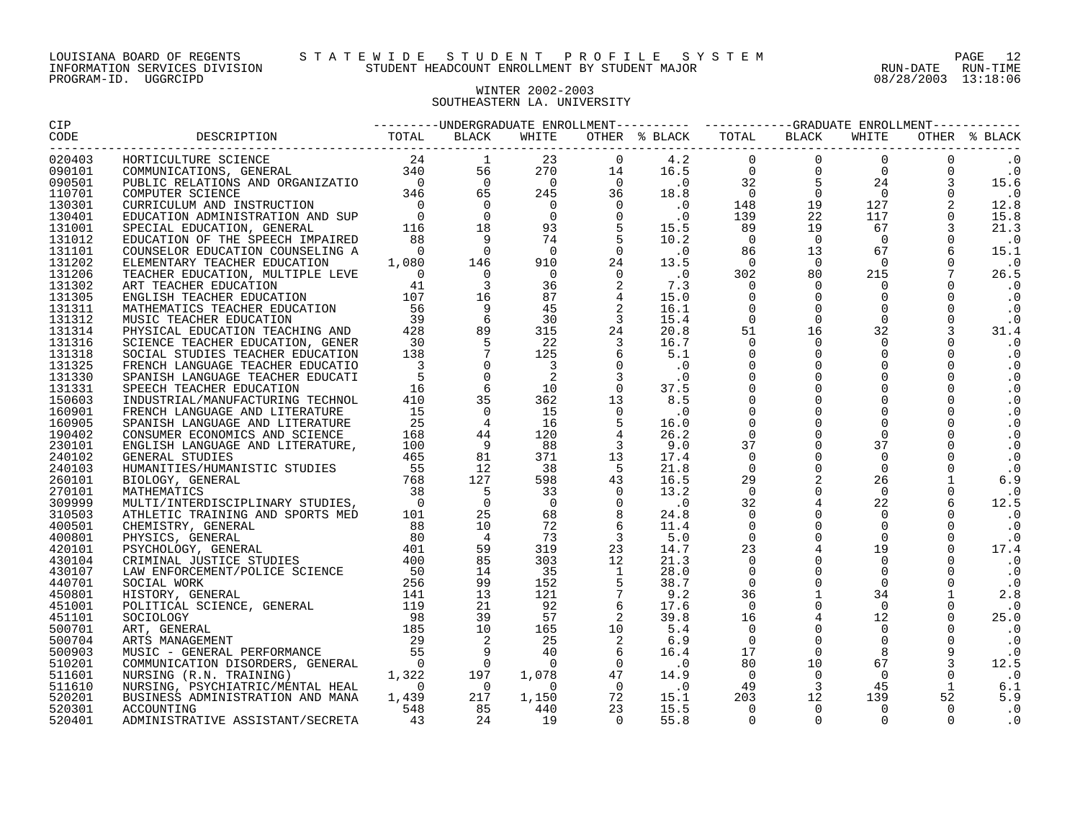## WINTER 2002-2003 SOUTHEASTERN LA. UNIVERSITY

| <b>CIP</b> |                                 |  |  |  |  |           |
|------------|---------------------------------|--|--|--|--|-----------|
| CODE       | _______________________________ |  |  |  |  |           |
| 020403     |                                 |  |  |  |  |           |
| 090101     |                                 |  |  |  |  | $\cdot$ 0 |
| 090501     |                                 |  |  |  |  |           |
| 110701     |                                 |  |  |  |  | $\cdot$ 0 |
| 130301     |                                 |  |  |  |  |           |
| 130401     |                                 |  |  |  |  |           |
| 131001     |                                 |  |  |  |  |           |
| 131012     |                                 |  |  |  |  |           |
| 131101     |                                 |  |  |  |  |           |
| 131202     |                                 |  |  |  |  |           |
| 131206     |                                 |  |  |  |  |           |
| 131302     |                                 |  |  |  |  |           |
| 131305     |                                 |  |  |  |  |           |
| 131311     |                                 |  |  |  |  |           |
| 131312     |                                 |  |  |  |  |           |
| 131314     |                                 |  |  |  |  |           |
| 131316     |                                 |  |  |  |  |           |
| 131318     |                                 |  |  |  |  |           |
| 131325     |                                 |  |  |  |  |           |
| 131330     |                                 |  |  |  |  |           |
| 131331     |                                 |  |  |  |  |           |
| 150603     |                                 |  |  |  |  |           |
| 160901     |                                 |  |  |  |  |           |
| 160905     |                                 |  |  |  |  |           |
| 190402     |                                 |  |  |  |  |           |
| 230101     |                                 |  |  |  |  |           |
| 240102     |                                 |  |  |  |  |           |
| 240103     |                                 |  |  |  |  |           |
| 260101     |                                 |  |  |  |  |           |
| 270101     |                                 |  |  |  |  | $\cdot$ 0 |
| 309999     |                                 |  |  |  |  |           |
| 310503     |                                 |  |  |  |  |           |
| 400501     |                                 |  |  |  |  |           |
| 400801     |                                 |  |  |  |  |           |
| 420101     |                                 |  |  |  |  |           |
| 430104     |                                 |  |  |  |  |           |
| 430107     |                                 |  |  |  |  |           |
| 440701     |                                 |  |  |  |  |           |
| 450801     |                                 |  |  |  |  |           |
| 451001     |                                 |  |  |  |  | $\cdot$ 0 |
| 451101     |                                 |  |  |  |  |           |
| 500701     |                                 |  |  |  |  |           |
| 500704     |                                 |  |  |  |  |           |
| 500903     |                                 |  |  |  |  |           |
| 510201     |                                 |  |  |  |  |           |
| 511601     |                                 |  |  |  |  |           |
| 511610     |                                 |  |  |  |  |           |
| 520201     |                                 |  |  |  |  |           |
| 520301     |                                 |  |  |  |  |           |
| 520401     |                                 |  |  |  |  |           |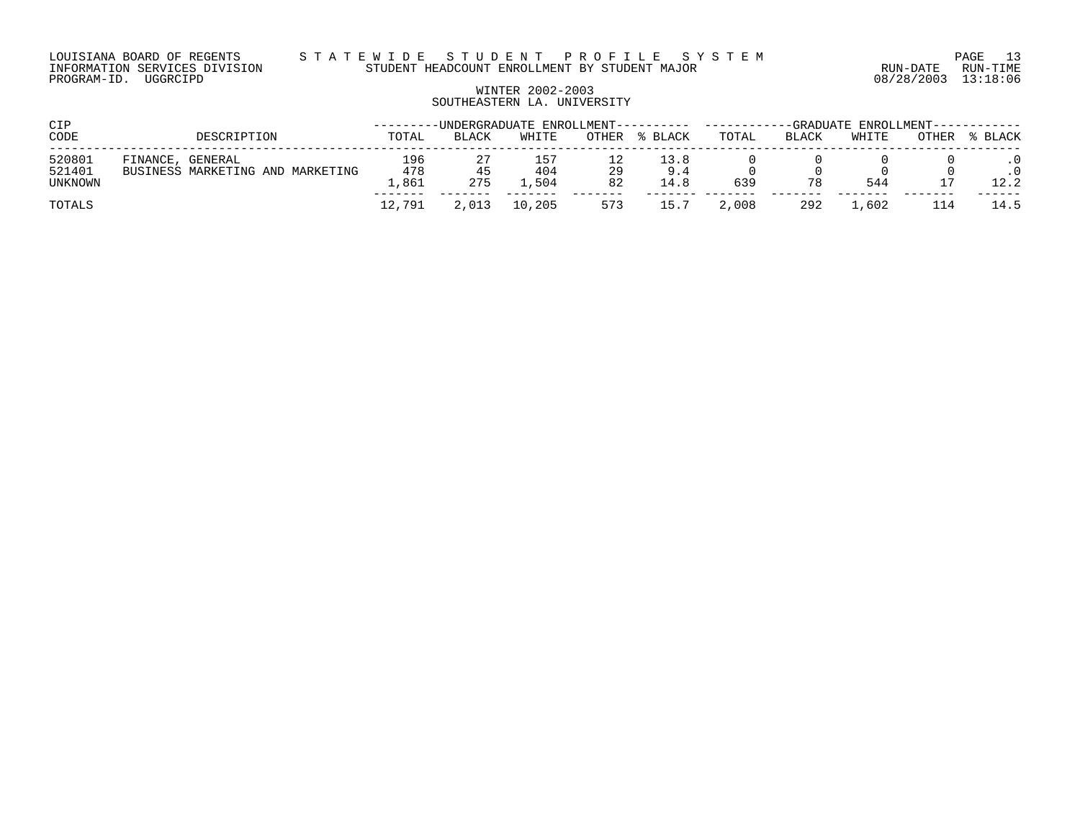# WINTER 2002-2003 SOUTHEASTERN LA. UNIVERSITY

| <b>CIP</b>                  | -UNDERGRADUATE ENROLLMENT---------- -------<br>-GRADUATE ENROLLMENT------------ |                       |              |                    |          |                     |       |       |       |       |         |
|-----------------------------|---------------------------------------------------------------------------------|-----------------------|--------------|--------------------|----------|---------------------|-------|-------|-------|-------|---------|
| CODE                        | DESCRIPTION                                                                     | TOTAL                 | <b>BLACK</b> | WHITE              | OTHER    | % BLACK             | TOTAL | BLACK | WHITE | OTHER | % BLACK |
| 520801<br>521401<br>UNKNOWN | FINANCE, GENERAL<br>BUSINESS MARKETING AND MARKETING                            | 196<br>478<br>. . 861 | 45<br>275    | 157<br>404<br>.504 | 29<br>82 | 13.8<br>9.4<br>14.8 | 639   | 78    | 544   |       | 12.2    |
| TOTALS                      |                                                                                 | 12,791                | 2,013        | 10,205             | 573      | 15.7                | 2,008 | 292   | L.602 |       | 14.5    |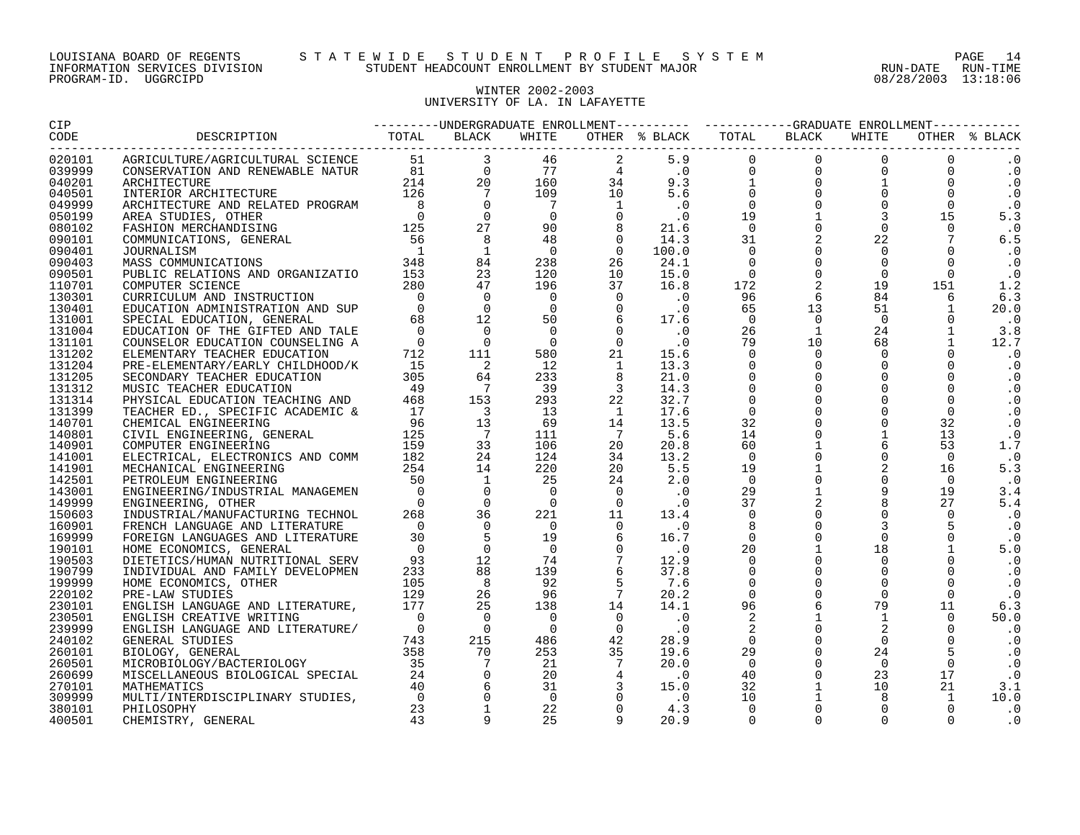#### LOUISIANA BOARD OF REGENTS S T A T E W I D E S T U D E N T P R O F I L E S Y S T E M PAGE 14 INFORMATION SERVICES DIVISION STUDENT HEADCOUNT ENROLLMENT BY STUDENT MAJOR RUN-DATE RUN-TIME

# WINTER 2002-2003 UNIVERSITY OF LA. IN LAFAYETTE

| CIP                 |                                                                                                                                                                                                                                                                                                                                                                                                                                                                                                                                                                                    |  |  |  |  |  |  |  |  |  |             |  |  |
|---------------------|------------------------------------------------------------------------------------------------------------------------------------------------------------------------------------------------------------------------------------------------------------------------------------------------------------------------------------------------------------------------------------------------------------------------------------------------------------------------------------------------------------------------------------------------------------------------------------|--|--|--|--|--|--|--|--|--|-------------|--|--|
| CODE                | $\begin{smallmatrix} &\text{nonexymmetry of}\\ \hline &\text{nonexymmetry of}\\ \hline &\text{nonexymmetry of}\\ \hline &\text{nonexymmetry of}\\ \hline &\text{nonexymmetry of}\\ \hline &\text{nonexymmetry of}\\ \hline &\text{nonexymmetry of}\\ \hline &\text{nonexymmetry of}\\ \hline &\text{nonexymmetry of}\\ \hline &\text{nonexymmetry of}\\ \hline &\text{nonexymmetry of}\\ \hline &\text{nonexymmetry of}\\ \hline &\text{nonexymmetry of}\\ \hline &\text{nonexymmetry of}\\ \hline &\text{nonexymmetry of}\\ \hline &\text{nonexymmetry of}\\ \hline &\text{nonex$ |  |  |  |  |  |  |  |  |  |             |  |  |
| ---------<br>020101 |                                                                                                                                                                                                                                                                                                                                                                                                                                                                                                                                                                                    |  |  |  |  |  |  |  |  |  |             |  |  |
| 039999              |                                                                                                                                                                                                                                                                                                                                                                                                                                                                                                                                                                                    |  |  |  |  |  |  |  |  |  | $\cdot$ 0   |  |  |
| 040201              |                                                                                                                                                                                                                                                                                                                                                                                                                                                                                                                                                                                    |  |  |  |  |  |  |  |  |  | $\cdot$ 0   |  |  |
| 040501              |                                                                                                                                                                                                                                                                                                                                                                                                                                                                                                                                                                                    |  |  |  |  |  |  |  |  |  | $\cdot$ 0   |  |  |
| 049999              |                                                                                                                                                                                                                                                                                                                                                                                                                                                                                                                                                                                    |  |  |  |  |  |  |  |  |  | $\cdot$ 0   |  |  |
| 050199              |                                                                                                                                                                                                                                                                                                                                                                                                                                                                                                                                                                                    |  |  |  |  |  |  |  |  |  | 5.3         |  |  |
| 080102              |                                                                                                                                                                                                                                                                                                                                                                                                                                                                                                                                                                                    |  |  |  |  |  |  |  |  |  | $\cdot$ 0   |  |  |
| 090101              |                                                                                                                                                                                                                                                                                                                                                                                                                                                                                                                                                                                    |  |  |  |  |  |  |  |  |  | 6.5         |  |  |
| 090401              |                                                                                                                                                                                                                                                                                                                                                                                                                                                                                                                                                                                    |  |  |  |  |  |  |  |  |  | $\cdot$ . 0 |  |  |
| 090403              |                                                                                                                                                                                                                                                                                                                                                                                                                                                                                                                                                                                    |  |  |  |  |  |  |  |  |  | $\ldots$ 0  |  |  |
| 090501              |                                                                                                                                                                                                                                                                                                                                                                                                                                                                                                                                                                                    |  |  |  |  |  |  |  |  |  | $\cdot$ 0   |  |  |
| 110701              |                                                                                                                                                                                                                                                                                                                                                                                                                                                                                                                                                                                    |  |  |  |  |  |  |  |  |  | 1.2         |  |  |
| 130301              |                                                                                                                                                                                                                                                                                                                                                                                                                                                                                                                                                                                    |  |  |  |  |  |  |  |  |  | 6.3         |  |  |
| 130401              |                                                                                                                                                                                                                                                                                                                                                                                                                                                                                                                                                                                    |  |  |  |  |  |  |  |  |  | 20.0        |  |  |
| 131001              |                                                                                                                                                                                                                                                                                                                                                                                                                                                                                                                                                                                    |  |  |  |  |  |  |  |  |  | $\cdot$ 0   |  |  |
| 131004              |                                                                                                                                                                                                                                                                                                                                                                                                                                                                                                                                                                                    |  |  |  |  |  |  |  |  |  | 3.8         |  |  |
| 131101              |                                                                                                                                                                                                                                                                                                                                                                                                                                                                                                                                                                                    |  |  |  |  |  |  |  |  |  | 12.7        |  |  |
| 131202              |                                                                                                                                                                                                                                                                                                                                                                                                                                                                                                                                                                                    |  |  |  |  |  |  |  |  |  | $\cdot$ 0   |  |  |
| 131204              |                                                                                                                                                                                                                                                                                                                                                                                                                                                                                                                                                                                    |  |  |  |  |  |  |  |  |  | $\cdot$ 0   |  |  |
| 131205              |                                                                                                                                                                                                                                                                                                                                                                                                                                                                                                                                                                                    |  |  |  |  |  |  |  |  |  | $\cdot$ 0   |  |  |
| 131312              |                                                                                                                                                                                                                                                                                                                                                                                                                                                                                                                                                                                    |  |  |  |  |  |  |  |  |  | $\cdot$ 0   |  |  |
| 131314              |                                                                                                                                                                                                                                                                                                                                                                                                                                                                                                                                                                                    |  |  |  |  |  |  |  |  |  | $\cdot$ 0   |  |  |
| 131399              |                                                                                                                                                                                                                                                                                                                                                                                                                                                                                                                                                                                    |  |  |  |  |  |  |  |  |  | $\cdot$ 0   |  |  |
| 140701              |                                                                                                                                                                                                                                                                                                                                                                                                                                                                                                                                                                                    |  |  |  |  |  |  |  |  |  | $\cdot$ 0   |  |  |
| 140801              |                                                                                                                                                                                                                                                                                                                                                                                                                                                                                                                                                                                    |  |  |  |  |  |  |  |  |  | $\cdot$ 0   |  |  |
| 140901              |                                                                                                                                                                                                                                                                                                                                                                                                                                                                                                                                                                                    |  |  |  |  |  |  |  |  |  | 1.7         |  |  |
| 141001              |                                                                                                                                                                                                                                                                                                                                                                                                                                                                                                                                                                                    |  |  |  |  |  |  |  |  |  | . 0         |  |  |
| 141901              |                                                                                                                                                                                                                                                                                                                                                                                                                                                                                                                                                                                    |  |  |  |  |  |  |  |  |  | 5.3         |  |  |
| 142501              |                                                                                                                                                                                                                                                                                                                                                                                                                                                                                                                                                                                    |  |  |  |  |  |  |  |  |  | $\cdot$ . 0 |  |  |
| 143001              |                                                                                                                                                                                                                                                                                                                                                                                                                                                                                                                                                                                    |  |  |  |  |  |  |  |  |  | 3.4         |  |  |
| 149999              |                                                                                                                                                                                                                                                                                                                                                                                                                                                                                                                                                                                    |  |  |  |  |  |  |  |  |  | 5.4         |  |  |
| 150603              |                                                                                                                                                                                                                                                                                                                                                                                                                                                                                                                                                                                    |  |  |  |  |  |  |  |  |  | $\cdot$ 0   |  |  |
| 160901              |                                                                                                                                                                                                                                                                                                                                                                                                                                                                                                                                                                                    |  |  |  |  |  |  |  |  |  |             |  |  |
| 169999              |                                                                                                                                                                                                                                                                                                                                                                                                                                                                                                                                                                                    |  |  |  |  |  |  |  |  |  | $\cdot$ 0   |  |  |
| 190101              |                                                                                                                                                                                                                                                                                                                                                                                                                                                                                                                                                                                    |  |  |  |  |  |  |  |  |  | 5.0         |  |  |
| 190503              |                                                                                                                                                                                                                                                                                                                                                                                                                                                                                                                                                                                    |  |  |  |  |  |  |  |  |  | $\cdot$ 0   |  |  |
| 190799              |                                                                                                                                                                                                                                                                                                                                                                                                                                                                                                                                                                                    |  |  |  |  |  |  |  |  |  | $\cdot$ 0   |  |  |
| 199999              |                                                                                                                                                                                                                                                                                                                                                                                                                                                                                                                                                                                    |  |  |  |  |  |  |  |  |  | $\cdot$ 0   |  |  |
| 220102              |                                                                                                                                                                                                                                                                                                                                                                                                                                                                                                                                                                                    |  |  |  |  |  |  |  |  |  | $\cdot$ 0   |  |  |
| 230101              |                                                                                                                                                                                                                                                                                                                                                                                                                                                                                                                                                                                    |  |  |  |  |  |  |  |  |  | 6.3         |  |  |
| 230501              |                                                                                                                                                                                                                                                                                                                                                                                                                                                                                                                                                                                    |  |  |  |  |  |  |  |  |  | 50.0        |  |  |
| 239999              |                                                                                                                                                                                                                                                                                                                                                                                                                                                                                                                                                                                    |  |  |  |  |  |  |  |  |  | . 0         |  |  |
| 240102              |                                                                                                                                                                                                                                                                                                                                                                                                                                                                                                                                                                                    |  |  |  |  |  |  |  |  |  | $\cdot$ 0   |  |  |
| 260101              |                                                                                                                                                                                                                                                                                                                                                                                                                                                                                                                                                                                    |  |  |  |  |  |  |  |  |  | $\cdot$ 0   |  |  |
| 260501              |                                                                                                                                                                                                                                                                                                                                                                                                                                                                                                                                                                                    |  |  |  |  |  |  |  |  |  | $\cdot$ 0   |  |  |
| 260699              |                                                                                                                                                                                                                                                                                                                                                                                                                                                                                                                                                                                    |  |  |  |  |  |  |  |  |  | $\cdot$ 0   |  |  |
| 270101              |                                                                                                                                                                                                                                                                                                                                                                                                                                                                                                                                                                                    |  |  |  |  |  |  |  |  |  | 3.1         |  |  |
| 309999              |                                                                                                                                                                                                                                                                                                                                                                                                                                                                                                                                                                                    |  |  |  |  |  |  |  |  |  | 10.0        |  |  |
| 380101              |                                                                                                                                                                                                                                                                                                                                                                                                                                                                                                                                                                                    |  |  |  |  |  |  |  |  |  | $\cdot$ 0   |  |  |
| 400501              |                                                                                                                                                                                                                                                                                                                                                                                                                                                                                                                                                                                    |  |  |  |  |  |  |  |  |  | . 0         |  |  |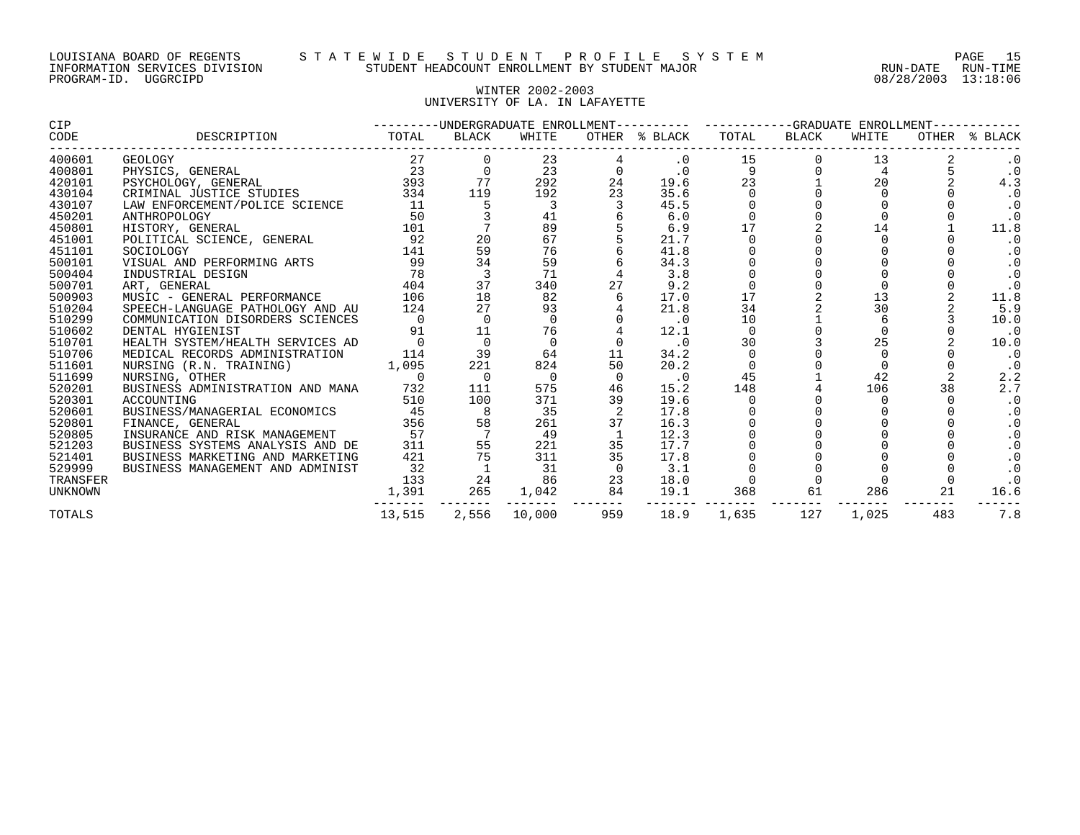#### LOUISIANA BOARD OF REGENTS S T A T E W I D E S T U D E N T P R O F I L E S Y S T E M PAGE 15 INFORMATION SERVICES DIVISION STUDENT HEADCOUNT ENROLLMENT BY STUDENT MAJOR RUN-DATE RUN-TIME

# WINTER 2002-2003 UNIVERSITY OF LA. IN LAFAYETTE

| CIP            |                                                       |          |                |                |                | ---------UNDERGRADUATE ENROLLMENT---------- ----------GRADUATE ENROLLMENT------- |          |       |          |          |               |
|----------------|-------------------------------------------------------|----------|----------------|----------------|----------------|----------------------------------------------------------------------------------|----------|-------|----------|----------|---------------|
| CODE           | DESCRIPTION                                           | TOTAL    | BLACK          | WHITE          |                | OTHER % BLACK                                                                    | TOTAL    | BLACK | WHITE    |          | OTHER % BLACK |
| 400601         | GEOLOGY                                               | 27       |                | 23             |                | $\cdot$ 0                                                                        | 15       |       | 13       |          | $\cdot$ 0     |
| 400801         | PHYSICS, GENERAL                                      |          |                | 23             |                | $\cdot$ 0                                                                        | 9        |       | 4        |          | $\cdot$ 0     |
| 420101         | $\frac{23}{393}$<br>TUDIES 334<br>PSYCHOLOGY, GENERAL |          | 77             | 292            | 24             | 19.6                                                                             | 23       |       | 20       |          | 4.3           |
| 430104         | CRIMINAL JUSTICE STUDIES                              |          | 119            | 192            | 23             | 35.6                                                                             |          |       |          |          | $\cdot$ 0     |
| 430107         | LAW ENFORCEMENT/POLICE SCIENCE                        | 11       |                | 3              |                | 45.5                                                                             |          |       |          |          | $\cdot$ 0     |
| 450201         | ANTHROPOLOGY                                          | 50       |                | 41             |                | 6.0                                                                              |          |       | $\Omega$ |          | $\cdot$ 0     |
| 450801         | HISTORY, GENERAL                                      | 101      |                | 89             |                | 6.9                                                                              | 17       |       | 14       |          | 11.8          |
| 451001         | POLITICAL SCIENCE, GENERAL                            | 92       | 20             | 67             |                | 21.7                                                                             |          |       |          |          |               |
| 451101         | SOCIOLOGY                                             | 141      | 59             | 76             |                | 41.8                                                                             |          |       |          |          |               |
| 500101         | VISUAL AND PERFORMING ARTS                            | 99       | 34             | 59             |                | 34.3                                                                             |          |       |          |          | $\cdot$ 0     |
| 500404         | INDUSTRIAL DESIGN                                     | 78       | $\overline{3}$ | 71             |                | 3.8                                                                              |          |       |          |          | $\cdot$ 0     |
| 500701         | ART, GENERAL                                          | 404      | 37             | 340            | 27             | 9.2                                                                              |          |       |          |          | $\cdot$ 0     |
| 500903         | MUSIC - GENERAL PERFORMANCE                           | 106      | 18             | 82             |                | 17.0                                                                             | 17       |       | 13       |          | 11.8          |
| 510204         | SPEECH-LANGUAGE PATHOLOGY AND AU                      | 124      | 27             | 93             |                | 21.8                                                                             | 34       |       | 30       |          | 5.9           |
| 510299         | COMMUNICATION DISORDERS SCIENCES                      | $\Omega$ | $\Omega$       | $\Omega$       |                | $\cdot$ 0                                                                        | 10       |       | 6        |          | 10.0          |
| 510602         | DENTAL HYGIENIST                                      | 91       | 11             | 76             |                | 12.1                                                                             | $\Omega$ |       | $\Omega$ |          | $\cdot$ 0     |
| 510701         | HEALTH SYSTEM/HEALTH SERVICES AD                      |          |                | $\Omega$       |                | $\cdot$ 0                                                                        | 30       |       | 25       |          | 10.0          |
| 510706         | MEDICAL RECORDS ADMINISTRATION                        | 114      | 39             | 64             | 11             | 34.2                                                                             |          |       |          |          | $\cdot$ 0     |
| 511601         | 1,095<br>NURSING (R.N. TRAINING)                      |          | 221            | 824            | 50             | 20.2                                                                             |          |       | $\Omega$ |          | $\cdot$ 0     |
| 511699         | NURSING, OTHER                                        | 0        | $\overline{0}$ | $\overline{0}$ |                | $\cdot$ 0                                                                        | 45       |       | 42       |          | 2.2           |
| 520201         | BUSINESS ADMINISTRATION AND MANA                      | 732      | 111            | 575            | 46             | 15.2                                                                             | 148      |       | 106      | 38       | 2.7           |
| 520301         | ACCOUNTING                                            | 510      | 100            | 371            | 39             | 19.6                                                                             |          |       | $\Omega$ | $\Omega$ | $\cdot$ 0     |
| 520601         | BUSINESS/MANAGERIAL ECONOMICS                         | 45       |                | 35             |                | 17.8                                                                             |          |       |          |          |               |
| 520801         | FINANCE, GENERAL                                      | 356      | 58             | 261            | 37             | 16.3                                                                             |          |       |          |          |               |
| 520805         | INSURANCE AND RISK MANAGEMENT                         | 57       |                | 49             |                | 12.3                                                                             |          |       |          |          |               |
| 521203         | BUSINESS SYSTEMS ANALYSIS AND DE                      | 311      | 55             | 221            | 35             | 17.7                                                                             |          |       |          |          | $\cdot$ 0     |
| 521401         | BUSINESS MARKETING AND MARKETING                      | 421      | 75             | 311            | 35             | 17.8                                                                             |          |       |          |          | $\cdot$ 0     |
| 529999         | BUSINESS MANAGEMENT AND ADMINIST                      | 32       |                | 31             | $\overline{0}$ | 3.1                                                                              |          |       |          |          | $\cdot$ 0     |
| TRANSFER       |                                                       | 133      | 24             | 86             | 23             | 18.0                                                                             |          |       |          |          | $\cdot$ 0     |
| <b>UNKNOWN</b> |                                                       | 1,391    | 265            | 1,042          | 84             | 19.1                                                                             | 368      | 61    | 286      | 21       | 16.6          |
| <b>TOTALS</b>  |                                                       | 13,515   | 2,556          | 10,000         | 959            | 18.9                                                                             | 1,635    | 127   | 1,025    | 483      | 7.8           |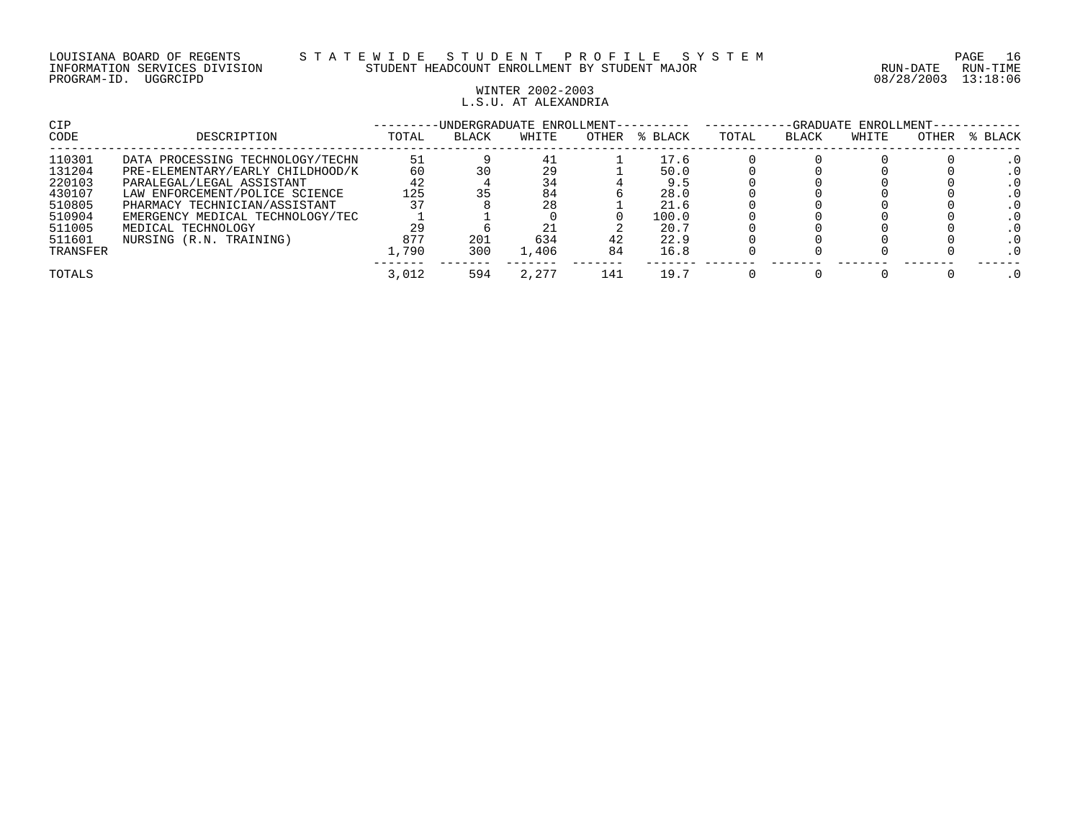#### LOUISIANA BOARD OF REGENTS S T A T E W I D E S T U D E N T P R O F I L E S Y S T E M PAGE 16 INFORMATION SERVICES DIVISION STUDENT HEADCOUNT ENROLLMENT BY STUDENT MAJOR RUN-DATE RUN-TIME

## WINTER 2002-2003 L.S.U. AT ALEXANDRIA

| CIP      |                                  |       |              | -UNDERGRADUATE ENROLLMENT- |       |         | ENROLLMENT-<br>-GRADUATE |              |       |       |         |  |
|----------|----------------------------------|-------|--------------|----------------------------|-------|---------|--------------------------|--------------|-------|-------|---------|--|
| CODE     | DESCRIPTION                      | TOTAL | <b>BLACK</b> | WHITE                      | OTHER | % BLACK | TOTAL                    | <b>BLACK</b> | WHITE | OTHER | % BLACK |  |
| 110301   | DATA PROCESSING TECHNOLOGY/TECHN | 51    |              | 41                         |       | 17.6    |                          |              |       |       |         |  |
| 131204   | PRE-ELEMENTARY/EARLY CHILDHOOD/K | 60    |              | 29                         |       | 50.0    |                          |              |       |       |         |  |
| 220103   | PARALEGAL/LEGAL ASSISTANT        | 42    |              | 34                         |       | 9.5     |                          |              |       |       |         |  |
| 430107   | LAW ENFORCEMENT/POLICE SCIENCE   | 125   |              | 84                         |       | 28.0    |                          |              |       |       |         |  |
| 510805   | PHARMACY TECHNICIAN/ASSISTANT    |       |              | 28                         |       | 21.6    |                          |              |       |       |         |  |
| 510904   | EMERGENCY MEDICAL TECHNOLOGY/TEC |       |              |                            |       | 100.0   |                          |              |       |       |         |  |
| 511005   | MEDICAL TECHNOLOGY               | 29    |              |                            |       | 20.7    |                          |              |       |       |         |  |
| 511601   | NURSING (R.N. TRAINING)          | 877   | 201          | 634                        | 42    | 22.9    |                          |              |       |       |         |  |
| TRANSFER |                                  | 1,790 | 300          | 1,406                      | 84    | 16.8    |                          |              |       |       |         |  |
| TOTALS   |                                  | 3,012 | 594          | 2,277                      | 141   | 19.7    |                          |              |       |       |         |  |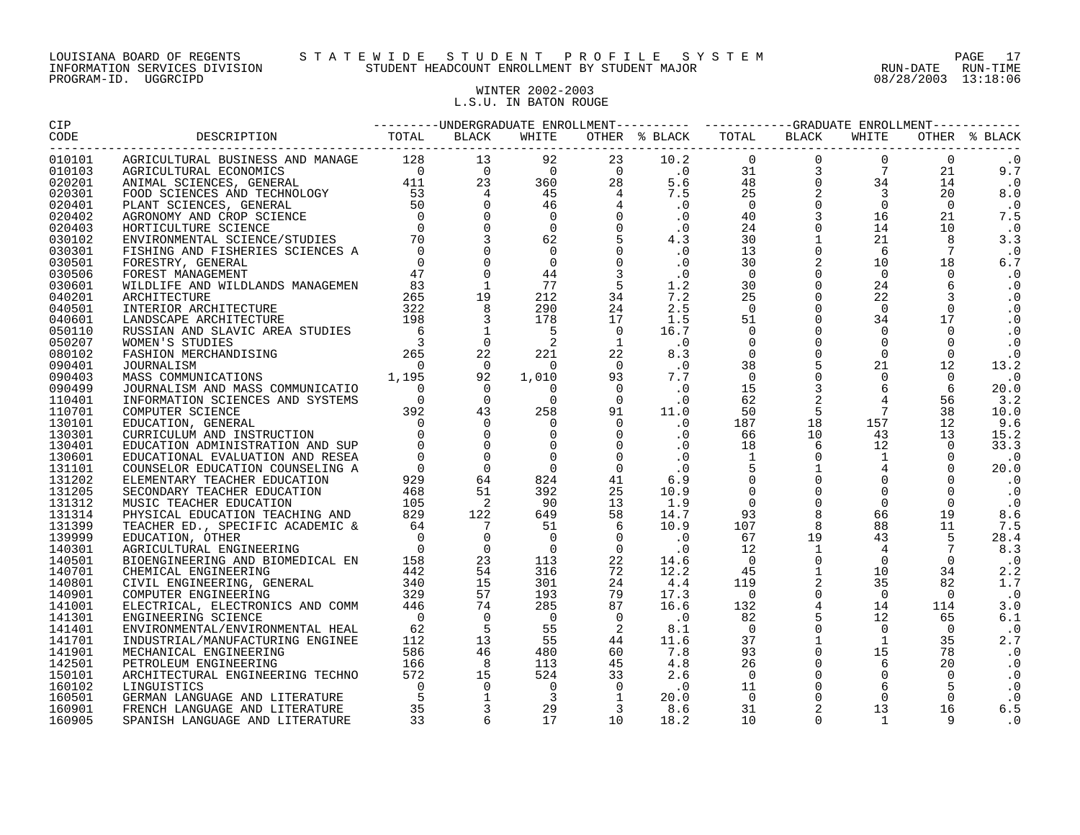## WINTER 2002-2003 L.S.U. IN BATON ROUGE

| 010101           |  |  |  |  |  | $\cdot$ 0         |
|------------------|--|--|--|--|--|-------------------|
| 010103           |  |  |  |  |  | 9.7               |
| 020201           |  |  |  |  |  | .0                |
| 020301           |  |  |  |  |  | 8.0               |
| 020401           |  |  |  |  |  | $\cdot$ 0         |
| 020402           |  |  |  |  |  | 7.5               |
| 020403           |  |  |  |  |  | $\cdot$ 0         |
| 030102           |  |  |  |  |  | 3.3               |
| 030301           |  |  |  |  |  | $\cdot$ . 0       |
| 030501           |  |  |  |  |  | 6.7               |
| 030506           |  |  |  |  |  | $\cdot$ 0         |
| 030601           |  |  |  |  |  | $\cdot$ 0         |
| 040201           |  |  |  |  |  | $\cdot$ 0         |
| 040501           |  |  |  |  |  | $\cdot$ 0         |
| 040601           |  |  |  |  |  | $\cdot$ 0         |
| 050110           |  |  |  |  |  | $\cdot$ 0         |
| 050207           |  |  |  |  |  | $\cdot$ 0         |
| 080102           |  |  |  |  |  | $\cdot$ 0         |
| 090401<br>090403 |  |  |  |  |  | 13.2              |
| 090499           |  |  |  |  |  | $\cdot$ 0<br>20.0 |
| 110401           |  |  |  |  |  | 3.2               |
| 110701           |  |  |  |  |  | 10.0              |
| 130101           |  |  |  |  |  | 9.6               |
| 130301           |  |  |  |  |  | 15.2              |
| 130401           |  |  |  |  |  | 33.3              |
| 130601           |  |  |  |  |  | $\cdot$ 0         |
| 131101           |  |  |  |  |  | 20.0              |
| 131202           |  |  |  |  |  | $\cdot$ 0         |
| 131205           |  |  |  |  |  | $\cdot$ 0         |
| 131312           |  |  |  |  |  | $\cdot$ 0         |
| 131314           |  |  |  |  |  | 8.6               |
| 131399           |  |  |  |  |  | 7.5               |
| 139999           |  |  |  |  |  | 28.4              |
| 140301           |  |  |  |  |  | 8.3               |
| 140501           |  |  |  |  |  | $\cdot$ 0         |
| 140701           |  |  |  |  |  | 2.2               |
| 140801           |  |  |  |  |  | 1.7               |
| 140901           |  |  |  |  |  | $\cdot$ 0         |
| 141001           |  |  |  |  |  | 3.0               |
| 141301           |  |  |  |  |  | 6.1               |
| 141401           |  |  |  |  |  | $\cdot$ 0         |
| 141701           |  |  |  |  |  | 2.7               |
| 141901           |  |  |  |  |  | $\cdot$ 0         |
| 142501           |  |  |  |  |  | $\cdot$ 0         |
| 150101           |  |  |  |  |  | $\cdot$ 0         |
| 160102           |  |  |  |  |  | $\cdot$ 0         |
| 160501           |  |  |  |  |  | $\cdot$ 0         |
| 160901           |  |  |  |  |  | 6.5               |
| 160905           |  |  |  |  |  | $\cdot$ 0         |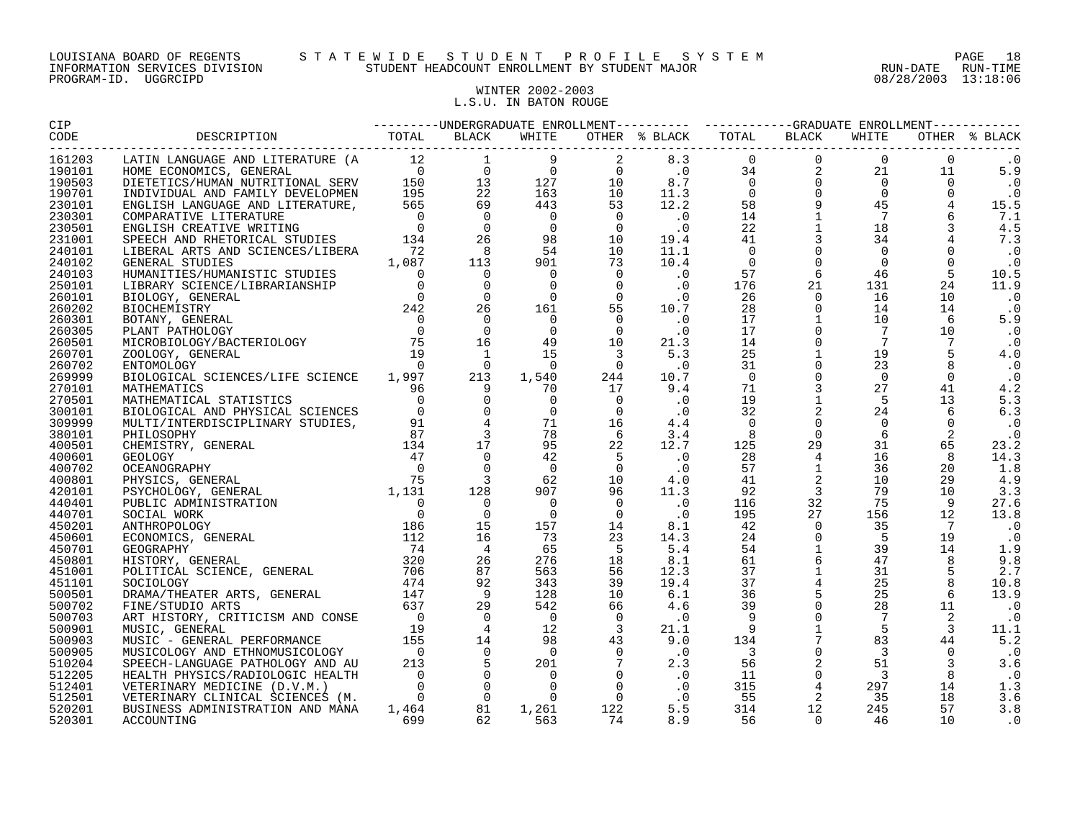## WINTER 2002-2003 L.S.U. IN BATON ROUGE

| 161203           |  |  |  |  |  |                                                                                                                                                                                                                                                                                                                                |  |  |  |           |  |  |
|------------------|--|--|--|--|--|--------------------------------------------------------------------------------------------------------------------------------------------------------------------------------------------------------------------------------------------------------------------------------------------------------------------------------|--|--|--|-----------|--|--|
| 190101           |  |  |  |  |  |                                                                                                                                                                                                                                                                                                                                |  |  |  |           |  |  |
| 190503           |  |  |  |  |  |                                                                                                                                                                                                                                                                                                                                |  |  |  |           |  |  |
| 190701           |  |  |  |  |  |                                                                                                                                                                                                                                                                                                                                |  |  |  |           |  |  |
| 230101           |  |  |  |  |  |                                                                                                                                                                                                                                                                                                                                |  |  |  |           |  |  |
| 230301           |  |  |  |  |  |                                                                                                                                                                                                                                                                                                                                |  |  |  |           |  |  |
| 230501           |  |  |  |  |  |                                                                                                                                                                                                                                                                                                                                |  |  |  |           |  |  |
| 231001           |  |  |  |  |  |                                                                                                                                                                                                                                                                                                                                |  |  |  |           |  |  |
| 240101           |  |  |  |  |  |                                                                                                                                                                                                                                                                                                                                |  |  |  | $\cdot$ 0 |  |  |
| 240102           |  |  |  |  |  |                                                                                                                                                                                                                                                                                                                                |  |  |  |           |  |  |
| 240103           |  |  |  |  |  |                                                                                                                                                                                                                                                                                                                                |  |  |  |           |  |  |
| 250101           |  |  |  |  |  |                                                                                                                                                                                                                                                                                                                                |  |  |  |           |  |  |
| 260101           |  |  |  |  |  |                                                                                                                                                                                                                                                                                                                                |  |  |  |           |  |  |
| 260202           |  |  |  |  |  |                                                                                                                                                                                                                                                                                                                                |  |  |  |           |  |  |
| 260301           |  |  |  |  |  |                                                                                                                                                                                                                                                                                                                                |  |  |  |           |  |  |
| 260305           |  |  |  |  |  |                                                                                                                                                                                                                                                                                                                                |  |  |  |           |  |  |
| 260501           |  |  |  |  |  |                                                                                                                                                                                                                                                                                                                                |  |  |  |           |  |  |
| 260701           |  |  |  |  |  |                                                                                                                                                                                                                                                                                                                                |  |  |  |           |  |  |
| 260702           |  |  |  |  |  |                                                                                                                                                                                                                                                                                                                                |  |  |  |           |  |  |
| 269999           |  |  |  |  |  |                                                                                                                                                                                                                                                                                                                                |  |  |  |           |  |  |
| 270101           |  |  |  |  |  |                                                                                                                                                                                                                                                                                                                                |  |  |  |           |  |  |
| 270501           |  |  |  |  |  |                                                                                                                                                                                                                                                                                                                                |  |  |  |           |  |  |
| 300101           |  |  |  |  |  |                                                                                                                                                                                                                                                                                                                                |  |  |  |           |  |  |
| 309999           |  |  |  |  |  |                                                                                                                                                                                                                                                                                                                                |  |  |  |           |  |  |
| 380101           |  |  |  |  |  |                                                                                                                                                                                                                                                                                                                                |  |  |  |           |  |  |
| 400501           |  |  |  |  |  |                                                                                                                                                                                                                                                                                                                                |  |  |  |           |  |  |
| 400601           |  |  |  |  |  |                                                                                                                                                                                                                                                                                                                                |  |  |  |           |  |  |
| 400702           |  |  |  |  |  |                                                                                                                                                                                                                                                                                                                                |  |  |  |           |  |  |
| 400801           |  |  |  |  |  |                                                                                                                                                                                                                                                                                                                                |  |  |  |           |  |  |
| 420101           |  |  |  |  |  |                                                                                                                                                                                                                                                                                                                                |  |  |  |           |  |  |
| 440401<br>440701 |  |  |  |  |  |                                                                                                                                                                                                                                                                                                                                |  |  |  |           |  |  |
| 450201           |  |  |  |  |  |                                                                                                                                                                                                                                                                                                                                |  |  |  |           |  |  |
| 450601           |  |  |  |  |  |                                                                                                                                                                                                                                                                                                                                |  |  |  |           |  |  |
| 450701           |  |  |  |  |  |                                                                                                                                                                                                                                                                                                                                |  |  |  |           |  |  |
| 450801           |  |  |  |  |  |                                                                                                                                                                                                                                                                                                                                |  |  |  |           |  |  |
| 451001           |  |  |  |  |  |                                                                                                                                                                                                                                                                                                                                |  |  |  |           |  |  |
| 451101           |  |  |  |  |  |                                                                                                                                                                                                                                                                                                                                |  |  |  |           |  |  |
| 500501           |  |  |  |  |  |                                                                                                                                                                                                                                                                                                                                |  |  |  |           |  |  |
| 500702           |  |  |  |  |  |                                                                                                                                                                                                                                                                                                                                |  |  |  |           |  |  |
| 500703           |  |  |  |  |  |                                                                                                                                                                                                                                                                                                                                |  |  |  |           |  |  |
| 500901           |  |  |  |  |  |                                                                                                                                                                                                                                                                                                                                |  |  |  |           |  |  |
| 500903           |  |  |  |  |  |                                                                                                                                                                                                                                                                                                                                |  |  |  |           |  |  |
| 500905           |  |  |  |  |  | $\begin{array}{cccccc} . & 0 & 125 & 29 \\ . & 0 & 28 & 4 \\ 0 & 57 & 1 \\ 4.0 & 41 & 2 \\ 11.3 & 92 & 3 \\ .0 & 116 & 32 \\ .0 & 195 & 27 & 1 \\ .1 & 42 & 0 & 3 \\ .1 & 42 & 0 & 3 \\ 3 & 24 & 0 & 3 \\ 1 & 54 & 1 & 39 \\ 4 & 61 & 6 & 47 \\ 37 & 1 & 31 \\ 37 & 4 & 25 \\ 36 & 5 & 25 \\ 39 & 0 & 28 \\ 9 & 0 & 7 \\ 9 & $ |  |  |  |           |  |  |
| 510204           |  |  |  |  |  |                                                                                                                                                                                                                                                                                                                                |  |  |  |           |  |  |
| 512205           |  |  |  |  |  |                                                                                                                                                                                                                                                                                                                                |  |  |  |           |  |  |
| 512401           |  |  |  |  |  |                                                                                                                                                                                                                                                                                                                                |  |  |  |           |  |  |
| 512501           |  |  |  |  |  |                                                                                                                                                                                                                                                                                                                                |  |  |  |           |  |  |
| 520201           |  |  |  |  |  |                                                                                                                                                                                                                                                                                                                                |  |  |  |           |  |  |
| 520301           |  |  |  |  |  |                                                                                                                                                                                                                                                                                                                                |  |  |  |           |  |  |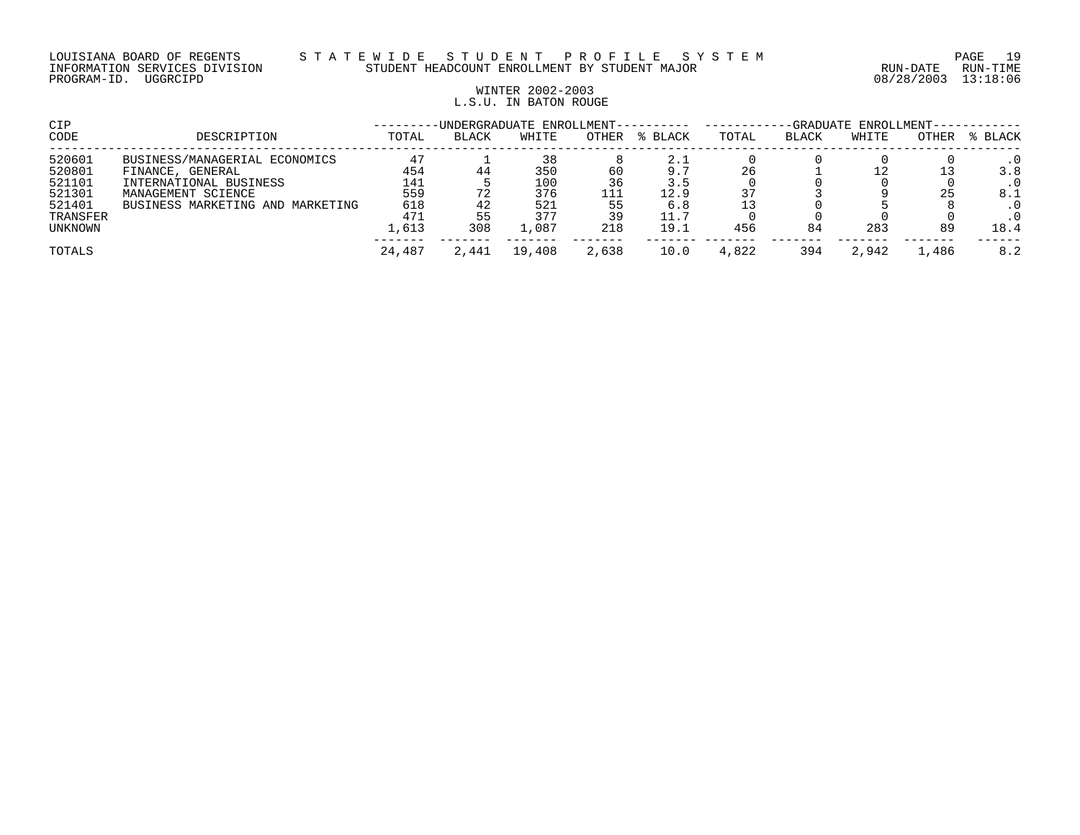## WINTER 2002-2003 L.S.U. IN BATON ROUGE

| CIP      | -GRADUATE ENROLLMENT-<br>-UNDERGRADUATE ENROLLMENT---------- |        |       |        |       |         |       |       |       |       |         |  |
|----------|--------------------------------------------------------------|--------|-------|--------|-------|---------|-------|-------|-------|-------|---------|--|
| CODE     | DESCRIPTION                                                  | TOTAL  | BLACK | WHITE  | OTHER | % BLACK | TOTAL | BLACK | WHITE | OTHER | % BLACK |  |
| 520601   | BUSINESS/MANAGERIAL ECONOMICS                                | 47     |       | 38     |       | 2.1     |       |       |       |       |         |  |
| 520801   | FINANCE, GENERAL                                             | 454    | 44    | 350    | 60    | 9.7     | 26    |       |       |       | 3.8     |  |
| 521101   | INTERNATIONAL BUSINESS                                       | 141    |       | 100    | 36    | 3.5     |       |       |       |       |         |  |
| 521301   | MANAGEMENT SCIENCE                                           | 559    | 72    | 376    |       | 12.9    |       |       |       |       | 8.1     |  |
| 521401   | BUSINESS MARKETING AND MARKETING                             | 618    | 42    | 521    | 55    | 6.8     |       |       |       |       |         |  |
| TRANSFER |                                                              | 471    | 55    | 377    | 39    | 11.7    |       |       |       |       |         |  |
| UNKNOWN  |                                                              | 1,613  | 308   | .087   | 218   | 19.1    | 456   | 84    | 283   | 89    | 18.4    |  |
| TOTALS   |                                                              | 24,487 | 2,441 | 19,408 | 2,638 | 10.0    | 4,822 | 394   | 2,942 | 1,486 | 8.2     |  |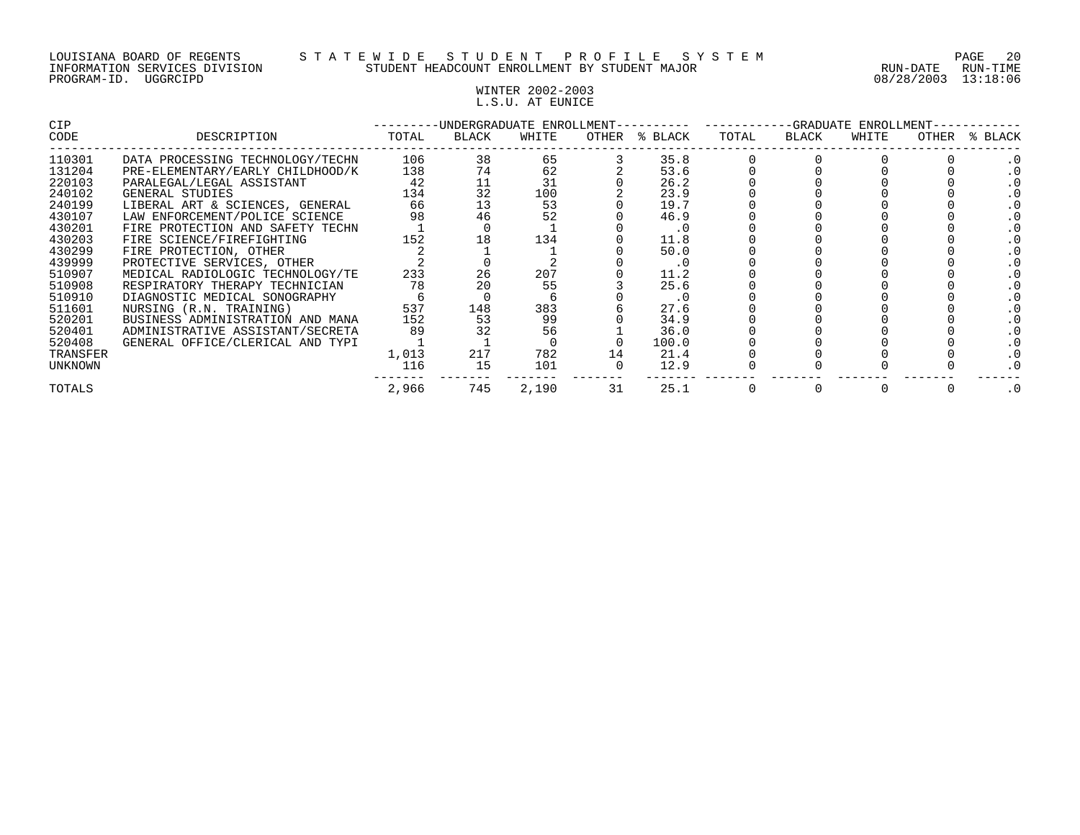## WINTER 2002-2003 L.S.U. AT EUNICE

| <b>CIP</b> |                                  |       |       | -UNDERGRADUATE ENROLLMENT- |    |               |       | -GRADUATE ENROLLMENT-<br>OTHER<br>BLACK<br>WHITE |  |  |         |
|------------|----------------------------------|-------|-------|----------------------------|----|---------------|-------|--------------------------------------------------|--|--|---------|
| CODE       | DESCRIPTION                      | TOTAL | BLACK | WHITE                      |    | OTHER % BLACK | TOTAL |                                                  |  |  | % BLACK |
| 110301     | DATA PROCESSING TECHNOLOGY/TECHN | 106   | 38    | 65                         |    | 35.8          |       |                                                  |  |  |         |
| 131204     | PRE-ELEMENTARY/EARLY CHILDHOOD/K | 138   | 74    | 62                         |    | 53.6          |       |                                                  |  |  |         |
| 220103     | PARALEGAL/LEGAL ASSISTANT        | 42    |       | 31                         |    | 26.2          |       |                                                  |  |  |         |
| 240102     | GENERAL STUDIES                  | 134   | 32    | 100                        |    | 23.9          |       |                                                  |  |  |         |
| 240199     | LIBERAL ART & SCIENCES, GENERAL  | 66    | 13    | 53                         |    | 19.7          |       |                                                  |  |  |         |
| 430107     | LAW ENFORCEMENT/POLICE SCIENCE   | 98    | 46    | 52                         |    | 46.9          |       |                                                  |  |  |         |
| 430201     | FIRE PROTECTION AND SAFETY TECHN |       |       |                            |    | . 0           |       |                                                  |  |  |         |
| 430203     | FIRE SCIENCE/FIREFIGHTING        | 152   | 18    | 134                        |    | 11.8          |       |                                                  |  |  |         |
| 430299     | FIRE PROTECTION, OTHER           |       |       |                            |    | 50.0          |       |                                                  |  |  |         |
| 439999     | PROTECTIVE SERVICES, OTHER       |       |       |                            |    | . 0           |       |                                                  |  |  |         |
| 510907     | MEDICAL RADIOLOGIC TECHNOLOGY/TE | 233   | 26    | 207                        |    | 11.2          |       |                                                  |  |  |         |
| 510908     | RESPIRATORY THERAPY TECHNICIAN   | 78    |       | 55                         |    | 25.6          |       |                                                  |  |  |         |
| 510910     | DIAGNOSTIC MEDICAL SONOGRAPHY    |       |       |                            |    | . 0           |       |                                                  |  |  |         |
| 511601     | NURSING (R.N. TRAINING)          | 537   | 148   | 383                        |    | 27.6          |       |                                                  |  |  |         |
| 520201     | BUSINESS ADMINISTRATION AND MANA | 152   | 53    | 99                         |    | 34.9          |       |                                                  |  |  |         |
| 520401     | ADMINISTRATIVE ASSISTANT/SECRETA | 89    |       | 56                         |    | 36.0          |       |                                                  |  |  |         |
| 520408     | GENERAL OFFICE/CLERICAL AND TYPI |       |       |                            |    | 100.0         |       |                                                  |  |  |         |
| TRANSFER   |                                  | 1,013 | 217   | 782                        | 14 | 21.4          |       |                                                  |  |  |         |
| UNKNOWN    |                                  | 116   | 15    | 101                        |    | 12.9          |       |                                                  |  |  |         |
| TOTALS     |                                  | 2,966 | 745   | 2,190                      | 31 | 25.1          |       |                                                  |  |  |         |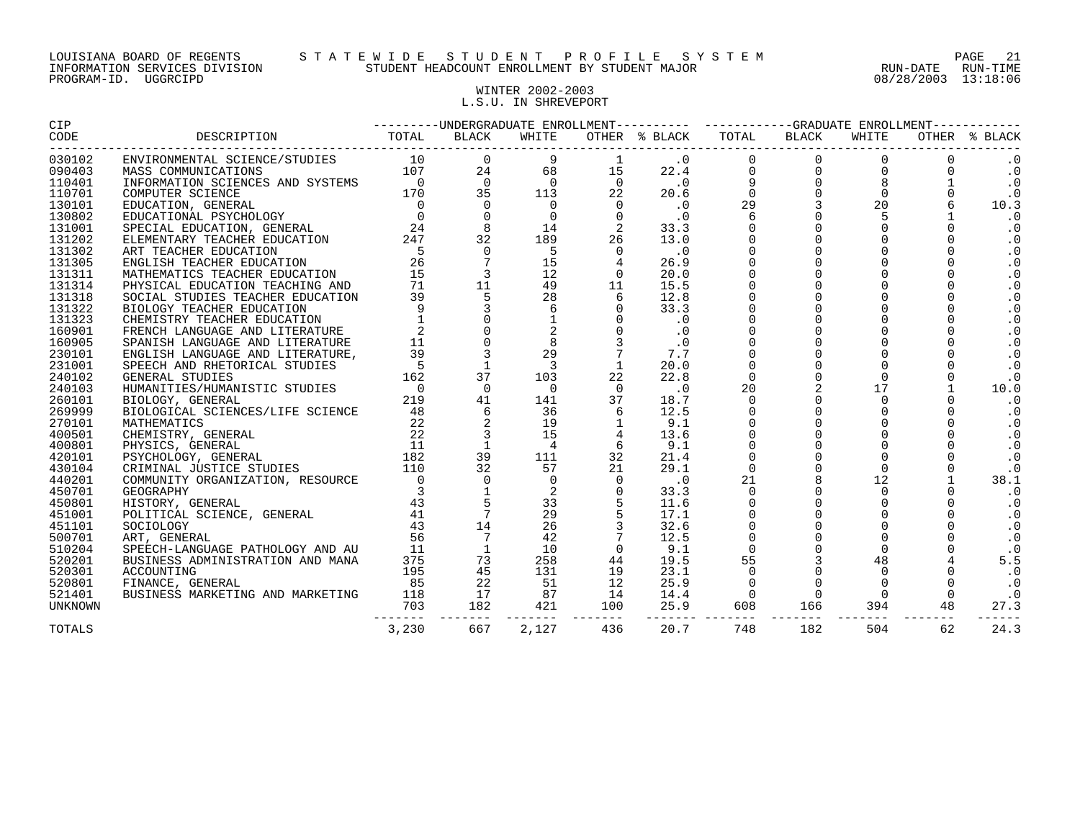## WINTER 2002-2003 L.S.U. IN SHREVEPORT

| <b>CIP</b>     | ---------UNDERGRADUATE ENROLLMENT---------- ----------GRADUATE ENROLLMENT-----------                                                                                                                                                      |                                                                                                          |                                                                                                                                                                                                                                                                                                                         |                         |                                                                     |                             |                           |                                            |                                                       |    |               |
|----------------|-------------------------------------------------------------------------------------------------------------------------------------------------------------------------------------------------------------------------------------------|----------------------------------------------------------------------------------------------------------|-------------------------------------------------------------------------------------------------------------------------------------------------------------------------------------------------------------------------------------------------------------------------------------------------------------------------|-------------------------|---------------------------------------------------------------------|-----------------------------|---------------------------|--------------------------------------------|-------------------------------------------------------|----|---------------|
| CODE           |                                                                                                                                                                                                                                           |                                                                                                          | BLACK                                                                                                                                                                                                                                                                                                                   | WHITE                   |                                                                     | OTHER % BLACK               |                           |                                            |                                                       |    | OTHER % BLACK |
| 030102         |                                                                                                                                                                                                                                           |                                                                                                          |                                                                                                                                                                                                                                                                                                                         | 9                       |                                                                     |                             |                           |                                            |                                                       |    | $\cdot$ 0     |
| 090403         |                                                                                                                                                                                                                                           |                                                                                                          |                                                                                                                                                                                                                                                                                                                         |                         | 68 8<br>15                                                          |                             |                           |                                            |                                                       |    | $\cdot$ 0     |
| 110401         |                                                                                                                                                                                                                                           |                                                                                                          |                                                                                                                                                                                                                                                                                                                         |                         | $\begin{matrix}0&&&0\\113&&&22\end{matrix}$                         |                             |                           |                                            |                                                       |    | $\cdot$ 0     |
| 110701         |                                                                                                                                                                                                                                           |                                                                                                          |                                                                                                                                                                                                                                                                                                                         |                         |                                                                     |                             |                           |                                            |                                                       |    | $\cdot$ 0     |
| 130101         |                                                                                                                                                                                                                                           |                                                                                                          |                                                                                                                                                                                                                                                                                                                         | $\overline{0}$          |                                                                     |                             |                           |                                            |                                                       |    | 10.3          |
| 130802         |                                                                                                                                                                                                                                           |                                                                                                          |                                                                                                                                                                                                                                                                                                                         | $\overline{0}$          | $\overline{0}$                                                      |                             |                           |                                            |                                                       |    | $\cdot$ 0     |
| 131001         |                                                                                                                                                                                                                                           |                                                                                                          |                                                                                                                                                                                                                                                                                                                         | 14                      | $\overline{\phantom{a}}$                                            |                             |                           |                                            |                                                       |    | $\cdot$ 0     |
| 131202         | ELEMENTARY TEACHER EDUCATION 24/<br>ART TEACHER EDUCATION 5<br>ENGLISH TEACHER EDUCATION 26<br>MATHEMATICS TEACHER EDUCATION 15<br>PHYSICAL EDUCATION TEACHING AND 71<br>SOCIAL STUDIES TEACHER EDUCATION 39<br>BIOLOGY TEACHER EDUCATION |                                                                                                          |                                                                                                                                                                                                                                                                                                                         | 189                     | 26                                                                  |                             |                           |                                            |                                                       |    | $\cdot$ 0     |
| 131302         |                                                                                                                                                                                                                                           |                                                                                                          | $\mathsf{O}$                                                                                                                                                                                                                                                                                                            | 5 <sub>5</sub>          | $\overline{0}$                                                      |                             |                           |                                            |                                                       |    | $\cdot$ 0     |
| 131305         |                                                                                                                                                                                                                                           |                                                                                                          | $\begin{array}{c} 7 \\ 7 \\ 3 \end{array}$                                                                                                                                                                                                                                                                              | 15                      |                                                                     |                             |                           |                                            |                                                       |    | $\cdot$ 0     |
| 131311         |                                                                                                                                                                                                                                           |                                                                                                          |                                                                                                                                                                                                                                                                                                                         |                         |                                                                     |                             |                           |                                            |                                                       |    | $\cdot$ 0     |
| 131314         |                                                                                                                                                                                                                                           |                                                                                                          |                                                                                                                                                                                                                                                                                                                         |                         | $\frac{49}{22}$ 11                                                  |                             |                           |                                            |                                                       |    | $\cdot$ 0     |
| 131318         |                                                                                                                                                                                                                                           |                                                                                                          |                                                                                                                                                                                                                                                                                                                         |                         | 6                                                                   |                             |                           |                                            |                                                       |    | $\cdot$ 0     |
| 131322         |                                                                                                                                                                                                                                           |                                                                                                          |                                                                                                                                                                                                                                                                                                                         |                         | $\begin{array}{c} 28 \\ 6 \end{array}$                              |                             |                           |                                            |                                                       |    | $\cdot$ 0     |
| 131323         |                                                                                                                                                                                                                                           |                                                                                                          | $\begin{array}{cccccc} 26 & 7 & 13 & 12 \\ 15 & 3 & 12 & 12 \\ 71 & 11 & 49 & 5 & 28 \\ 9 & 5 & 28 & 6 & 1 \\ 1 & 0 & 1 & 2 & 0 \\ 11 & 0 & 8 & 8 & 3 \\ 39 & 3 & 2 & 29 & 3 \\ 55 & 1 & 3 & 29 & 3 \\ 52 & 1 & 3 & 3 & 3 \\ 52 & 1 & 3 & 3 & 3 \\ 53 & 1 & 3 & 3 & 3 \\ 54 & 18 & 3 & 3 & 3 \\ 52 & 18 & 3 & 3 & 3 \\$ |                         | $\begin{bmatrix} 0 \\ 0 \\ 3 \\ 7 \\ 1 \end{bmatrix}$               | $\cdot$ 0                   | $\mathbf{0}$              | $\mathbf 0$                                |                                                       |    | $\cdot$ 0     |
| 160901         |                                                                                                                                                                                                                                           |                                                                                                          |                                                                                                                                                                                                                                                                                                                         |                         |                                                                     | $\cdot$ 0                   |                           | $\begin{smallmatrix}0\\0\end{smallmatrix}$ |                                                       |    | $\cdot$ 0     |
| 160905         |                                                                                                                                                                                                                                           |                                                                                                          |                                                                                                                                                                                                                                                                                                                         |                         |                                                                     | $\cdot$ 0                   | $\overline{0}$            |                                            |                                                       |    | $\cdot$ 0     |
| 230101         | ENGLISH LANGUAGE AND LITERATURE,                                                                                                                                                                                                          | $\begin{array}{ccc} 11 & 0 & 0 \\ 39 & 3 & 3 \\ 162 & 37 & 0 \\ 219 & 41 & 48 \\ 48 & 6 & 6 \end{array}$ |                                                                                                                                                                                                                                                                                                                         |                         |                                                                     | 7.7                         | $\mathbf 0$               |                                            | $\overline{0}$                                        |    | $\cdot$ 0     |
| 231001         | SPEECH AND RHETORICAL STUDIES                                                                                                                                                                                                             |                                                                                                          |                                                                                                                                                                                                                                                                                                                         |                         |                                                                     | 20.0                        | $\Omega$                  |                                            | $\begin{bmatrix} 0 \\ 2 \\ 0 \\ 0 \\ 0 \end{bmatrix}$ |    | $\cdot$ 0     |
| 240102         | GENERAL STUDIES                                                                                                                                                                                                                           |                                                                                                          |                                                                                                                                                                                                                                                                                                                         | 103                     | $2\overline{2}$                                                     | 22.8                        | $\mathbf{0}$              |                                            | $\Omega$                                              |    | $\cdot$ 0     |
| 240103         | HUMANITIES/HUMANISTIC STUDIES                                                                                                                                                                                                             |                                                                                                          |                                                                                                                                                                                                                                                                                                                         | $\overline{0}$          | $\overline{0}$                                                      | $\overline{\phantom{0}}$ .0 | 20                        |                                            | 17                                                    |    | 10.0          |
| 260101         | BIOLOGY, GENERAL                                                                                                                                                                                                                          |                                                                                                          |                                                                                                                                                                                                                                                                                                                         | 141                     | 37                                                                  | 18.7                        | $\mathbf 0$               |                                            | $\Omega$                                              |    | $\cdot$ 0     |
| 269999         |                                                                                                                                                                                                                                           |                                                                                                          |                                                                                                                                                                                                                                                                                                                         | 36                      |                                                                     | 12.5                        | $\overline{0}$            |                                            |                                                       |    | $\cdot$ 0     |
| 270101         |                                                                                                                                                                                                                                           |                                                                                                          | $\overline{a}$                                                                                                                                                                                                                                                                                                          | 19                      |                                                                     | 9.1                         | $\mathbf 0$               |                                            | $\begin{bmatrix} 0 \\ 0 \\ 0 \end{bmatrix}$           |    | $\cdot$ 0     |
| 400501         |                                                                                                                                                                                                                                           |                                                                                                          | $\mathbf{3}$                                                                                                                                                                                                                                                                                                            | 15                      |                                                                     | 13.6                        |                           |                                            |                                                       |    | $\cdot$ 0     |
| 400801         |                                                                                                                                                                                                                                           |                                                                                                          | $\overline{1}$                                                                                                                                                                                                                                                                                                          | $\overline{4}$          | - 6                                                                 | 9.1                         | $\mathbf 0$               |                                            |                                                       |    | $\cdot$ 0     |
| 420101         |                                                                                                                                                                                                                                           |                                                                                                          |                                                                                                                                                                                                                                                                                                                         |                         |                                                                     | 21.4                        | $\mathbf 0$               | $\overline{0}$                             | $\Omega$                                              |    | $\cdot$ 0     |
| 430104         |                                                                                                                                                                                                                                           |                                                                                                          | $\begin{array}{c} 3\overline{9} \\ 32 \\ 0 \end{array}$                                                                                                                                                                                                                                                                 |                         | $\begin{array}{ccc} 111 & & 32 \\ 57 & & 21 \\ 0 & & 0 \end{array}$ | 29.1                        | $\mathbf 0$               |                                            | $\Omega$                                              |    | $\cdot$ 0     |
| 440201         |                                                                                                                                                                                                                                           |                                                                                                          | $\mathsf{O}$                                                                                                                                                                                                                                                                                                            |                         |                                                                     | $\cdot$ 0                   | 21                        |                                            | 12                                                    |    | 38.1          |
| 450701         | COMMUNITY ORGANIZATION, RESOURCE<br>GEOGRAPHY<br>HISTORY, GENERAL<br>POLITICAL SCIENCE, GENERAL<br>41<br>POLITICAL SCIENCE, GENERAL<br>41                                                                                                 |                                                                                                          | $\begin{array}{c} 1 \\ 5 \\ 7 \end{array}$                                                                                                                                                                                                                                                                              |                         | $\begin{array}{ccc} 2 & 0 \\ 33 & 5 \\ 29 & 5 \end{array}$          | 33.3                        | $\overline{0}$            |                                            | $\Omega$                                              |    | . 0           |
| 450801         |                                                                                                                                                                                                                                           |                                                                                                          |                                                                                                                                                                                                                                                                                                                         |                         |                                                                     | 11.6                        | $\mathbf 0$               |                                            |                                                       |    | $\cdot$ 0     |
| 451001         |                                                                                                                                                                                                                                           |                                                                                                          |                                                                                                                                                                                                                                                                                                                         |                         |                                                                     | 17.1                        | $\mathsf 0$               |                                            |                                                       |    | . 0           |
| 451101         | $\frac{43}{56}$<br>SOCIOLOGY                                                                                                                                                                                                              |                                                                                                          | $\frac{14}{7}$                                                                                                                                                                                                                                                                                                          | 26                      |                                                                     | 32.6                        | $\mathbf 0$               |                                            |                                                       |    | $\cdot$ 0     |
| 500701         | ART, GENERAL                                                                                                                                                                                                                              |                                                                                                          | $\overline{7}$                                                                                                                                                                                                                                                                                                          | 42                      |                                                                     | 12.5                        | $\overline{0}$            |                                            |                                                       |    | $\cdot$ 0     |
| 510204         | FRIECH-LANGUAGE PATHOLOGY AND AU 11<br>BUSINESS ADMINISTRATION AND MANA 375<br>ACCOUNTING 195                                                                                                                                             |                                                                                                          |                                                                                                                                                                                                                                                                                                                         | 10                      |                                                                     | 9.1                         | $\overline{0}$            |                                            | $\Omega$                                              |    | $\cdot$ 0     |
| 520201         |                                                                                                                                                                                                                                           |                                                                                                          |                                                                                                                                                                                                                                                                                                                         | 258                     | 44                                                                  | 19.5                        | 55                        |                                            | 48                                                    |    | 5.5           |
| 520301         |                                                                                                                                                                                                                                           |                                                                                                          | $\begin{array}{c} 1 \\ 73 \\ 45 \\ 22 \\ 17 \\ 182 \end{array}$                                                                                                                                                                                                                                                         | 131                     | 19                                                                  | 23.1                        | $\overline{0}$            |                                            | $\Omega$                                              |    | $\cdot$ 0     |
| 520801         | FINANCE, GENERAL                                                                                                                                                                                                                          | 85                                                                                                       |                                                                                                                                                                                                                                                                                                                         | 51                      | 12                                                                  | 25.9                        | $\overline{0}$            | $\Omega$                                   |                                                       |    | $\cdot$ . 0   |
| 521401         | BUSINESS MARKETING AND MARKETING                                                                                                                                                                                                          | 118                                                                                                      |                                                                                                                                                                                                                                                                                                                         | 87                      | 14                                                                  | 14.4                        | $\bigcirc$                | $\Omega$                                   | $\Omega$                                              |    | $\cdot$ 0     |
| <b>UNKNOWN</b> |                                                                                                                                                                                                                                           | 703                                                                                                      | --------                                                                                                                                                                                                                                                                                                                | 421<br>-------- ------- | 100                                                                 | 25.9                        | 608<br>-------- ------- - | 166 1<br>--------                          | 394<br>--------                                       | 48 | 27.3          |
| TOTALS         |                                                                                                                                                                                                                                           | 3,230                                                                                                    | 667                                                                                                                                                                                                                                                                                                                     | 2,127                   | 436                                                                 | 20.7                        | 748                       | 182                                        | 504                                                   | 62 | 24.3          |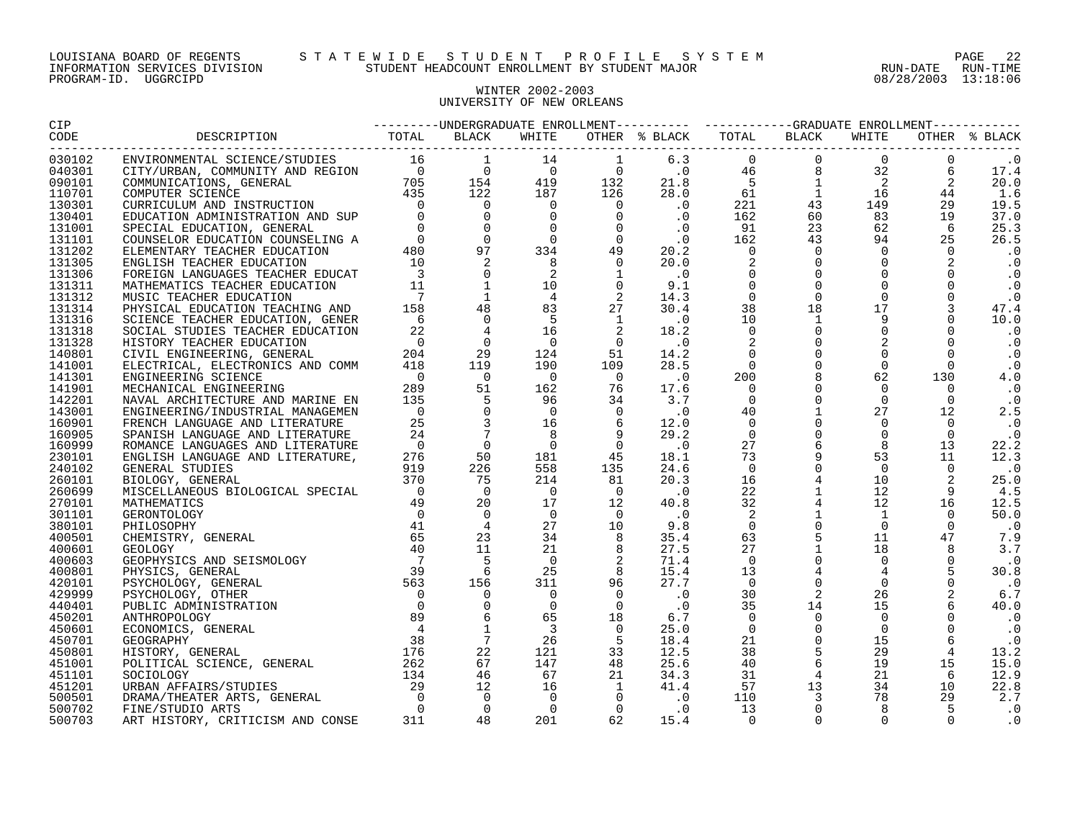#### LOUISIANA BOARD OF REGENTS S T A T E W I D E S T U D E N T P R O F I L E S Y S T E M PAGE 22 INFORMATION SERVICES DIVISION STUDENT HEADCOUNT ENROLLMENT BY STUDENT MAJOR RUN-DATE RUN-TIME

#### WINTER 2002-2003 UNIVERSITY OF NEW ORLEANS

| 030102 |  |  |  |  |  | $\cdot$ 0  |
|--------|--|--|--|--|--|------------|
| 040301 |  |  |  |  |  | 17.4       |
| 090101 |  |  |  |  |  | 20.0       |
| 110701 |  |  |  |  |  | 1.6        |
| 130301 |  |  |  |  |  | 19.5       |
| 130401 |  |  |  |  |  | 37.0       |
| 131001 |  |  |  |  |  | 25.3       |
| 131101 |  |  |  |  |  | 26.5       |
| 131202 |  |  |  |  |  | . 0        |
| 131305 |  |  |  |  |  | $\cdot$ 0  |
| 131306 |  |  |  |  |  | $\cdot$ .0 |
| 131311 |  |  |  |  |  | $\cdot$ 0  |
| 131312 |  |  |  |  |  | $\cdot$ 0  |
| 131314 |  |  |  |  |  | 47.4       |
| 131316 |  |  |  |  |  | 10.0       |
| 131318 |  |  |  |  |  | $\cdot$ 0  |
| 131328 |  |  |  |  |  | $\cdot$ 0  |
| 140801 |  |  |  |  |  | $\cdot$ 0  |
| 141001 |  |  |  |  |  | $\cdot$ 0  |
| 141301 |  |  |  |  |  | 4.0        |
| 141901 |  |  |  |  |  | $\cdot$ 0  |
| 142201 |  |  |  |  |  | $\cdot$ 0  |
| 143001 |  |  |  |  |  | 2.5        |
| 160901 |  |  |  |  |  | . 0        |
| 160905 |  |  |  |  |  | $\cdot$ 0  |
| 160999 |  |  |  |  |  | 22.2       |
| 230101 |  |  |  |  |  | 12.3       |
| 240102 |  |  |  |  |  | $\cdot$ 0  |
| 260101 |  |  |  |  |  | 25.0       |
| 260699 |  |  |  |  |  | 4.5        |
| 270101 |  |  |  |  |  | 12.5       |
| 301101 |  |  |  |  |  | 50.0       |
| 380101 |  |  |  |  |  | $\cdot$ 0  |
| 400501 |  |  |  |  |  | 7.9        |
| 400601 |  |  |  |  |  | 3.7        |
| 400603 |  |  |  |  |  | $\cdot$ 0  |
| 400801 |  |  |  |  |  | 30.8       |
| 420101 |  |  |  |  |  | $\cdot$ 0  |
| 429999 |  |  |  |  |  | 6.7        |
| 440401 |  |  |  |  |  | 40.0       |
| 450201 |  |  |  |  |  | $\cdot$ 0  |
| 450601 |  |  |  |  |  | $\cdot$ 0  |
| 450701 |  |  |  |  |  | $\cdot$ 0  |
| 450801 |  |  |  |  |  | 13.2       |
| 451001 |  |  |  |  |  | 15.0       |
| 451101 |  |  |  |  |  | 12.9       |
| 451201 |  |  |  |  |  | 22.8       |
| 500501 |  |  |  |  |  | 2.7        |
| 500702 |  |  |  |  |  | $\cdot$ 0  |
| 500703 |  |  |  |  |  | . 0        |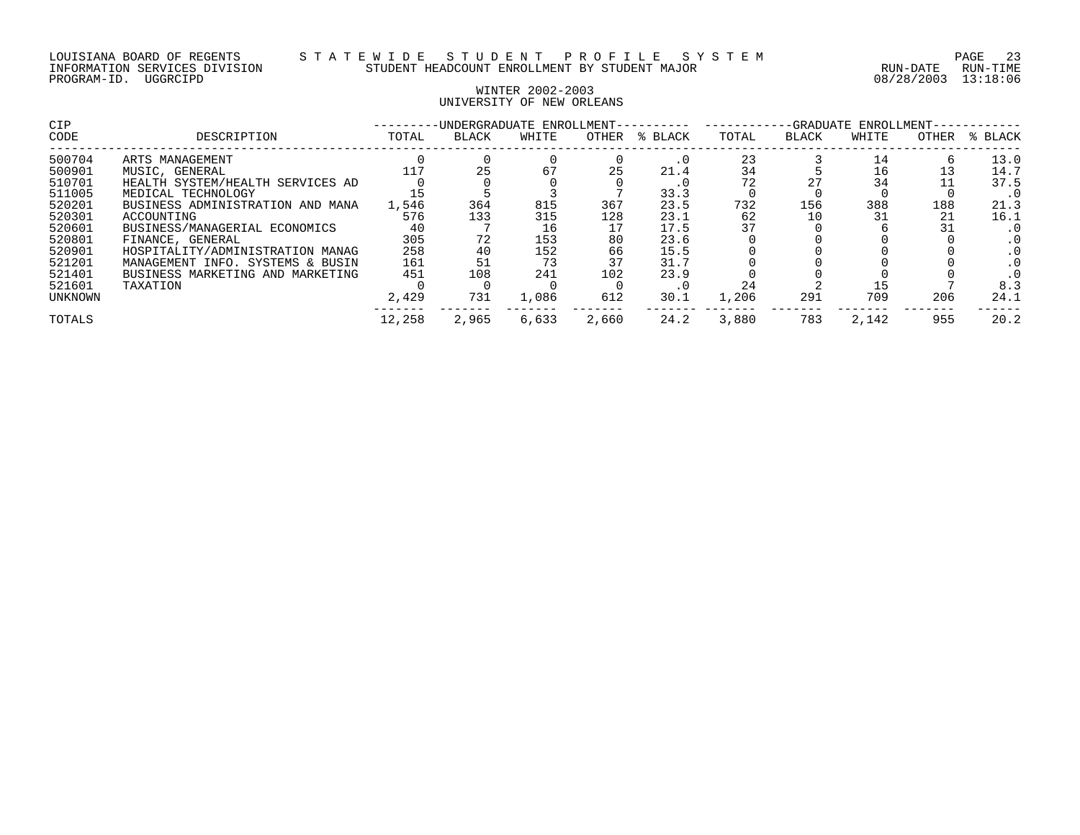#### WINTER 2002-2003 UNIVERSITY OF NEW ORLEANS

| <b>CIP</b> |                                  |        | -UNDERGRADUATE ENROLLMENT-- |       |       | -GRADUATE ENROLLMENT- |       |              |       |       |           |
|------------|----------------------------------|--------|-----------------------------|-------|-------|-----------------------|-------|--------------|-------|-------|-----------|
| CODE       | DESCRIPTION                      | TOTAL  | <b>BLACK</b>                | WHITE | OTHER | % BLACK               | TOTAL | <b>BLACK</b> | WHITE | OTHER | % BLACK   |
| 500704     | ARTS MANAGEMENT                  |        |                             |       |       | . 0                   | 23    |              |       |       | 13.0      |
| 500901     | MUSIC, GENERAL                   |        | 25                          | 67    | 25    | 21.4                  | 34    |              | 16    |       | 14.7      |
| 510701     | HEALTH SYSTEM/HEALTH SERVICES AD |        |                             |       |       | . U                   |       | 27           |       |       | 37.5      |
| 511005     | MEDICAL TECHNOLOGY               | 15     |                             |       |       | 33.3                  |       |              |       |       | $\cdot$ 0 |
| 520201     | BUSINESS ADMINISTRATION AND MANA | 1,546  | 364                         | 815   | 367   | 23.5                  | 732   | 156          | 388   | 188   | 21.3      |
| 520301     | ACCOUNTING                       | 576    | 133                         | 315   | 128   | 23.1                  | 62    |              |       | 21    | 16.1      |
| 520601     | BUSINESS/MANAGERIAL ECONOMICS    | 40     |                             | 16    |       | 17.5                  |       |              |       |       | $\cdot$ 0 |
| 520801     | FINANCE, GENERAL                 | 305    | 72                          | 153   | 80    | 23.6                  |       |              |       |       | $\cdot$ 0 |
| 520901     | HOSPITALITY/ADMINISTRATION MANAG | 258    | 40                          | 152   | 66    | 15.5                  |       |              |       |       |           |
| 521201     | MANAGEMENT INFO. SYSTEMS & BUSIN | 161    | 51                          | 73    | 37    | 31.7                  |       |              |       |       | $\cdot$ 0 |
| 521401     | BUSINESS MARKETING AND MARKETING | 451    | 108                         | 241   | 102   | 23.9                  |       |              |       |       |           |
| 521601     | TAXATION                         |        |                             |       |       | . 0                   |       |              |       |       | 8.3       |
| UNKNOWN    |                                  | 2,429  | 731                         | 1,086 | 612   | 30.1                  | 1,206 | 291          | 709   | 206   | 24.1      |
| TOTALS     |                                  | 12,258 | 2,965                       | 6,633 | 2,660 | 24.2                  | 3,880 | 783          | 2,142 | 955   | 20.2      |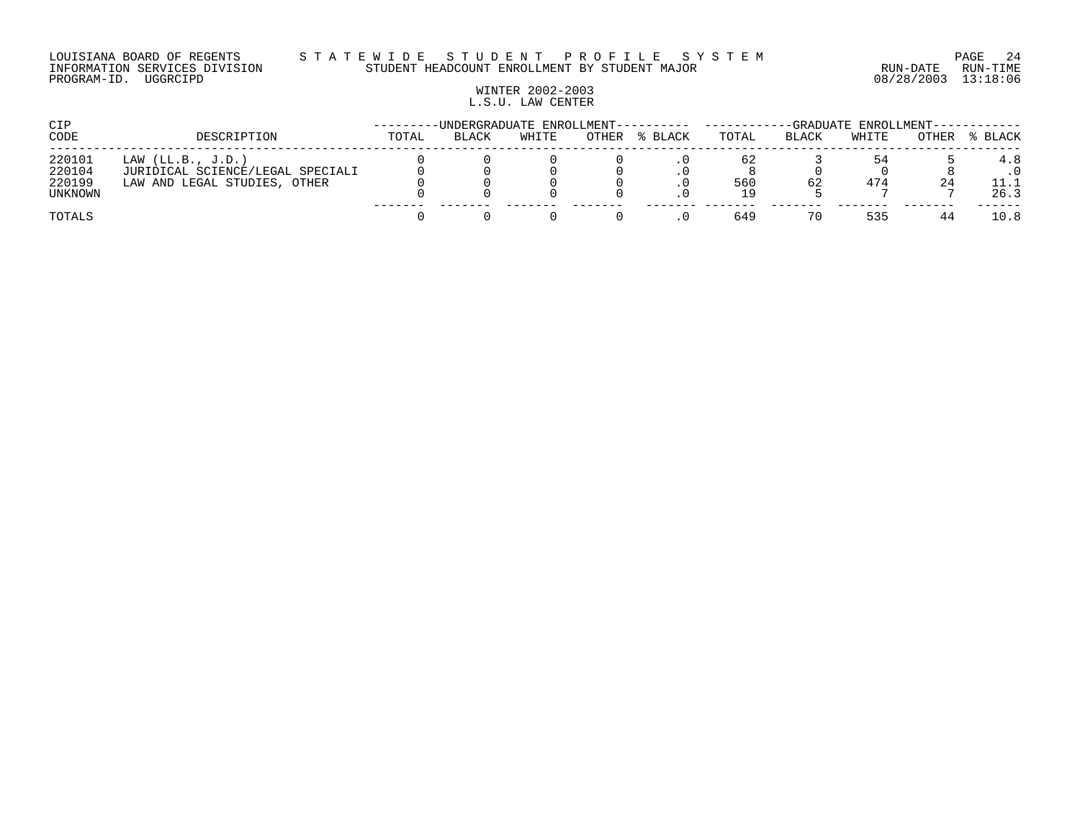#### LOUISIANA BOARD OF REGENTS S T A T E W I D E S T U D E N T P R O F I L E S Y S T E M PAGE 24 INFORMATION SERVICES DIVISION STUDENT HEADCOUNT ENROLLMENT BY STUDENT MAJOR RUN-DATE RUN-TIME

# WINTER 2002-2003 L.S.U. LAW CENTER

| CIP     |                                  |       |       | -UNDERGRADUATE ENROLLMENT---------- --- | -GRADUATE ENROLLMENT-- |         |       |              |       |       |         |
|---------|----------------------------------|-------|-------|-----------------------------------------|------------------------|---------|-------|--------------|-------|-------|---------|
| CODE    | DESCRIPTION                      | TOTAL | BLACK | WHITE                                   | OTHER                  | % BLACK | TOTAL | <b>BLACK</b> | WHITE | OTHER | % BLACK |
| 220101  | LAW $(LL.B., J.D.)$              |       |       |                                         |                        |         | 62    |              | 54    |       | 4.8     |
| 220104  | JURIDICAL SCIENCE/LEGAL SPECIALI |       |       |                                         |                        |         |       |              |       |       |         |
| 220199  | LAW AND LEGAL STUDIES,<br>OTHER  |       |       |                                         |                        |         | 560   | 62           | 474   | 24    |         |
| UNKNOWN |                                  |       |       |                                         |                        |         |       |              |       |       | 26.3    |
| TOTALS  |                                  |       |       |                                         |                        |         | 649   | 70           | 535   |       | 10.8    |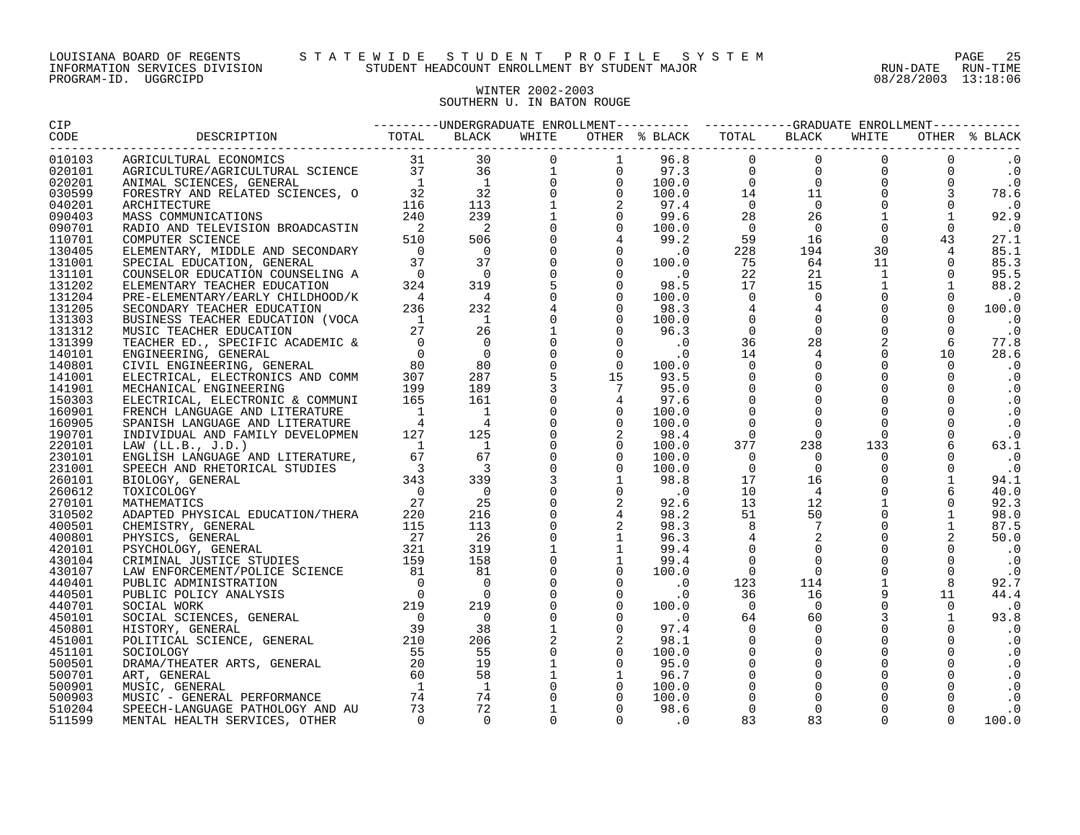## WINTER 2002-2003 SOUTHERN U. IN BATON ROUGE

| 010103 |  |  |  |  |  |           |
|--------|--|--|--|--|--|-----------|
| 020101 |  |  |  |  |  |           |
| 020201 |  |  |  |  |  |           |
| 030599 |  |  |  |  |  |           |
| 040201 |  |  |  |  |  |           |
| 090403 |  |  |  |  |  |           |
| 090701 |  |  |  |  |  |           |
| 110701 |  |  |  |  |  |           |
| 130405 |  |  |  |  |  |           |
| 131001 |  |  |  |  |  |           |
| 131101 |  |  |  |  |  |           |
| 131202 |  |  |  |  |  |           |
| 131204 |  |  |  |  |  |           |
| 131205 |  |  |  |  |  | 100.0     |
| 131303 |  |  |  |  |  |           |
| 131312 |  |  |  |  |  |           |
| 131399 |  |  |  |  |  |           |
| 140101 |  |  |  |  |  |           |
| 140801 |  |  |  |  |  |           |
| 141001 |  |  |  |  |  |           |
| 141901 |  |  |  |  |  | $\cdot$ 0 |
| 150303 |  |  |  |  |  |           |
| 160901 |  |  |  |  |  |           |
| 160905 |  |  |  |  |  |           |
| 190701 |  |  |  |  |  |           |
| 220101 |  |  |  |  |  |           |
| 230101 |  |  |  |  |  |           |
| 231001 |  |  |  |  |  |           |
| 260101 |  |  |  |  |  | 94.1      |
| 260612 |  |  |  |  |  |           |
| 270101 |  |  |  |  |  |           |
| 310502 |  |  |  |  |  |           |
| 400501 |  |  |  |  |  |           |
| 400801 |  |  |  |  |  |           |
| 420101 |  |  |  |  |  |           |
| 430104 |  |  |  |  |  |           |
| 430107 |  |  |  |  |  |           |
| 440401 |  |  |  |  |  | 92.7      |
| 440501 |  |  |  |  |  |           |
|        |  |  |  |  |  |           |
| 440701 |  |  |  |  |  |           |
| 450101 |  |  |  |  |  | 93.8      |
| 450801 |  |  |  |  |  |           |
| 451001 |  |  |  |  |  |           |
| 451101 |  |  |  |  |  |           |
| 500501 |  |  |  |  |  |           |
| 500701 |  |  |  |  |  |           |
| 500901 |  |  |  |  |  |           |
| 500903 |  |  |  |  |  |           |
| 510204 |  |  |  |  |  |           |
| 511599 |  |  |  |  |  |           |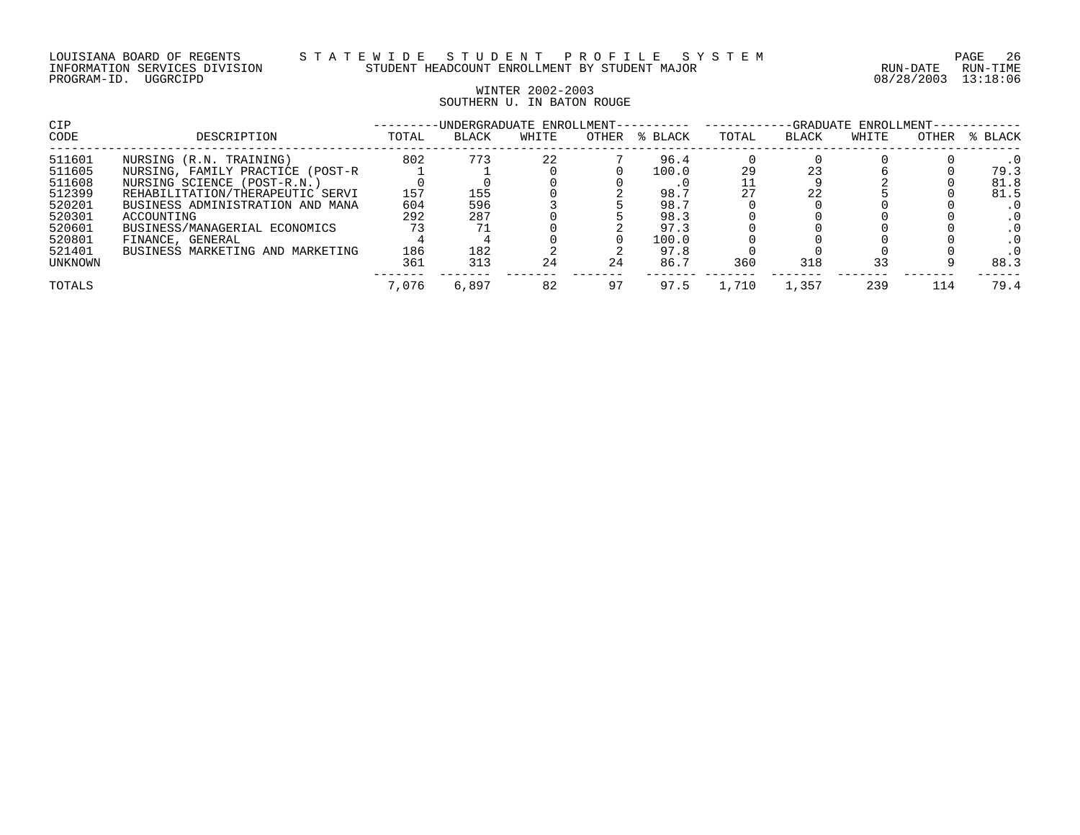## WINTER 2002-2003 SOUTHERN U. IN BATON ROUGE

| <b>CIP</b><br>CODE | DESCRIPTION                                                     | -UNDERGRADUATE ENROLLMENT-<br>OTHER<br>% BLACK<br>TOTAL<br>TOTAL<br>BLACK<br>WHITE |            |    |    |               |       |       | -GRADUATE ENROLLMENT-<br>% BLACK<br>OTHER<br><b>BLACK</b><br>WHITE |     |              |  |
|--------------------|-----------------------------------------------------------------|------------------------------------------------------------------------------------|------------|----|----|---------------|-------|-------|--------------------------------------------------------------------|-----|--------------|--|
| 511601<br>511605   | NURSING (R.N. TRAINING)<br>NURSING, FAMILY PRACTICE (POST-R     | 802                                                                                | 773        | 22 |    | 96.4<br>100.0 | 29    | 23    |                                                                    |     | 79.3         |  |
| 511608<br>512399   | NURSING SCIENCE (POST-R.N.)<br>REHABILITATION/THERAPEUTIC SERVI | 157                                                                                | 155        |    |    | 98.7          |       | 22    |                                                                    |     | 81.8<br>81.5 |  |
| 520201<br>520301   | BUSINESS ADMINISTRATION AND MANA<br>ACCOUNTING                  | 604<br>292                                                                         | 596<br>287 |    |    | 98.7<br>98.3  |       |       |                                                                    |     |              |  |
| 520601<br>520801   | BUSINESS/MANAGERIAL ECONOMICS<br>FINANCE, GENERAL               |                                                                                    |            |    |    | 97.3<br>100.0 |       |       |                                                                    |     |              |  |
| 521401<br>UNKNOWN  | BUSINESS MARKETING AND MARKETING                                | 186<br>361                                                                         | 182<br>313 | 24 | 24 | 97.8<br>86.7  | 360   | 318   | 33                                                                 |     | 88.3         |  |
| TOTALS             |                                                                 | 7,076                                                                              | 6,897      | 82 | 97 | 97.5          | 1,710 | 1,357 | 239                                                                | 114 | 79.4         |  |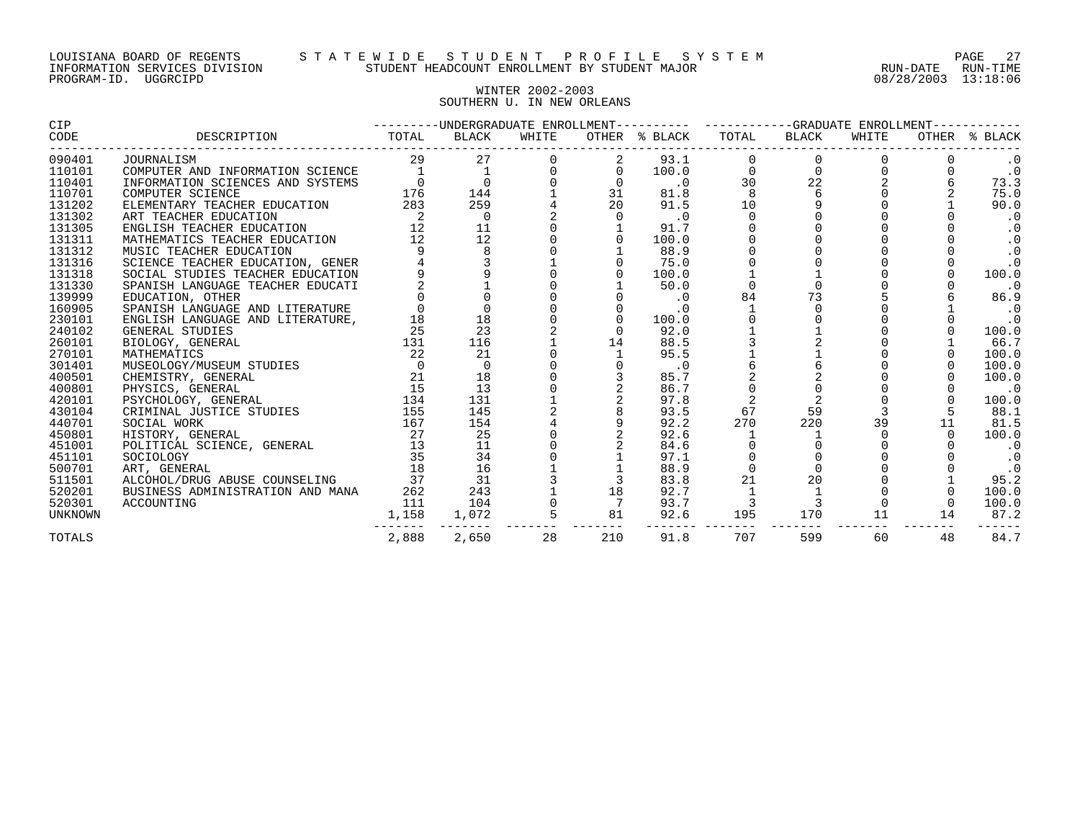#### WINTER 2002-2003 SOUTHERN U. IN NEW ORLEANS

| CIP            |                                  |                 | ---------UNDERGRADUATE ENROLLMENT---------- ----------GRADUATE ENROLLMENT----------- |       |                      |                    |             |              |       |    |               |  |
|----------------|----------------------------------|-----------------|--------------------------------------------------------------------------------------|-------|----------------------|--------------------|-------------|--------------|-------|----|---------------|--|
| CODE           | DESCRIPTION                      | TOTAL           | BLACK                                                                                | WHITE |                      | OTHER % BLACK      | TOTAL       | BLACK        | WHITE |    | OTHER % BLACK |  |
| 090401         | JOURNALISM                       | 29              | 27                                                                                   |       |                      | 93.1               |             |              |       |    | $\cdot$ 0     |  |
| 110101         | COMPUTER AND INFORMATION SCIENCE |                 | $\overline{1}$                                                                       |       |                      | 100.0              | 0           | $\mathsf{O}$ |       |    | $\cdot$ 0     |  |
| 110401         | INFORMATION SCIENCES AND SYSTEMS | $\mathbf 0$     | $\mathbf 0$                                                                          |       |                      | $\cdot$ 0          | 30          | 22           |       |    | 73.3          |  |
| 110701         | COMPUTER SCIENCE                 | 176             | 144                                                                                  |       | 31                   | 81.8               | 8           | 6            |       |    | 75.0          |  |
| 131202         | ELEMENTARY TEACHER EDUCATION     | 283             | 259                                                                                  |       | 20                   | 91.5               | 10          | 9            |       |    | 90.0          |  |
| 131302         | ART TEACHER EDUCATION            | - 2             | $\overline{0}$                                                                       |       |                      | $\cdot$ 0          | $\Omega$    |              |       |    | $\cdot$ 0     |  |
| 131305         | ENGLISH TEACHER EDUCATION        | 12              | 11                                                                                   |       |                      | 91.7               |             |              |       |    | $\cdot$ 0     |  |
| 131311         | MATHEMATICS TEACHER EDUCATION    | 12              | 12                                                                                   |       |                      | 100.0              |             |              |       |    | $\cdot$ 0     |  |
| 131312         | MUSIC TEACHER EDUCATION          |                 |                                                                                      |       |                      | 88.9               |             |              |       |    | $\cdot$ 0     |  |
| 131316         | SCIENCE TEACHER EDUCATION, GENER |                 |                                                                                      |       |                      | 75.0               |             |              |       |    | $\cdot$ 0     |  |
| 131318         | SOCIAL STUDIES TEACHER EDUCATION |                 |                                                                                      |       |                      | 100.0              |             |              |       |    | 100.0         |  |
| 131330         | SPANISH LANGUAGE TEACHER EDUCATI |                 |                                                                                      |       |                      | 50.0               | $\Omega$    | $\Omega$     |       |    | $\cdot$ 0     |  |
| 139999         | EDUCATION, OTHER                 |                 |                                                                                      |       |                      | $\cdot$ 0          | 84          | 73           |       |    | 86.9          |  |
| 160905         | SPANISH LANGUAGE AND LITERATURE  |                 |                                                                                      |       |                      | $\cdot$ 0          |             | $\Omega$     |       |    | . 0           |  |
| 230101         | ENGLISH LANGUAGE AND LITERATURE, | 18              | 18                                                                                   |       |                      | 100.0              |             |              |       |    | $\cdot$ 0     |  |
| 240102         | GENERAL STUDIES                  | 25              | 23                                                                                   |       |                      | 92.0               |             |              |       |    | 100.0         |  |
| 260101         | BIOLOGY, GENERAL                 | 131             | 116                                                                                  |       | 14                   | 88.5               |             |              |       |    | 66.7          |  |
| 270101         | MATHEMATICS                      | 22              | 21                                                                                   |       |                      | 95.5               |             |              |       |    | 100.0         |  |
| 301401         | MUSEOLOGY/MUSEUM STUDIES         | - 0             | $\overline{0}$                                                                       |       |                      | $\cdot$ 0          |             |              |       |    | 100.0         |  |
| 400501         | CHEMISTRY, GENERAL               | 21              | 18                                                                                   |       |                      | 85.7               |             |              |       |    | 100.0         |  |
| 400801         | PHYSICS, GENERAL                 | 15              | 13                                                                                   |       |                      | 86.7               |             |              |       |    | $\cdot$ 0     |  |
| 420101         | PSYCHOLOGY, GENERAL              | 134             | 131                                                                                  |       |                      | 97.8               |             |              |       |    | 100.0         |  |
| 430104         | CRIMINAL JUSTICE STUDIES         | 155             | 145                                                                                  |       |                      | 93.5               | 67          | 59           |       |    | 88.1          |  |
| 440701         | SOCIAL WORK                      | 167             | 154                                                                                  |       |                      | 92.2               | 270         | 220          | 39    | 11 | 81.5          |  |
| 450801         | HISTORY, GENERAL                 | 27              | 25                                                                                   |       |                      | 92.6               |             |              |       |    | 100.0         |  |
| 451001         | POLITICAL SCIENCE, GENERAL       | $\frac{27}{13}$ | 11                                                                                   |       |                      | 84.6               |             |              |       |    | . 0           |  |
| 451101         | SOCIOLOGY                        | 35              | 34                                                                                   |       |                      | 97.1               |             |              |       |    | $\cdot$ 0     |  |
| 500701         | ART, GENERAL                     | 18              | 16                                                                                   |       |                      | 88.9               | $\mathbf 0$ |              |       |    | $\cdot$ 0     |  |
| 511501         | ALCOHOL/DRUG ABUSE COUNSELING    | 37              | 31                                                                                   |       |                      | 83.8               | 21          | 20           |       |    | 95.2          |  |
| 520201         | BUSINESS ADMINISTRATION AND MANA | 262             | 243                                                                                  |       | 18                   | 92.7               |             |              |       |    | 100.0         |  |
| 520301         | ACCOUNTING                       | 111             | 104                                                                                  |       |                      | 93.7               |             | 3            |       |    | 100.0         |  |
| <b>UNKNOWN</b> |                                  | 1,158           | 1,072                                                                                |       | $\overline{5}$<br>81 | 92.6<br>---------- | 195         | 170          | 11    | 14 | 87.2          |  |
| <b>TOTALS</b>  |                                  | 2,888           | 2,650                                                                                | 28    | 210                  | 91.8               | 707         | 599          | 60    | 48 | 84.7          |  |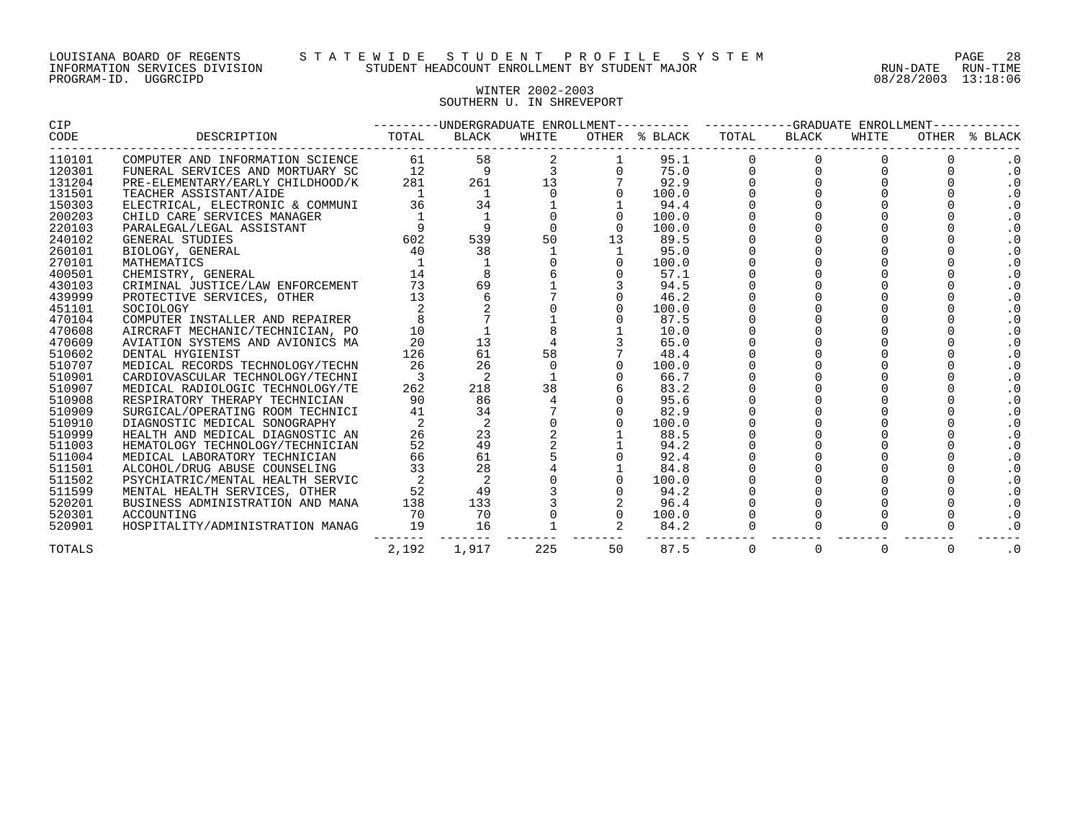#### WINTER 2002-2003 SOUTHERN U. IN SHREVEPORT

| CIP           |                                  | ---------UNDERGRADUATE ENROLLMENT---------- ----------GRADUATE ENROLLMENT---------- |               |          |          |               |       |             |                |             |               |  |
|---------------|----------------------------------|-------------------------------------------------------------------------------------|---------------|----------|----------|---------------|-------|-------------|----------------|-------------|---------------|--|
| CODE          | DESCRIPTION                      | TOTAL                                                                               | BLACK         | WHITE    |          | OTHER % BLACK | TOTAL | BLACK       | WHITE          |             | OTHER % BLACK |  |
| 110101        | COMPUTER AND INFORMATION SCIENCE | 61                                                                                  | 58            |          |          | 95.1          |       |             |                |             | $\cdot$ 0     |  |
| 120301        | FUNERAL SERVICES AND MORTUARY SC | 12                                                                                  | 9             |          |          | 75.0          |       | 0           |                |             | . 0           |  |
| 131204        | PRE-ELEMENTARY/EARLY CHILDHOOD/K | 281                                                                                 | 261           | 13       |          | 92.9          |       |             |                |             | $\cdot$ 0     |  |
| 131501        | TEACHER ASSISTANT/AIDE           |                                                                                     | 1             |          |          | 100.0         |       |             |                |             | $\cdot$ 0     |  |
| 150303        | ELECTRICAL, ELECTRONIC & COMMUNI | 36                                                                                  | 34            |          |          | 94.4          |       |             |                |             | $\cdot$ 0     |  |
| 200203        | CHILD CARE SERVICES MANAGER      |                                                                                     | $\frac{1}{9}$ |          |          | 100.0         |       |             |                |             | $\cdot$ 0     |  |
| 220103        | PARALEGAL/LEGAL ASSISTANT        |                                                                                     |               |          | $\Omega$ | 100.0         |       |             |                |             | $\cdot$ 0     |  |
| 240102        | GENERAL STUDIES                  | 602                                                                                 | 539           | 50       | 13       | 89.5          |       |             |                |             | $\cdot$ 0     |  |
| 260101        | BIOLOGY, GENERAL                 | 40                                                                                  | 38            |          |          | 95.0          |       |             |                |             | $\cdot$ 0     |  |
| 270101        | MATHEMATICS                      |                                                                                     |               |          |          | 100.0         |       |             |                |             | $\cdot$ 0     |  |
| 400501        | CHEMISTRY, GENERAL               | 14                                                                                  |               |          |          | 57.1          |       |             |                |             | $\cdot$ 0     |  |
| 430103        | CRIMINAL JUSTICE/LAW ENFORCEMENT | 73                                                                                  | 69            |          |          | 94.5          |       |             |                |             | $\cdot$ 0     |  |
| 439999        | PROTECTIVE SERVICES, OTHER       | 13                                                                                  |               |          |          | 46.2          |       |             |                |             | $\cdot$ 0     |  |
| 451101        | SOCIOLOGY                        |                                                                                     |               |          |          | 100.0         |       |             |                |             | $\cdot$ 0     |  |
| 470104        | COMPUTER INSTALLER AND REPAIRER  |                                                                                     |               |          |          | 87.5          |       |             |                |             | $\cdot$ 0     |  |
| 470608        | AIRCRAFT MECHANIC/TECHNICIAN, PO | 10                                                                                  |               |          |          | 10.0          |       |             |                |             | $\cdot$ 0     |  |
| 470609        | AVIATION SYSTEMS AND AVIONICS MA | 20                                                                                  | 13            |          |          | 65.0          |       |             |                |             | $\cdot$ 0     |  |
| 510602        | DENTAL HYGIENIST                 | 126                                                                                 | 61            | 58       |          | 48.4          |       |             |                |             | $\cdot$ 0     |  |
| 510707        | MEDICAL RECORDS TECHNOLOGY/TECHN | 26                                                                                  | 26            | $\Omega$ |          | 100.0         |       |             |                |             | $\cdot$ 0     |  |
| 510901        | CARDIOVASCULAR TECHNOLOGY/TECHNI | 3                                                                                   | 2             |          |          | 66.7          |       |             |                |             | $\cdot$ 0     |  |
| 510907        | MEDICAL RADIOLOGIC TECHNOLOGY/TE | 262                                                                                 | 218           | 38       |          | 83.2          |       |             |                |             | $\cdot$ 0     |  |
| 510908        | RESPIRATORY THERAPY TECHNICIAN   | 90                                                                                  | 86            |          |          | 95.6          |       |             |                |             | $\cdot$ 0     |  |
| 510909        | SURGICAL/OPERATING ROOM TECHNICI | 41                                                                                  | 34            |          |          | 82.9          |       |             |                |             | $\cdot$ 0     |  |
| 510910        | DIAGNOSTIC MEDICAL SONOGRAPHY    |                                                                                     | 2             |          |          | 100.0         |       |             |                |             | $\cdot$ 0     |  |
| 510999        | HEALTH AND MEDICAL DIAGNOSTIC AN | 26                                                                                  | 23            |          |          | 88.5          |       |             |                |             | $\cdot$ 0     |  |
| 511003        | HEMATOLOGY TECHNOLOGY/TECHNICIAN | 52                                                                                  | 49            |          |          | 94.2          |       |             |                |             | $\cdot$ 0     |  |
| 511004        | MEDICAL LABORATORY TECHNICIAN    | 66                                                                                  | 61            |          |          | 92.4          |       |             |                |             | $\cdot$ 0     |  |
| 511501        | ALCOHOL/DRUG ABUSE COUNSELING    | 33                                                                                  | 28            |          |          | 84.8          |       |             |                |             | $\cdot$ 0     |  |
| 511502        | PSYCHIATRIC/MENTAL HEALTH SERVIC |                                                                                     | 2             |          |          | 100.0         |       |             |                |             | $\cdot$ 0     |  |
| 511599        | MENTAL HEALTH SERVICES, OTHER    | 52                                                                                  | 49            |          |          | 94.2          |       |             |                |             | $\cdot$ 0     |  |
| 520201        | BUSINESS ADMINISTRATION AND MANA | 138                                                                                 | 133           |          |          | 96.4          |       |             |                |             | $\cdot$ 0     |  |
| 520301        | ACCOUNTING                       | 70                                                                                  | 70            |          | $\Omega$ | 100.0         |       |             |                |             | $\cdot$ 0     |  |
| 520901        | HOSPITALITY/ADMINISTRATION MANAG | 19                                                                                  | 16            |          |          | 84.2          |       |             |                |             | $\cdot$ 0     |  |
| <b>TOTALS</b> |                                  | 2,192                                                                               | 1,917         | 225      | 50       | 87.5          | 0     | $\mathbf 0$ | $\overline{0}$ | $\mathbf 0$ | $\cdot$ 0     |  |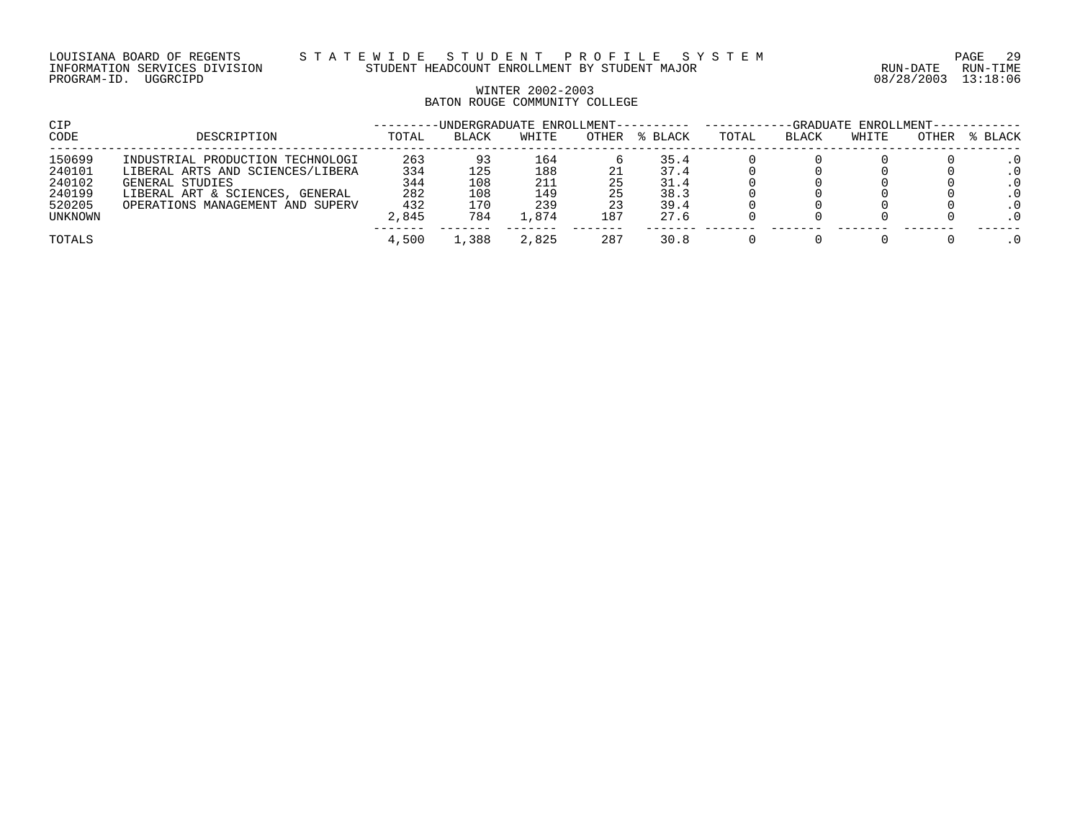## WINTER 2002-2003 BATON ROUGE COMMUNITY COLLEGE

| CIP            |                                    | -UNDERGRADUATE ENROLLMENT-- |              |         |       |         | -GRADUATE ENROLLMENT- |       |       |       |            |
|----------------|------------------------------------|-----------------------------|--------------|---------|-------|---------|-----------------------|-------|-------|-------|------------|
| CODE           | DESCRIPTION                        | TOTAL                       | <b>BLACK</b> | WHITE   | OTHER | % BLACK | TOTAL                 | BLACK | WHITE | OTHER | % BLACK    |
| 150699         | INDUSTRIAL PRODUCTION TECHNOLOGI   | 263                         | 93           | 164     |       | 35.4    |                       |       |       |       |            |
| 240101         | LIBERAL ARTS AND SCIENCES/LIBERA   | 334                         | 125          | 188     |       | 37.4    |                       |       |       |       |            |
| 240102         | GENERAL STUDIES                    | 344                         | 108          | 211     | 25    | 31.4    |                       |       |       |       | . 0        |
| 240199         | LIBERAL ART & SCIENCES,<br>GENERAL | 282                         | 108          | 149     | 25    | 38.3    |                       |       |       |       | . 0        |
| 520205         | OPERATIONS MANAGEMENT AND SUPERV   | 432                         | 170          | 239     | 23    | 39.4    |                       |       |       |       | $\cdot$ 0  |
| <b>UNKNOWN</b> |                                    | 2,845                       | 784          | . . 874 | 187   | 27.6    |                       |       |       |       | $\Omega$ . |
| TOTALS         |                                    | 4,500                       | ,388         | 2,825   | 287   | 30.8    |                       |       |       |       | . 0        |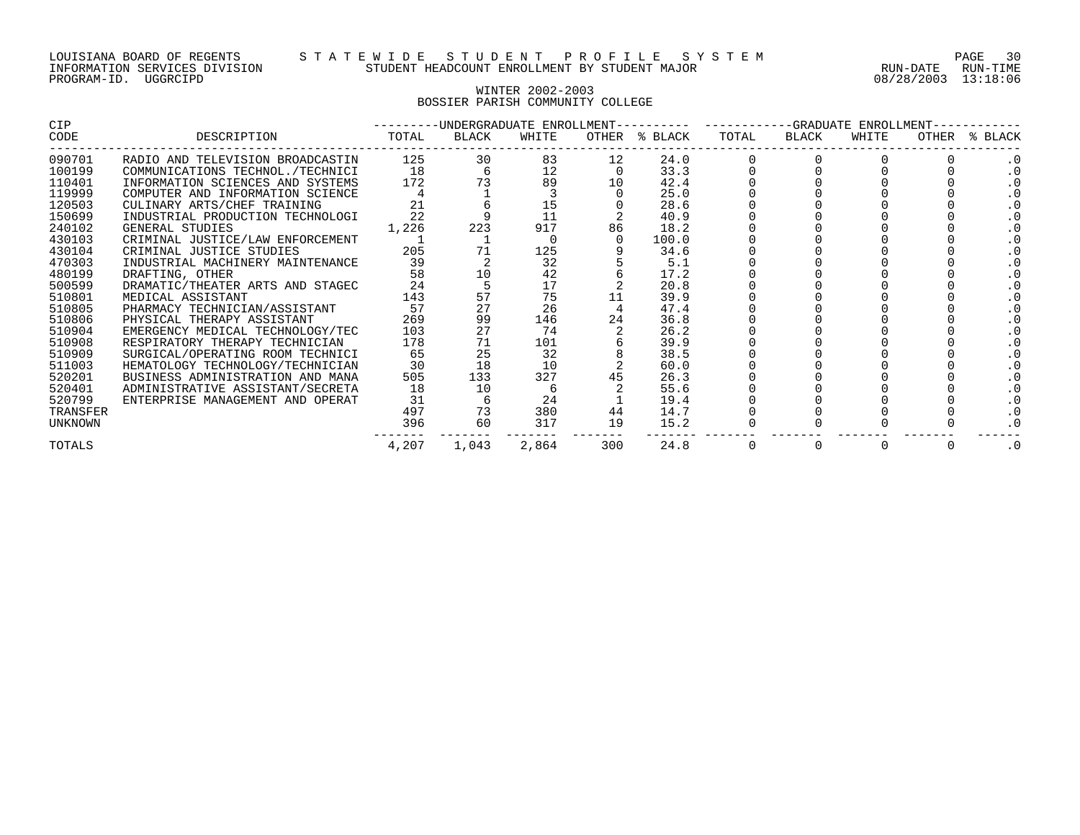#### WINTER 2002-2003 BOSSIER PARISH COMMUNITY COLLEGE

| CIP      |                                  | -------- | -UNDERGRADUATE ENROLLMENT---------- |       |     |               | ------------GRADUATE ENROLLMENT- |       |       |       |         |  |
|----------|----------------------------------|----------|-------------------------------------|-------|-----|---------------|----------------------------------|-------|-------|-------|---------|--|
| CODE     | DESCRIPTION                      | TOTAL    | BLACK                               | WHITE |     | OTHER % BLACK | TOTAL                            | BLACK | WHITE | OTHER | % BLACK |  |
| 090701   | RADIO AND TELEVISION BROADCASTIN | 125      | 30                                  | 83    | 12  | 24.0          |                                  |       |       |       |         |  |
| 100199   | COMMUNICATIONS TECHNOL./TECHNICI | 18       |                                     | 12    |     | 33.3          |                                  |       |       |       |         |  |
| 110401   | INFORMATION SCIENCES AND SYSTEMS | 172      |                                     | 89    |     | 42.4          |                                  |       |       |       |         |  |
| 119999   | COMPUTER AND INFORMATION SCIENCE |          |                                     |       |     | 25.0          |                                  |       |       |       |         |  |
| 120503   | CULINARY ARTS/CHEF TRAINING      | 21       |                                     | 15    |     | 28.6          |                                  |       |       |       |         |  |
| 150699   | INDUSTRIAL PRODUCTION TECHNOLOGI |          |                                     | 11    |     | 40.9          |                                  |       |       |       |         |  |
| 240102   | GENERAL STUDIES                  | 1,226    | 223                                 | 917   | 86  | 18.2          |                                  |       |       |       |         |  |
| 430103   | CRIMINAL JUSTICE/LAW ENFORCEMENT |          |                                     |       |     | 100.0         |                                  |       |       |       |         |  |
| 430104   | CRIMINAL JUSTICE STUDIES         | 205      |                                     | 125   |     | 34.6          |                                  |       |       |       |         |  |
| 470303   | INDUSTRIAL MACHINERY MAINTENANCE | 39       |                                     | 32    |     | 5.1           |                                  |       |       |       |         |  |
| 480199   | DRAFTING, OTHER                  | 58       | 10                                  | 42    |     | 17.2          |                                  |       |       |       |         |  |
| 500599   | DRAMATIC/THEATER ARTS AND STAGEC | 24       |                                     | 17    |     | 20.8          |                                  |       |       |       |         |  |
| 510801   | MEDICAL ASSISTANT                | 143      | 57                                  | 75    |     | 39.9          |                                  |       |       |       |         |  |
| 510805   | PHARMACY TECHNICIAN/ASSISTANT    | 57       | 27                                  | 26    |     | 47.4          |                                  |       |       |       |         |  |
| 510806   | PHYSICAL THERAPY ASSISTANT       | 269      | 99                                  | 146   | 24  | 36.8          |                                  |       |       |       |         |  |
| 510904   | EMERGENCY MEDICAL TECHNOLOGY/TEC | 103      | 27                                  | 74    |     | 26.2          |                                  |       |       |       |         |  |
| 510908   | RESPIRATORY THERAPY TECHNICIAN   | 178      | 71                                  | 101   |     | 39.9          |                                  |       |       |       |         |  |
| 510909   | SURGICAL/OPERATING ROOM TECHNICI | 65       | 25                                  | 32    |     | 38.5          |                                  |       |       |       |         |  |
| 511003   | HEMATOLOGY TECHNOLOGY/TECHNICIAN | 30       | 18                                  | 10    |     | 60.0          |                                  |       |       |       |         |  |
| 520201   | BUSINESS ADMINISTRATION AND MANA | 505      | 133                                 | 327   |     | 26.3          |                                  |       |       |       |         |  |
| 520401   | ADMINISTRATIVE ASSISTANT/SECRETA | 18       | 10                                  |       |     | 55.6          |                                  |       |       |       |         |  |
| 520799   | ENTERPRISE MANAGEMENT AND OPERAT | 31       |                                     | 24    |     | 19.4          |                                  |       |       |       |         |  |
| TRANSFER |                                  | 497      | 73                                  | 380   | 44  | 14.7          |                                  |       |       |       |         |  |
| UNKNOWN  |                                  | 396      | 60                                  | 317   | 19  | 15.2          |                                  |       |       |       |         |  |
| TOTALS   |                                  | 4,207    | 1,043                               | 2,864 | 300 | 24.8          |                                  |       |       |       | . 0     |  |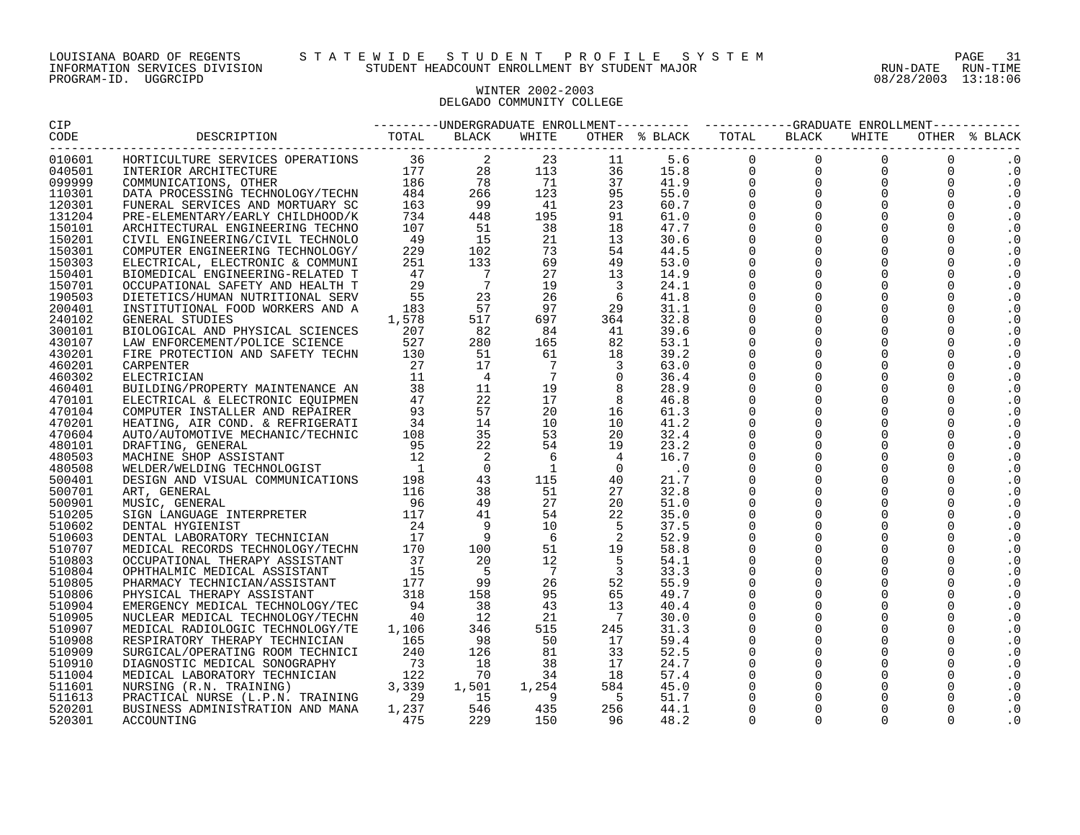## WINTER 2002-2003 DELGADO COMMUNITY COLLEGE

|                  |            | $\begin{smallmatrix} \textbf{1.13} \textbf{1.14} \textbf{1.14} \textbf{1.14} \textbf{1.14} \textbf{1.14} \textbf{1.14} \textbf{1.14} \textbf{1.14} \textbf{1.14} \textbf{1.14} \textbf{1.14} \textbf{1.14} \textbf{1.14} \textbf{1.14} \textbf{1.14} \textbf{1.14} \textbf{1.14} \textbf{1.14} \textbf{1.14} \textbf{1.14} \textbf{1.14} \textbf{1.14} \textbf{1.1$ |     |     |  |      |  |  |  |  |                        |
|------------------|------------|---------------------------------------------------------------------------------------------------------------------------------------------------------------------------------------------------------------------------------------------------------------------------------------------------------------------------------------------------------------------|-----|-----|--|------|--|--|--|--|------------------------|
|                  |            |                                                                                                                                                                                                                                                                                                                                                                     |     |     |  |      |  |  |  |  |                        |
| 010601           |            |                                                                                                                                                                                                                                                                                                                                                                     |     |     |  |      |  |  |  |  | $\cdot$ 0              |
| 040501           |            |                                                                                                                                                                                                                                                                                                                                                                     |     |     |  |      |  |  |  |  | $\cdot$ 0              |
| 099999           |            |                                                                                                                                                                                                                                                                                                                                                                     |     |     |  |      |  |  |  |  | $\cdot$ 0              |
| 110301           |            |                                                                                                                                                                                                                                                                                                                                                                     |     |     |  |      |  |  |  |  | . 0                    |
| 120301           |            |                                                                                                                                                                                                                                                                                                                                                                     |     |     |  |      |  |  |  |  | $\cdot$ 0              |
| 131204           |            |                                                                                                                                                                                                                                                                                                                                                                     |     |     |  |      |  |  |  |  | $\cdot$ 0              |
| 150101           |            |                                                                                                                                                                                                                                                                                                                                                                     |     |     |  |      |  |  |  |  | $\cdot$ 0              |
| 150201           |            |                                                                                                                                                                                                                                                                                                                                                                     |     |     |  |      |  |  |  |  | . 0                    |
| 150301           |            |                                                                                                                                                                                                                                                                                                                                                                     |     |     |  |      |  |  |  |  | $\cdot$ 0              |
| 150303           |            |                                                                                                                                                                                                                                                                                                                                                                     |     |     |  |      |  |  |  |  | $\cdot$ 0              |
| 150401           |            |                                                                                                                                                                                                                                                                                                                                                                     |     |     |  |      |  |  |  |  | $\cdot$ 0              |
| 150701           |            |                                                                                                                                                                                                                                                                                                                                                                     |     |     |  |      |  |  |  |  | $\cdot$ 0              |
| 190503           |            |                                                                                                                                                                                                                                                                                                                                                                     |     |     |  |      |  |  |  |  | . 0                    |
| 200401           |            |                                                                                                                                                                                                                                                                                                                                                                     |     |     |  |      |  |  |  |  | $\cdot$ 0              |
| 240102           |            |                                                                                                                                                                                                                                                                                                                                                                     |     |     |  |      |  |  |  |  | $\cdot$ 0              |
| 300101           |            |                                                                                                                                                                                                                                                                                                                                                                     |     |     |  |      |  |  |  |  | . 0                    |
| 430107           |            |                                                                                                                                                                                                                                                                                                                                                                     |     |     |  |      |  |  |  |  | $\cdot$ 0              |
| 430201           |            |                                                                                                                                                                                                                                                                                                                                                                     |     |     |  |      |  |  |  |  | . 0                    |
| 460201           |            |                                                                                                                                                                                                                                                                                                                                                                     |     |     |  |      |  |  |  |  | $\cdot$ 0              |
| 460302           |            |                                                                                                                                                                                                                                                                                                                                                                     |     |     |  |      |  |  |  |  | $\cdot$ 0              |
| 460401           |            |                                                                                                                                                                                                                                                                                                                                                                     |     |     |  |      |  |  |  |  | $\cdot$ 0              |
| 470101           |            |                                                                                                                                                                                                                                                                                                                                                                     |     |     |  |      |  |  |  |  | $\cdot$ 0              |
| 470104           |            |                                                                                                                                                                                                                                                                                                                                                                     |     |     |  |      |  |  |  |  | $\cdot$ 0              |
| 470201           |            |                                                                                                                                                                                                                                                                                                                                                                     |     |     |  |      |  |  |  |  | . 0                    |
| 470604           |            |                                                                                                                                                                                                                                                                                                                                                                     |     |     |  |      |  |  |  |  | . 0                    |
| 480101           |            |                                                                                                                                                                                                                                                                                                                                                                     |     |     |  |      |  |  |  |  | . 0                    |
| 480503           |            |                                                                                                                                                                                                                                                                                                                                                                     |     |     |  |      |  |  |  |  | $\cdot$ 0              |
| 480508           |            |                                                                                                                                                                                                                                                                                                                                                                     |     |     |  |      |  |  |  |  | . 0                    |
| 500401           |            |                                                                                                                                                                                                                                                                                                                                                                     |     |     |  |      |  |  |  |  | $\cdot$ 0              |
| 500701           |            |                                                                                                                                                                                                                                                                                                                                                                     |     |     |  |      |  |  |  |  | $\cdot$ 0              |
| 500901           |            |                                                                                                                                                                                                                                                                                                                                                                     |     |     |  |      |  |  |  |  | $\cdot$ 0              |
| 510205           |            |                                                                                                                                                                                                                                                                                                                                                                     |     |     |  |      |  |  |  |  | $\cdot$ 0              |
| 510602           |            |                                                                                                                                                                                                                                                                                                                                                                     |     |     |  |      |  |  |  |  | . 0                    |
| 510603           |            |                                                                                                                                                                                                                                                                                                                                                                     |     |     |  |      |  |  |  |  | $\cdot$ 0              |
| 510707           |            |                                                                                                                                                                                                                                                                                                                                                                     |     |     |  |      |  |  |  |  | . 0                    |
| 510803<br>510804 |            |                                                                                                                                                                                                                                                                                                                                                                     |     |     |  |      |  |  |  |  | $\cdot$ 0<br>$\cdot$ 0 |
| 510805           |            |                                                                                                                                                                                                                                                                                                                                                                     |     |     |  |      |  |  |  |  |                        |
| 510806           |            |                                                                                                                                                                                                                                                                                                                                                                     |     |     |  |      |  |  |  |  | . 0<br>$\cdot$ 0       |
| 510904           |            |                                                                                                                                                                                                                                                                                                                                                                     |     |     |  |      |  |  |  |  |                        |
| 510905           |            |                                                                                                                                                                                                                                                                                                                                                                     |     |     |  |      |  |  |  |  | . 0                    |
| 510907           |            |                                                                                                                                                                                                                                                                                                                                                                     |     |     |  |      |  |  |  |  | $\cdot$ 0<br>$\cdot$ 0 |
| 510908           |            |                                                                                                                                                                                                                                                                                                                                                                     |     |     |  |      |  |  |  |  | . 0                    |
| 510909           |            |                                                                                                                                                                                                                                                                                                                                                                     |     |     |  |      |  |  |  |  | . 0                    |
| 510910           |            |                                                                                                                                                                                                                                                                                                                                                                     |     |     |  |      |  |  |  |  | $\cdot$ 0              |
| 511004           |            |                                                                                                                                                                                                                                                                                                                                                                     |     |     |  |      |  |  |  |  | $\cdot$ 0              |
| 511601           |            |                                                                                                                                                                                                                                                                                                                                                                     |     |     |  |      |  |  |  |  | . 0                    |
| 511613           |            |                                                                                                                                                                                                                                                                                                                                                                     |     |     |  |      |  |  |  |  | . 0                    |
| 520201           |            |                                                                                                                                                                                                                                                                                                                                                                     |     |     |  |      |  |  |  |  | $\cdot$ 0              |
| 520301           | ACCOUNTING |                                                                                                                                                                                                                                                                                                                                                                     | 229 | 150 |  | 48.2 |  |  |  |  | . 0                    |
|                  |            |                                                                                                                                                                                                                                                                                                                                                                     |     |     |  |      |  |  |  |  |                        |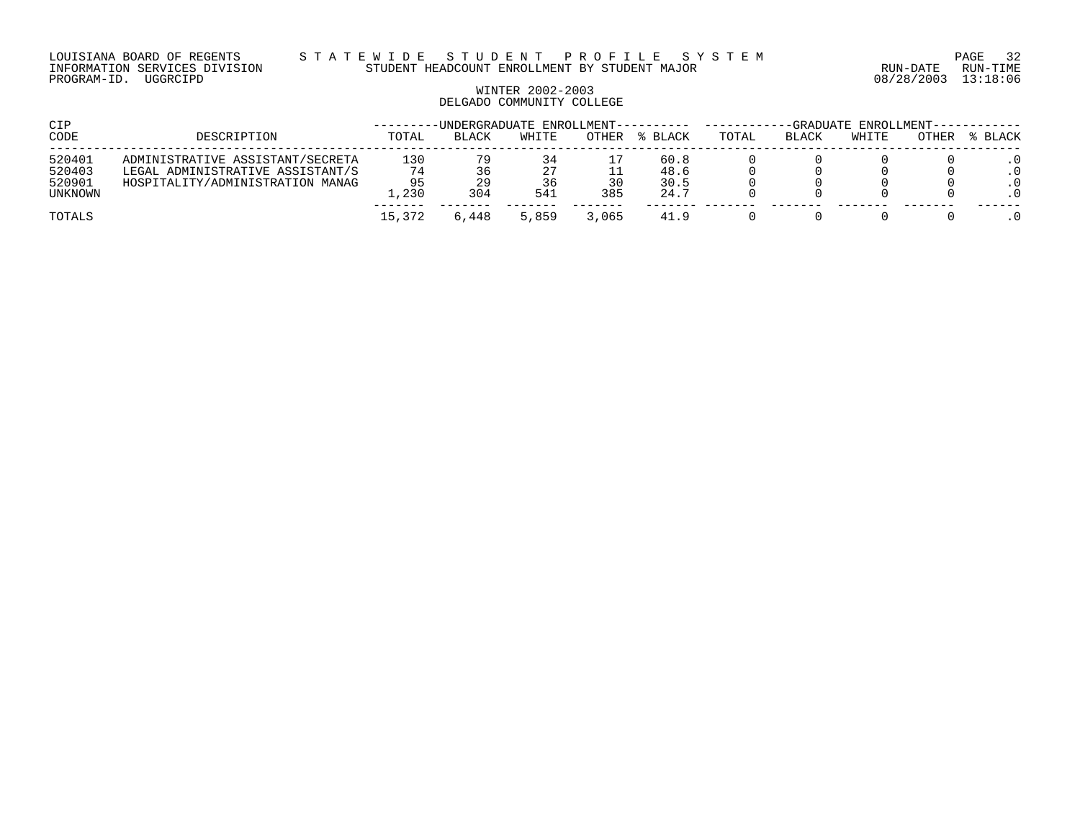LOUISIANA BOARD OF REGENTS S T A T E W I D E S T U D E N T P R O F I L E S Y S T E M PAGE 32 INFORMATION SERVICES DIVISION STUDENT HEADCOUNT ENROLLMENT BY STUDENT MAJOR RUN-DATE RUN-TIME

# WINTER 2002-2003 DELGADO COMMUNITY COLLEGE

| CIP                                   |                                                                                                          |                          |                 | -UNDERGRADUATE ENROLLMENT-------- |           |                              | -GRADUATE<br>ENROLLMENT--- |       |       |       |         |
|---------------------------------------|----------------------------------------------------------------------------------------------------------|--------------------------|-----------------|-----------------------------------|-----------|------------------------------|----------------------------|-------|-------|-------|---------|
| CODE                                  | DESCRIPTION                                                                                              | TOTAL                    | <b>BLACK</b>    | WHITE                             | OTHER     | % BLACK                      | TOTAL                      | BLACK | WHITE | OTHER | % BLACK |
| 520401<br>520403<br>520901<br>UNKNOWN | ADMINISTRATIVE ASSISTANT/SECRETA<br>LEGAL ADMINISTRATIVE ASSISTANT/S<br>HOSPITALITY/ADMINISTRATION MANAG | 130<br>74<br>95<br>1,230 | 79<br>29<br>304 | 34<br>27<br>36<br>541             | 30<br>385 | 60.8<br>48.6<br>30.5<br>24.7 |                            |       |       |       |         |
| TOTALS                                |                                                                                                          | 15,372                   | .448            | 5,859                             | 3,065     | 41.9                         |                            |       |       |       |         |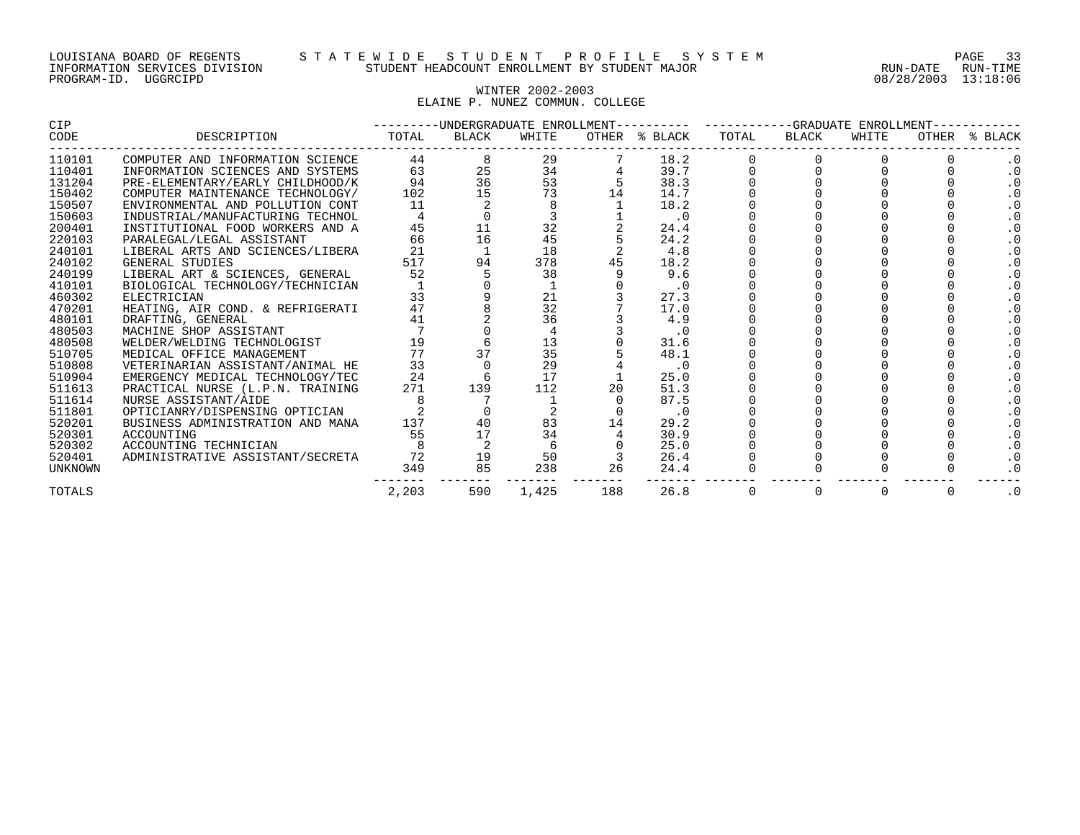#### LOUISIANA BOARD OF REGENTS S T A T E W I D E S T U D E N T P R O F I L E S Y S T E M PAGE 33 INFORMATION SERVICES DIVISION STUDENT HEADCOUNT ENROLLMENT BY STUDENT MAJOR RUN-DATE RUN-TIME

## WINTER 2002-2003 ELAINE P. NUNEZ COMMUN. COLLEGE

| CIP     |                                  | ---------UNDERGRADUATE ENROLLMENT---------- ----------GRADUATE ENROLLMENT- |       |       |      |               |       |                |       |           |               |
|---------|----------------------------------|----------------------------------------------------------------------------|-------|-------|------|---------------|-------|----------------|-------|-----------|---------------|
| CODE    | DESCRIPTION                      | TOTAL                                                                      | BLACK | WHITE |      | OTHER % BLACK | TOTAL | BLACK          | WHITE |           | OTHER % BLACK |
| 110101  | COMPUTER AND INFORMATION SCIENCE | 44                                                                         |       | 29    |      | 18.2          |       |                |       |           |               |
| 110401  | INFORMATION SCIENCES AND SYSTEMS | 63                                                                         | 25    | 34    |      | 39.7          |       |                |       |           |               |
| 131204  | PRE-ELEMENTARY/EARLY CHILDHOOD/K | 94                                                                         | 36    | 53    |      | 38.3          |       |                |       |           |               |
| 150402  | COMPUTER MAINTENANCE TECHNOLOGY/ | 102                                                                        | 15    | 73    | 14   | 14.7          |       |                |       |           |               |
| 150507  | ENVIRONMENTAL AND POLLUTION CONT | 11                                                                         |       |       |      | 18.2          |       |                |       |           |               |
| 150603  | INDUSTRIAL/MANUFACTURING TECHNOL |                                                                            |       |       |      | $\cdot$ 0     |       |                |       |           |               |
| 200401  | INSTITUTIONAL FOOD WORKERS AND A | 45                                                                         |       | 32    |      | 24.4          |       |                |       |           |               |
| 220103  | PARALEGAL/LEGAL ASSISTANT        | 66                                                                         | 16    | 45    |      | 24.2          |       |                |       |           |               |
| 240101  | LIBERAL ARTS AND SCIENCES/LIBERA | 21                                                                         |       | 18    |      | 4.8           |       |                |       |           |               |
| 240102  | GENERAL STUDIES                  | 517                                                                        | 94    | 378   |      | 18.2          |       |                |       |           |               |
| 240199  | LIBERAL ART & SCIENCES, GENERAL  | 52                                                                         |       | 38    |      | 9.6           |       |                |       |           |               |
| 410101  | BIOLOGICAL TECHNOLOGY/TECHNICIAN |                                                                            |       |       |      | $\cdot$ 0     |       |                |       |           |               |
| 460302  | ELECTRICIAN                      | 33                                                                         |       | 21    |      | 27.3          |       |                |       |           |               |
| 470201  | HEATING, AIR COND. & REFRIGERATI | 47                                                                         |       | 32    |      | 17.0          |       |                |       |           |               |
| 480101  | DRAFTING, GENERAL                | 41                                                                         |       | 36    |      | 4.9           |       |                |       |           |               |
| 480503  | MACHINE SHOP ASSISTANT           |                                                                            |       |       |      | $\cdot$ 0     |       |                |       |           |               |
| 480508  | WELDER/WELDING TECHNOLOGIST      | 19                                                                         |       | 13    |      | 31.6          |       |                |       |           |               |
| 510705  | MEDICAL OFFICE MANAGEMENT        | 77                                                                         |       | 35    |      | 48.1          |       |                |       |           |               |
| 510808  | VETERINARIAN ASSISTANT/ANIMAL HE | 33                                                                         |       | 29    |      | $\cdot$ 0     |       |                |       |           |               |
| 510904  | EMERGENCY MEDICAL TECHNOLOGY/TEC | 24                                                                         |       | 17    |      | 25.0          |       |                |       |           |               |
| 511613  | PRACTICAL NURSE (L.P.N. TRAINING | 271                                                                        | 139   | 112   | 20   | 51.3          |       |                |       |           |               |
| 511614  | NURSE ASSISTANT/AIDE             |                                                                            |       |       |      | 87.5          |       |                |       |           |               |
| 511801  | OPTICIANRY/DISPENSING OPTICIAN   |                                                                            |       |       |      | $\cdot$ 0     |       |                |       |           |               |
| 520201  | BUSINESS ADMINISTRATION AND MANA | 137                                                                        | 40    | 83    | 14   | 29.2          |       |                |       |           |               |
| 520301  | ACCOUNTING                       | 55                                                                         | 17    | 34    |      | 30.9          |       |                |       |           |               |
| 520302  | ACCOUNTING TECHNICIAN            |                                                                            |       |       |      | 25.0          |       |                |       |           |               |
| 520401  | ADMINISTRATIVE ASSISTANT/SECRETA | 72                                                                         | 19    | 50    |      | 26.4          |       |                |       |           |               |
| UNKNOWN |                                  | 349                                                                        | 85    | 238   | 26   | 24.4          |       |                |       |           |               |
| TOTALS  |                                  | 2,203                                                                      | 590   | 1,425 | 26.8 | 0             | 0     | $\overline{0}$ | 0     | $\cdot$ 0 |               |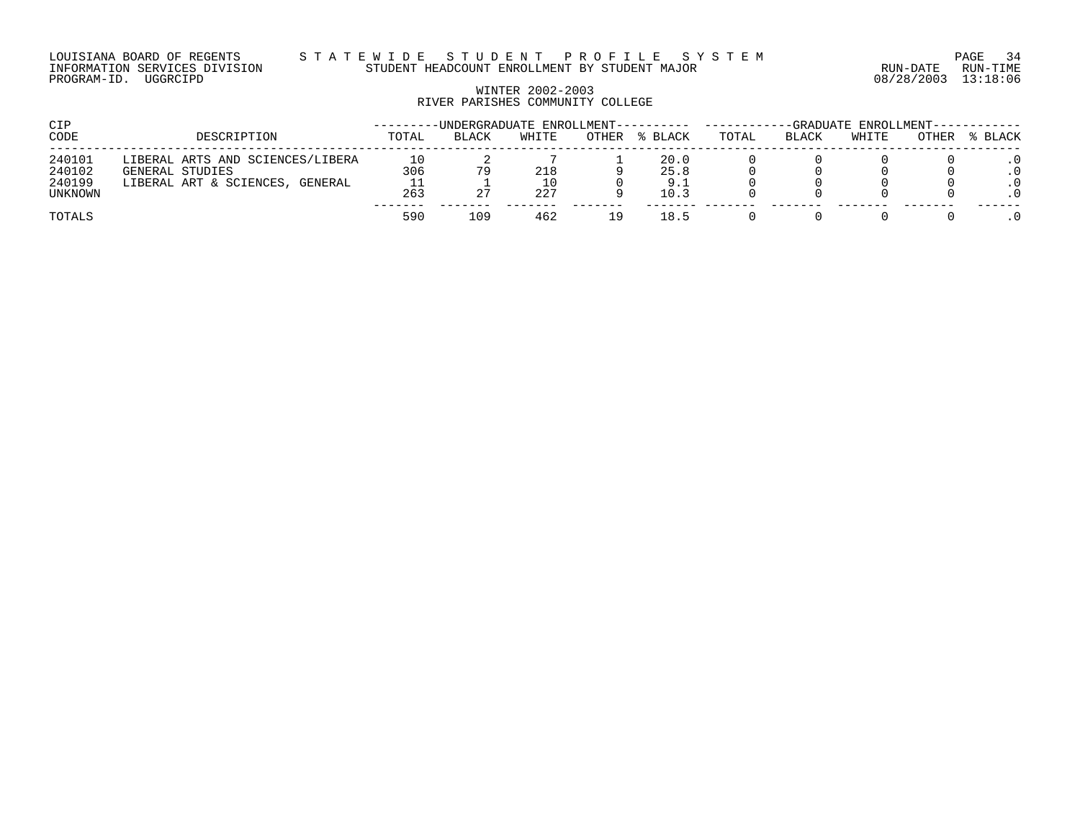## WINTER 2002-2003 RIVER PARISHES COMMUNITY COLLEGE

| CIP                                   |                                                                                        |                        | -UNDERGRADUATE ENROLLMENT--- |                  |              |                             | -GRADUATE ENROLLMENT- |              |       |       |         |  |
|---------------------------------------|----------------------------------------------------------------------------------------|------------------------|------------------------------|------------------|--------------|-----------------------------|-----------------------|--------------|-------|-------|---------|--|
| CODE                                  | DESCRIPTION                                                                            | TOTAL                  | <b>BLACK</b>                 | WHITE            | <b>OTHER</b> | BLACK                       | TOTAL                 | <b>BLACK</b> | WHITE | OTHER | % BLACK |  |
| 240101<br>240102<br>240199<br>UNKNOWN | LIBERAL ARTS AND SCIENCES/LIBERA<br>GENERAL STUDIES<br>LIBERAL ART & SCIENCES, GENERAL | 10<br>306<br>ᆂᆂ<br>263 | 79                           | 218<br>10<br>227 |              | 20.0<br>25.8<br>9.1<br>10.3 |                       |              |       |       | . 0     |  |
| TOTALS                                |                                                                                        | 590                    | 109                          | 462              | 19           | 18.5                        |                       |              |       |       |         |  |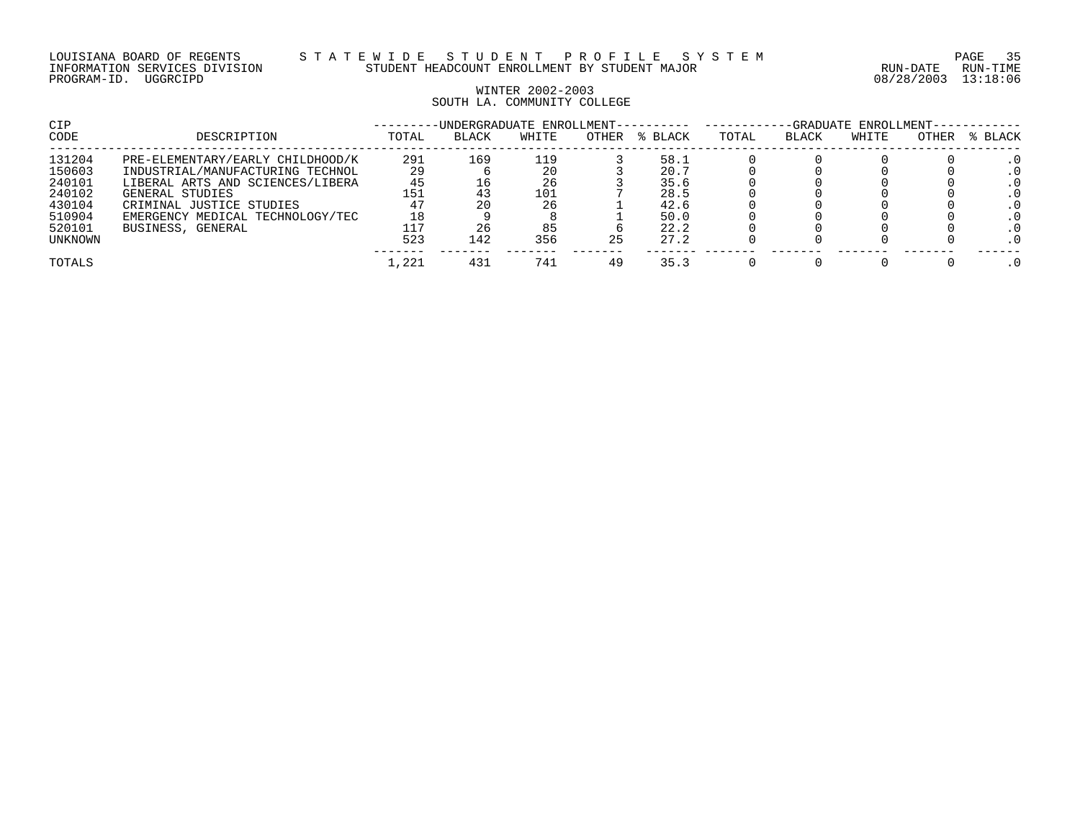# WINTER 2002-2003 SOUTH LA. COMMUNITY COLLEGE

| CIP            |                                  |       | -UNDERGRADUATE ENROLLMENT---------- |       |       |         | -GRADUATE ENROLLMENT- |              |       |       |         |
|----------------|----------------------------------|-------|-------------------------------------|-------|-------|---------|-----------------------|--------------|-------|-------|---------|
| <b>CODE</b>    | DESCRIPTION                      | TOTAL | <b>BLACK</b>                        | WHITE | OTHER | % BLACK | TOTAL                 | <b>BLACK</b> | WHITE | OTHER | % BLACK |
| 131204         | PRE-ELEMENTARY/EARLY CHILDHOOD/K | 291   | 169                                 | 119   |       | 58.1    |                       |              |       |       |         |
| 150603         | INDUSTRIAL/MANUFACTURING TECHNOL | 29    |                                     | 20    |       | 20.7    |                       |              |       |       |         |
| 240101         | LIBERAL ARTS AND SCIENCES/LIBERA | 45    |                                     | 26    |       | 35.6    |                       |              |       |       |         |
| 240102         | GENERAL STUDIES                  | .51   |                                     | 101   |       | 28.5    |                       |              |       |       |         |
| 430104         | CRIMINAL JUSTICE STUDIES         | 47    |                                     | 26    |       | 42.6    |                       |              |       |       |         |
| 510904         | EMERGENCY MEDICAL TECHNOLOGY/TEC | 18    |                                     |       |       | 50.0    |                       |              |       |       |         |
| 520101         | BUSINESS, GENERAL                |       |                                     | 85    |       | 22.2    |                       |              |       |       |         |
| <b>UNKNOWN</b> |                                  | 523   | 142                                 | 356   | 25    | 27.2    |                       |              |       |       | . 0     |
| TOTALS         |                                  | 1,221 | 431                                 | 741   | 49    | 35.3    |                       |              |       |       |         |